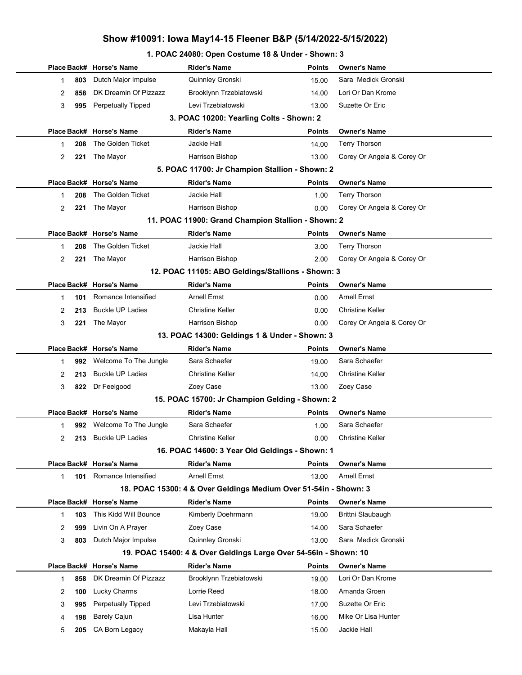## Show #10091: Iowa May14-15 Fleener B&P (5/14/2022-5/15/2022)

#### 1. POAC 24080: Open Costume 18 & Under - Shown: 3

|          | Place Back# Horse's Name  | <b>Rider's Name</b>                                              | Points        | <b>Owner's Name</b>        |
|----------|---------------------------|------------------------------------------------------------------|---------------|----------------------------|
| 803<br>1 | Dutch Major Impulse       | Quinnley Gronski                                                 | 15.00         | Sara Medick Gronski        |
| 2<br>858 | DK Dreamin Of Pizzazz     | Brooklynn Trzebiatowski                                          | 14.00         | Lori Or Dan Krome          |
| 3<br>995 | <b>Perpetually Tipped</b> | Levi Trzebiatowski                                               | 13.00         | Suzette Or Eric            |
|          |                           | 3. POAC 10200: Yearling Colts - Shown: 2                         |               |                            |
|          | Place Back# Horse's Name  | <b>Rider's Name</b>                                              | <b>Points</b> | <b>Owner's Name</b>        |
| 208<br>1 | The Golden Ticket         | <b>Jackie Hall</b>                                               | 14.00         | <b>Terry Thorson</b>       |
| 2<br>221 | The Mayor                 | Harrison Bishop                                                  | 13.00         | Corey Or Angela & Corey Or |
|          |                           | 5. POAC 11700: Jr Champion Stallion - Shown: 2                   |               |                            |
|          | Place Back# Horse's Name  | <b>Rider's Name</b>                                              | Points        | <b>Owner's Name</b>        |
| 208<br>1 | The Golden Ticket         | Jackie Hall                                                      | 1.00          | <b>Terry Thorson</b>       |
| 2<br>221 | The Mayor                 | Harrison Bishop                                                  | 0.00          | Corey Or Angela & Corey Or |
|          |                           | 11. POAC 11900: Grand Champion Stallion - Shown: 2               |               |                            |
|          | Place Back# Horse's Name  | <b>Rider's Name</b>                                              | <b>Points</b> | <b>Owner's Name</b>        |
| 208<br>1 | The Golden Ticket         | <b>Jackie Hall</b>                                               | 3.00          | <b>Terry Thorson</b>       |
| 2<br>221 | The Mayor                 | Harrison Bishop                                                  | 2.00          | Corey Or Angela & Corey Or |
|          |                           | 12. POAC 11105: ABO Geldings/Stallions - Shown: 3                |               |                            |
|          | Place Back# Horse's Name  | <b>Rider's Name</b>                                              | <b>Points</b> | <b>Owner's Name</b>        |
| 101<br>1 | Romance Intensified       | <b>Arnell Ernst</b>                                              | 0.00          | <b>Arnell Ernst</b>        |
| 2<br>213 | <b>Buckle UP Ladies</b>   | <b>Christine Keller</b>                                          | 0.00          | <b>Christine Keller</b>    |
| 3<br>221 | The Mayor                 | Harrison Bishop                                                  | 0.00          | Corey Or Angela & Corey Or |
|          |                           | 13. POAC 14300: Geldings 1 & Under - Shown: 3                    |               |                            |
|          | Place Back# Horse's Name  | <b>Rider's Name</b>                                              | <b>Points</b> | <b>Owner's Name</b>        |
| 1        | 992 Welcome To The Jungle | Sara Schaefer                                                    | 19.00         | Sara Schaefer              |
| 2<br>213 | <b>Buckle UP Ladies</b>   | <b>Christine Keller</b>                                          | 14.00         | <b>Christine Keller</b>    |
| 3<br>822 | Dr Feelgood               | Zoey Case                                                        | 13.00         | Zoey Case                  |
|          |                           | 15. POAC 15700: Jr Champion Gelding - Shown: 2                   |               |                            |
|          | Place Back# Horse's Name  | <b>Rider's Name</b>                                              | <b>Points</b> | <b>Owner's Name</b>        |
| 1        | 992 Welcome To The Jungle | Sara Schaefer                                                    | 1.00          | Sara Schaefer              |
| 2        | 213 Buckle UP Ladies      | Christine Keller                                                 | 0.00          | Christine Keller           |
|          |                           | 16. POAC 14600: 3 Year Old Geldings - Shown: 1                   |               |                            |
|          | Place Back# Horse's Name  | <b>Rider's Name</b>                                              | <b>Points</b> | Owner's Name               |
| 1<br>101 | Romance Intensified       | <b>Arnell Ernst</b>                                              | 13.00         | <b>Arnell Ernst</b>        |
|          |                           | 18. POAC 15300: 4 & Over Geldings Medium Over 51-54in - Shown: 3 |               |                            |
|          | Place Back# Horse's Name  | <b>Rider's Name</b>                                              | Points        | <b>Owner's Name</b>        |
| 1<br>103 | This Kidd Will Bounce     | Kimberly Doehrmann                                               | 19.00         | Brittni Slaubaugh          |
| 2<br>999 | Livin On A Prayer         | Zoey Case                                                        | 14.00         | Sara Schaefer              |
| 3<br>803 | Dutch Major Impulse       | Quinnley Gronski                                                 | 13.00         | Sara Medick Gronski        |
|          |                           | 19. POAC 15400: 4 & Over Geldings Large Over 54-56in - Shown: 10 |               |                            |
|          | Place Back# Horse's Name  | <b>Rider's Name</b>                                              | <b>Points</b> | <b>Owner's Name</b>        |
| 858<br>1 | DK Dreamin Of Pizzazz     | Brooklynn Trzebiatowski                                          | 19.00         | Lori Or Dan Krome          |
| 100<br>2 | Lucky Charms              | Lorrie Reed                                                      | 18.00         | Amanda Groen               |
| 3<br>995 | <b>Perpetually Tipped</b> | Levi Trzebiatowski                                               | 17.00         | Suzette Or Eric            |
| 4<br>198 | <b>Barely Cajun</b>       | Lisa Hunter                                                      | 16.00         | Mike Or Lisa Hunter        |
|          |                           |                                                                  |               |                            |
| 5<br>205 | CA Born Legacy            | Makayla Hall                                                     | 15.00         | Jackie Hall                |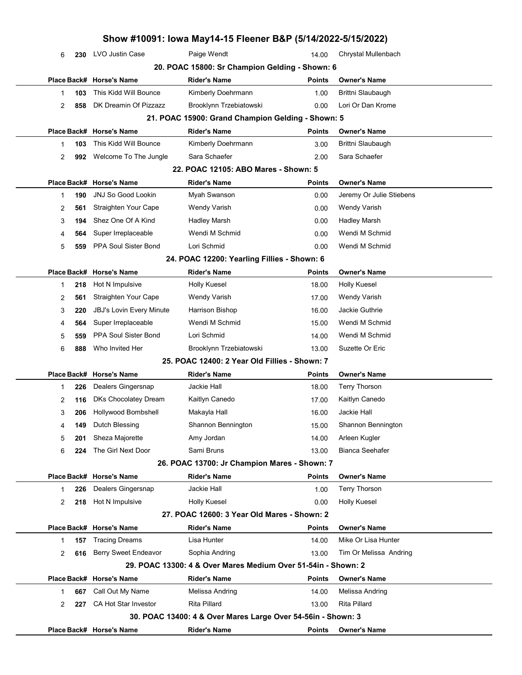|                |     |                             | Show #10091: Iowa May14-15 Fleener B&P (5/14/2022-5/15/2022)  |               |                          |  |
|----------------|-----|-----------------------------|---------------------------------------------------------------|---------------|--------------------------|--|
| 6              | 230 | LVO Justin Case             | Paige Wendt                                                   | 14.00         | Chrystal Mullenbach      |  |
|                |     |                             | 20. POAC 15800: Sr Champion Gelding - Shown: 6                |               |                          |  |
|                |     | Place Back# Horse's Name    | Rider's Name                                                  | Points        | <b>Owner's Name</b>      |  |
| 1              | 103 | This Kidd Will Bounce       | Kimberly Doehrmann                                            | 1.00          | Brittni Slaubaugh        |  |
| 2              | 858 | DK Dreamin Of Pizzazz       | Brooklynn Trzebiatowski                                       | 0.00          | Lori Or Dan Krome        |  |
|                |     |                             | 21. POAC 15900: Grand Champion Gelding - Shown: 5             |               |                          |  |
|                |     | Place Back# Horse's Name    | <b>Rider's Name</b>                                           | <b>Points</b> | <b>Owner's Name</b>      |  |
| 1              | 103 | This Kidd Will Bounce       | Kimberly Doehrmann                                            | 3.00          | Brittni Slaubaugh        |  |
| 2              | 992 | Welcome To The Jungle       | Sara Schaefer                                                 | 2.00          | Sara Schaefer            |  |
|                |     |                             | 22. POAC 12105: ABO Mares - Shown: 5                          |               |                          |  |
|                |     | Place Back# Horse's Name    | <b>Rider's Name</b>                                           | Points        | <b>Owner's Name</b>      |  |
| 1              | 190 | <b>JNJ So Good Lookin</b>   | Myah Swanson                                                  | 0.00          | Jeremy Or Julie Stiebens |  |
| 2              | 561 | Straighten Your Cape        | <b>Wendy Varish</b>                                           | 0.00          | <b>Wendy Varish</b>      |  |
| 3              | 194 | Shez One Of A Kind          | <b>Hadley Marsh</b>                                           | 0.00          | <b>Hadley Marsh</b>      |  |
| 4              | 564 | Super Irreplaceable         | Wendi M Schmid                                                | 0.00          | Wendi M Schmid           |  |
| 5              | 559 | PPA Soul Sister Bond        | Lori Schmid                                                   | 0.00          | Wendi M Schmid           |  |
|                |     |                             | 24. POAC 12200: Yearling Fillies - Shown: 6                   |               |                          |  |
| Place Back#    |     | <b>Horse's Name</b>         | Rider's Name                                                  | <b>Points</b> | <b>Owner's Name</b>      |  |
| 1              | 218 | Hot N Impulsive             | <b>Holly Kuesel</b>                                           | 18.00         | <b>Holly Kuesel</b>      |  |
| 2              | 561 | Straighten Your Cape        | <b>Wendy Varish</b>                                           | 17.00         | Wendy Varish             |  |
| 3              | 220 | JBJ's Lovin Every Minute    | Harrison Bishop                                               | 16.00         | Jackie Guthrie           |  |
| 4              | 564 | Super Irreplaceable         | Wendi M Schmid                                                | 15.00         | Wendi M Schmid           |  |
| 5              | 559 | <b>PPA Soul Sister Bond</b> | Lori Schmid                                                   | 14.00         | Wendi M Schmid           |  |
| 6              | 888 | Who Invited Her             | Brooklynn Trzebiatowski                                       | 13.00         | Suzette Or Eric          |  |
|                |     |                             | 25. POAC 12400: 2 Year Old Fillies - Shown: 7                 |               |                          |  |
|                |     | Place Back# Horse's Name    | <b>Rider's Name</b>                                           | <b>Points</b> | <b>Owner's Name</b>      |  |
| 1              | 226 | Dealers Gingersnap          | Jackie Hall                                                   | 18.00         | <b>Terry Thorson</b>     |  |
| 2              | 116 | DKs Chocolatey Dream        | Kaitlyn Canedo                                                | 17.00         | Kaitlyn Canedo           |  |
| 3              | 206 | Hollywood Bombshell         | Makayla Hall                                                  | 16.00         | Jackie Hall              |  |
| 4              | 149 | Dutch Blessing              | Shannon Bennington                                            | 15.00         | Shannon Bennington       |  |
| 5              | 201 | Sheza Majorette             | Amy Jordan                                                    | 14.00         | Arleen Kugler            |  |
| 6              | 224 | The Girl Next Door          | Sami Bruns                                                    | 13.00         | Bianca Seehafer          |  |
|                |     |                             | 26. POAC 13700: Jr Champion Mares - Shown: 7                  |               |                          |  |
|                |     | Place Back# Horse's Name    | <b>Rider's Name</b>                                           | <b>Points</b> | <b>Owner's Name</b>      |  |
| 1              | 226 | Dealers Gingersnap          | Jackie Hall                                                   | 1.00          | <b>Terry Thorson</b>     |  |
| 2              | 218 | Hot N Impulsive             | Holly Kuesel                                                  | 0.00          | <b>Holly Kuesel</b>      |  |
|                |     |                             | 27. POAC 12600: 3 Year Old Mares - Shown: 2                   |               |                          |  |
|                |     | Place Back# Horse's Name    | Rider's Name                                                  | <b>Points</b> | <b>Owner's Name</b>      |  |
| 1              | 157 | <b>Tracing Dreams</b>       | Lisa Hunter                                                   | 14.00         | Mike Or Lisa Hunter      |  |
| 2              | 616 | Berry Sweet Endeavor        | Sophia Andring                                                | 13.00         | Tim Or Melissa Andring   |  |
|                |     |                             | 29. POAC 13300: 4 & Over Mares Medium Over 51-54in - Shown: 2 |               |                          |  |
|                |     | Place Back# Horse's Name    | Rider's Name                                                  | Points        | <b>Owner's Name</b>      |  |
| 1              | 667 | Call Out My Name            | Melissa Andring                                               | 14.00         | Melissa Andring          |  |
| $\overline{2}$ | 227 | <b>CA Hot Star Investor</b> | Rita Pillard                                                  | 13.00         | Rita Pillard             |  |
|                |     |                             | 30. POAC 13400: 4 & Over Mares Large Over 54-56in - Shown: 3  |               |                          |  |
|                |     | Place Back# Horse's Name    | <b>Rider's Name</b>                                           | Points        | <b>Owner's Name</b>      |  |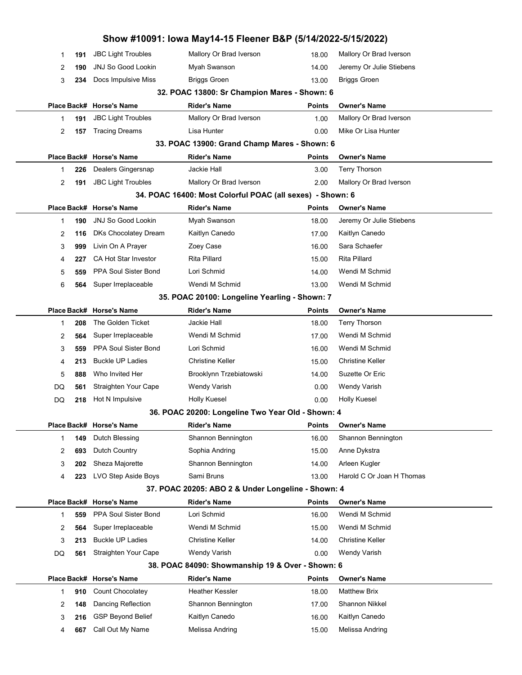|           |                                                  | Show #10091: Iowa May14-15 Fleener B&P (5/14/2022-5/15/2022) |               |                                       |
|-----------|--------------------------------------------------|--------------------------------------------------------------|---------------|---------------------------------------|
| 191<br>1  | <b>JBC Light Troubles</b>                        | Mallory Or Brad Iverson                                      | 18.00         | Mallory Or Brad Iverson               |
| 2<br>190  | <b>JNJ So Good Lookin</b>                        | Myah Swanson                                                 | 14.00         | Jeremy Or Julie Stiebens              |
| 3<br>234  | Docs Impulsive Miss                              | <b>Briggs Groen</b>                                          | 13.00         | <b>Briggs Groen</b>                   |
|           |                                                  | 32. POAC 13800: Sr Champion Mares - Shown: 6                 |               |                                       |
|           | Place Back# Horse's Name                         | <b>Rider's Name</b>                                          | <b>Points</b> | <b>Owner's Name</b>                   |
| 191<br>1  | <b>JBC Light Troubles</b>                        | Mallory Or Brad Iverson                                      | 1.00          | Mallory Or Brad Iverson               |
| 2<br>157  | <b>Tracing Dreams</b>                            | Lisa Hunter                                                  | 0.00          | Mike Or Lisa Hunter                   |
|           |                                                  | 33. POAC 13900: Grand Champ Mares - Shown: 6                 |               |                                       |
|           | Place Back# Horse's Name                         | <b>Rider's Name</b>                                          | <b>Points</b> | <b>Owner's Name</b>                   |
| 226<br>1  | Dealers Gingersnap                               | Jackie Hall                                                  | 3.00          | <b>Terry Thorson</b>                  |
| 2<br>191  | <b>JBC Light Troubles</b>                        | Mallory Or Brad Iverson                                      | 2.00          | Mallory Or Brad Iverson               |
|           |                                                  | 34. POAC 16400: Most Colorful POAC (all sexes) - Shown: 6    |               |                                       |
|           | Place Back# Horse's Name                         | <b>Rider's Name</b>                                          | <b>Points</b> | <b>Owner's Name</b>                   |
| 190<br>1  | <b>JNJ So Good Lookin</b>                        | Myah Swanson                                                 | 18.00         | Jeremy Or Julie Stiebens              |
| 2<br>116  | DKs Chocolatey Dream                             | Kaitlyn Canedo                                               | 17.00         | Kaitlyn Canedo                        |
| 3<br>999  | Livin On A Prayer                                | Zoey Case                                                    | 16.00         | Sara Schaefer                         |
| 4<br>227  | <b>CA Hot Star Investor</b>                      | <b>Rita Pillard</b>                                          | 15.00         | Rita Pillard                          |
| 5<br>559  | PPA Soul Sister Bond                             | Lori Schmid                                                  | 14.00         | Wendi M Schmid                        |
| 6<br>564  | Super Irreplaceable                              | Wendi M Schmid                                               | 13.00         | Wendi M Schmid                        |
|           |                                                  | 35. POAC 20100: Longeline Yearling - Shown: 7                |               |                                       |
|           | Place Back# Horse's Name                         | <b>Rider's Name</b>                                          | <b>Points</b> | <b>Owner's Name</b>                   |
| 208<br>1  | The Golden Ticket                                | Jackie Hall                                                  | 18.00         | <b>Terry Thorson</b>                  |
| 2<br>564  | Super Irreplaceable                              | Wendi M Schmid                                               | 17.00         | Wendi M Schmid                        |
| 3<br>559  | PPA Soul Sister Bond                             | Lori Schmid                                                  | 16.00         | Wendi M Schmid                        |
| 4<br>213  | <b>Buckle UP Ladies</b>                          | Christine Keller                                             | 15.00         | <b>Christine Keller</b>               |
| 5<br>888  | Who Invited Her                                  | Brooklynn Trzebiatowski                                      | 14.00         | Suzette Or Eric                       |
| DQ<br>561 | Straighten Your Cape                             | Wendy Varish                                                 | 0.00          | <b>Wendy Varish</b>                   |
| DQ<br>218 | Hot N Impulsive                                  | <b>Holly Kuesel</b>                                          | 0.00          | Holly Kuesel                          |
|           |                                                  | 36. POAC 20200: Longeline Two Year Old - Shown: 4            |               |                                       |
|           | Place Back# Horse's Name                         | <b>Rider's Name</b>                                          | Points        | <b>Owner's Name</b>                   |
| 149<br>1  | Dutch Blessing                                   | Shannon Bennington                                           | 16.00         | Shannon Bennington                    |
| 2<br>693  | Dutch Country                                    | Sophia Andring                                               | 15.00         | Anne Dykstra                          |
| 3<br>202  | Sheza Majorette                                  | Shannon Bennington                                           | 14.00         | Arleen Kugler                         |
| 4<br>223  | LVO Step Aside Boys                              | Sami Bruns                                                   | 13.00         | Harold C Or Joan H Thomas             |
|           |                                                  | 37. POAC 20205: ABO 2 & Under Longeline - Shown: 4           |               |                                       |
|           | Place Back# Horse's Name<br>PPA Soul Sister Bond | <b>Rider's Name</b><br>Lori Schmid                           | <b>Points</b> | <b>Owner's Name</b><br>Wendi M Schmid |
| 559<br>1  | Super Irreplaceable                              | Wendi M Schmid                                               | 16.00         | Wendi M Schmid                        |
| 2<br>564  | <b>Buckle UP Ladies</b>                          | Christine Keller                                             | 15.00         | <b>Christine Keller</b>               |
| 3<br>213  | Straighten Your Cape                             | <b>Wendy Varish</b>                                          | 14.00         | <b>Wendy Varish</b>                   |
| DQ<br>561 |                                                  | 38. POAC 84090: Showmanship 19 & Over - Shown: 6             | 0.00          |                                       |
|           | Place Back# Horse's Name                         | <b>Rider's Name</b>                                          | <b>Points</b> | <b>Owner's Name</b>                   |
| 910<br>1  | <b>Count Chocolatey</b>                          | Heather Kessler                                              | 18.00         | <b>Matthew Brix</b>                   |
| 2<br>148  | Dancing Reflection                               | Shannon Bennington                                           | 17.00         | Shannon Nikkel                        |
| 3<br>216  | <b>GSP Beyond Belief</b>                         | Kaitlyn Canedo                                               | 16.00         | Kaitlyn Canedo                        |
| 667<br>4  | Call Out My Name                                 | Melissa Andring                                              | 15.00         | Melissa Andring                       |
|           |                                                  |                                                              |               |                                       |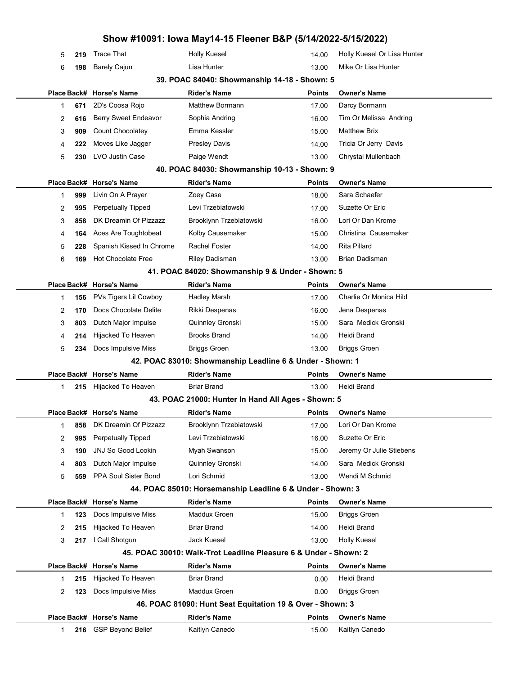|   |     |                           | Show #10091: Iowa May14-15 Fleener B&P (5/14/2022-5/15/2022)     |               |                             |
|---|-----|---------------------------|------------------------------------------------------------------|---------------|-----------------------------|
| 5 | 219 | <b>Trace That</b>         | <b>Holly Kuesel</b>                                              | 14.00         | Holly Kuesel Or Lisa Hunter |
| 6 | 198 | <b>Barely Cajun</b>       | Lisa Hunter                                                      | 13.00         | Mike Or Lisa Hunter         |
|   |     |                           | 39. POAC 84040: Showmanship 14-18 - Shown: 5                     |               |                             |
|   |     | Place Back# Horse's Name  | <b>Rider's Name</b>                                              | <b>Points</b> | <b>Owner's Name</b>         |
| 1 | 671 | 2D's Coosa Rojo           | <b>Matthew Bormann</b>                                           | 17.00         | Darcy Bormann               |
| 2 | 616 | Berry Sweet Endeavor      | Sophia Andring                                                   | 16.00         | Tim Or Melissa Andring      |
| 3 | 909 | Count Chocolatey          | Emma Kessler                                                     | 15.00         | <b>Matthew Brix</b>         |
| 4 | 222 | Moves Like Jagger         | <b>Presley Davis</b>                                             | 14.00         | Tricia Or Jerry Davis       |
| 5 | 230 | <b>LVO Justin Case</b>    | Paige Wendt                                                      | 13.00         | Chrystal Mullenbach         |
|   |     |                           | 40. POAC 84030: Showmanship 10-13 - Shown: 9                     |               |                             |
|   |     | Place Back# Horse's Name  | <b>Rider's Name</b>                                              | Points        | <b>Owner's Name</b>         |
| 1 | 999 | Livin On A Prayer         | Zoey Case                                                        | 18.00         | Sara Schaefer               |
| 2 | 995 | <b>Perpetually Tipped</b> | Levi Trzebiatowski                                               | 17.00         | Suzette Or Eric             |
| 3 | 858 | DK Dreamin Of Pizzazz     | Brooklynn Trzebiatowski                                          | 16.00         | Lori Or Dan Krome           |
| 4 | 164 | Aces Are Toughtobeat      | Kolby Causemaker                                                 | 15.00         | Christina Causemaker        |
| 5 | 228 | Spanish Kissed In Chrome  | <b>Rachel Foster</b>                                             | 14.00         | <b>Rita Pillard</b>         |
| 6 | 169 | <b>Hot Chocolate Free</b> | <b>Riley Dadisman</b>                                            | 13.00         | <b>Brian Dadisman</b>       |
|   |     |                           | 41. POAC 84020: Showmanship 9 & Under - Shown: 5                 |               |                             |
|   |     | Place Back# Horse's Name  | <b>Rider's Name</b>                                              | Points        | <b>Owner's Name</b>         |
| 1 | 156 | PVs Tigers Lil Cowboy     | <b>Hadley Marsh</b>                                              | 17.00         | Charlie Or Monica Hild      |
| 2 | 170 | Docs Chocolate Delite     | Rikki Despenas                                                   | 16.00         | Jena Despenas               |
| 3 | 803 | Dutch Major Impulse       | Quinnley Gronski                                                 | 15.00         | Sara Medick Gronski         |
| 4 | 214 | Hijacked To Heaven        | <b>Brooks Brand</b>                                              | 14.00         | Heidi Brand                 |
| 5 | 234 | Docs Impulsive Miss       | <b>Briggs Groen</b>                                              | 13.00         | <b>Briggs Groen</b>         |
|   |     |                           | 42. POAC 83010: Showmanship Leadline 6 & Under - Shown: 1        |               |                             |
|   |     | Place Back# Horse's Name  | <b>Rider's Name</b>                                              | Points        | <b>Owner's Name</b>         |
| 1 | 215 | Hijacked To Heaven        | <b>Briar Brand</b>                                               | 13.00         | Heidi Brand                 |
|   |     |                           | 43. POAC 21000: Hunter In Hand All Ages - Shown: 5               |               |                             |
|   |     | Place Back# Horse's Name  | Rider's Name                                                     | Points        | <b>Owner's Name</b>         |
| 1 | 858 | DK Dreamin Of Pizzazz     | Brooklynn Trzebiatowski                                          | 17.00         | Lori Or Dan Krome           |
| 2 | 995 | <b>Perpetually Tipped</b> | Levi Trzebiatowski                                               | 16.00         | Suzette Or Eric             |
| 3 | 190 | <b>JNJ So Good Lookin</b> | Myah Swanson                                                     | 15.00         | Jeremy Or Julie Stiebens    |
| 4 | 803 | Dutch Major Impulse       | Quinnley Gronski                                                 | 14.00         | Sara Medick Gronski         |
| 5 | 559 | PPA Soul Sister Bond      | Lori Schmid                                                      | 13.00         | Wendi M Schmid              |
|   |     |                           | 44. POAC 85010: Horsemanship Leadline 6 & Under - Shown: 3       |               |                             |
|   |     | Place Back# Horse's Name  | <b>Rider's Name</b>                                              | <b>Points</b> | <b>Owner's Name</b>         |
| 1 | 123 | Docs Impulsive Miss       | Maddux Groen                                                     | 15.00         | <b>Briggs Groen</b>         |
| 2 | 215 | Hijacked To Heaven        | <b>Briar Brand</b>                                               | 14.00         | Heidi Brand                 |
| 3 | 217 | I Call Shotgun            | <b>Jack Kuesel</b>                                               | 13.00         | Holly Kuesel                |
|   |     |                           | 45. POAC 30010: Walk-Trot Leadline Pleasure 6 & Under - Shown: 2 |               |                             |
|   |     | Place Back# Horse's Name  | <b>Rider's Name</b>                                              | Points        | <b>Owner's Name</b>         |
| 1 | 215 | Hijacked To Heaven        | <b>Briar Brand</b>                                               | 0.00          | Heidi Brand                 |
| 2 | 123 | Docs Impulsive Miss       | Maddux Groen                                                     | 0.00          | <b>Briggs Groen</b>         |
|   |     |                           | 46. POAC 81090: Hunt Seat Equitation 19 & Over - Shown: 3        |               |                             |
|   |     | Place Back# Horse's Name  | <b>Rider's Name</b>                                              | Points        | <b>Owner's Name</b>         |
| 1 |     | 216 GSP Beyond Belief     | Kaitlyn Canedo                                                   | 15.00         | Kaitlyn Canedo              |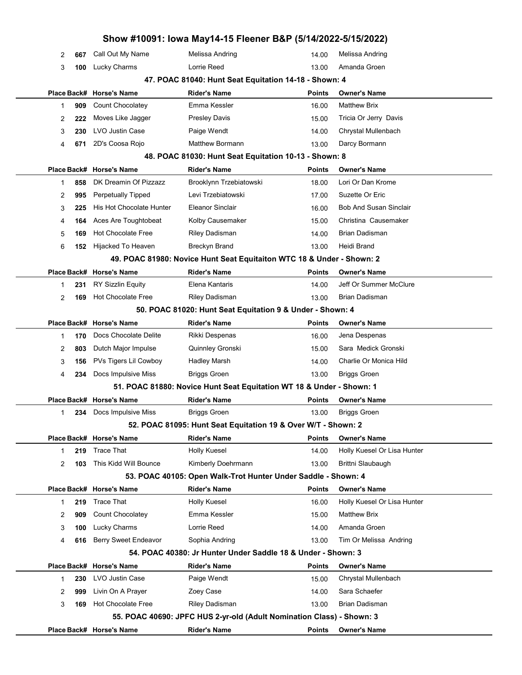|                     |                                 | Show #10091: Iowa May14-15 Fleener B&P (5/14/2022-5/15/2022)          |               |                               |
|---------------------|---------------------------------|-----------------------------------------------------------------------|---------------|-------------------------------|
| 2<br>667            | Call Out My Name                | Melissa Andring                                                       | 14.00         | Melissa Andring               |
| 3<br>100            | Lucky Charms                    | Lorrie Reed                                                           | 13.00         | Amanda Groen                  |
|                     |                                 | 47. POAC 81040: Hunt Seat Equitation 14-18 - Shown: 4                 |               |                               |
|                     | Place Back# Horse's Name        | <b>Rider's Name</b>                                                   | Points        | <b>Owner's Name</b>           |
| 909<br>1            | <b>Count Chocolatey</b>         | Emma Kessler                                                          | 16.00         | <b>Matthew Brix</b>           |
| 2<br>222            | Moves Like Jagger               | <b>Presley Davis</b>                                                  | 15.00         | Tricia Or Jerry Davis         |
| 3<br>230            | <b>LVO Justin Case</b>          | Paige Wendt                                                           | 14.00         | Chrystal Mullenbach           |
| 4<br>671            | 2D's Coosa Rojo                 | <b>Matthew Bormann</b>                                                | 13.00         | Darcy Bormann                 |
|                     |                                 | 48. POAC 81030: Hunt Seat Equitation 10-13 - Shown: 8                 |               |                               |
|                     | Place Back# Horse's Name        | <b>Rider's Name</b>                                                   | Points        | <b>Owner's Name</b>           |
| 858<br>1            | DK Dreamin Of Pizzazz           | Brooklynn Trzebiatowski                                               | 18.00         | Lori Or Dan Krome             |
| 2<br>995            | <b>Perpetually Tipped</b>       | Levi Trzebiatowski                                                    | 17.00         | Suzette Or Eric               |
| 3<br>225            | <b>His Hot Chocolate Hunter</b> | <b>Eleanor Sinclair</b>                                               | 16.00         | <b>Bob And Susan Sinclair</b> |
| 4<br>164            | Aces Are Toughtobeat            | Kolby Causemaker                                                      | 15.00         | Christina Causemaker          |
| 5<br>169            | <b>Hot Chocolate Free</b>       | <b>Riley Dadisman</b>                                                 | 14.00         | <b>Brian Dadisman</b>         |
| 6<br>152            | Hijacked To Heaven              | <b>Breckyn Brand</b>                                                  | 13.00         | Heidi Brand                   |
|                     |                                 | 49. POAC 81980: Novice Hunt Seat Equitaiton WTC 18 & Under - Shown: 2 |               |                               |
|                     | Place Back# Horse's Name        | <b>Rider's Name</b>                                                   | <b>Points</b> | <b>Owner's Name</b>           |
| 231<br>1            | <b>RY Sizzlin Equity</b>        | Elena Kantaris                                                        | 14.00         | Jeff Or Summer McClure        |
| 2<br>169            | <b>Hot Chocolate Free</b>       | <b>Riley Dadisman</b>                                                 | 13.00         | <b>Brian Dadisman</b>         |
|                     |                                 | 50. POAC 81020: Hunt Seat Equitation 9 & Under - Shown: 4             |               |                               |
|                     | Place Back# Horse's Name        | <b>Rider's Name</b>                                                   | <b>Points</b> | <b>Owner's Name</b>           |
| 170<br>1            | Docs Chocolate Delite           | Rikki Despenas                                                        | 16.00         | Jena Despenas                 |
| 2<br>803            | Dutch Major Impulse             | Quinnley Gronski                                                      | 15.00         | Sara Medick Gronski           |
| 3<br>156            | PVs Tigers Lil Cowboy           | <b>Hadley Marsh</b>                                                   | 14.00         | Charlie Or Monica Hild        |
| 4<br>234            | Docs Impulsive Miss             | <b>Briggs Groen</b>                                                   | 13.00         | <b>Briggs Groen</b>           |
|                     |                                 | 51. POAC 81880: Novice Hunt Seat Equitation WT 18 & Under - Shown: 1  |               |                               |
|                     | Place Back# Horse's Name        | <b>Rider's Name</b>                                                   | Points        | <b>Owner's Name</b>           |
| 1                   | 234 Docs Impulsive Miss         | <b>Briggs Groen</b>                                                   | 13.00         | <b>Briggs Groen</b>           |
|                     |                                 | 52. POAC 81095: Hunt Seat Equitation 19 & Over W/T - Shown: 2         |               |                               |
|                     | Place Back# Horse's Name        | <b>Rider's Name</b>                                                   | Points        | <b>Owner's Name</b>           |
| 219<br>$\mathbf{1}$ | <b>Trace That</b>               | <b>Holly Kuesel</b>                                                   | 14.00         | Holly Kuesel Or Lisa Hunter   |
| 2<br>103            | This Kidd Will Bounce           | Kimberly Doehrmann                                                    | 13.00         | Brittni Slaubaugh             |
|                     |                                 | 53. POAC 40105: Open Walk-Trot Hunter Under Saddle - Shown: 4         |               |                               |
|                     | Place Back# Horse's Name        | <b>Rider's Name</b>                                                   | Points        | <b>Owner's Name</b>           |
| 219<br>$\mathbf{1}$ | <b>Trace That</b>               | <b>Holly Kuesel</b>                                                   | 16.00         | Holly Kuesel Or Lisa Hunter   |
| 2<br>909            | Count Chocolatey                | Emma Kessler                                                          | 15.00         | <b>Matthew Brix</b>           |
| 3<br>100            | Lucky Charms                    | Lorrie Reed                                                           | 14.00         | Amanda Groen                  |
| 4<br>616            | Berry Sweet Endeavor            | Sophia Andring                                                        | 13.00         | Tim Or Melissa Andring        |
|                     |                                 | 54. POAC 40380: Jr Hunter Under Saddle 18 & Under - Shown: 3          |               |                               |
|                     | Place Back# Horse's Name        | <b>Rider's Name</b>                                                   | <b>Points</b> | <b>Owner's Name</b>           |
| 230<br>1            | LVO Justin Case                 | Paige Wendt                                                           | 15.00         | Chrystal Mullenbach           |
| 999<br>2            | Livin On A Prayer               | Zoey Case                                                             | 14.00         | Sara Schaefer                 |
| 3<br>169            | <b>Hot Chocolate Free</b>       | <b>Riley Dadisman</b>                                                 | 13.00         | <b>Brian Dadisman</b>         |
|                     |                                 | 55. POAC 40690: JPFC HUS 2-yr-old (Adult Nomination Class) - Shown: 3 |               |                               |
|                     | Place Back# Horse's Name        | <b>Rider's Name</b>                                                   | Points        | <b>Owner's Name</b>           |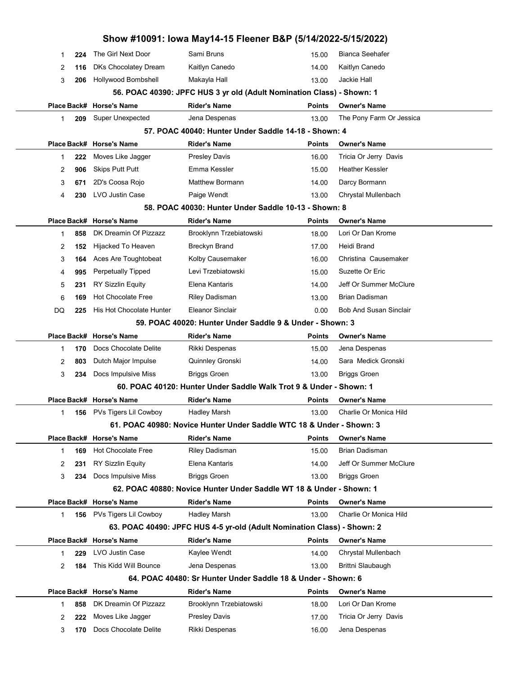|    |     |                           | Show #10091: Iowa May14-15 Fleener B&P (5/14/2022-5/15/2022)            |               |                               |  |
|----|-----|---------------------------|-------------------------------------------------------------------------|---------------|-------------------------------|--|
| 1  | 224 | The Girl Next Door        | Sami Bruns                                                              | 15.00         | <b>Bianca Seehafer</b>        |  |
| 2  | 116 | DKs Chocolatey Dream      | Kaitlyn Canedo                                                          | 14.00         | Kaitlyn Canedo                |  |
| 3  | 206 | Hollywood Bombshell       | Makayla Hall                                                            | 13.00         | Jackie Hall                   |  |
|    |     |                           | 56. POAC 40390: JPFC HUS 3 yr old (Adult Nomination Class) - Shown: 1   |               |                               |  |
|    |     | Place Back# Horse's Name  | <b>Rider's Name</b>                                                     | <b>Points</b> | <b>Owner's Name</b>           |  |
| 1  | 209 | <b>Super Unexpected</b>   | Jena Despenas                                                           | 13.00         | The Pony Farm Or Jessica      |  |
|    |     |                           | 57. POAC 40040: Hunter Under Saddle 14-18 - Shown: 4                    |               |                               |  |
|    |     | Place Back# Horse's Name  | <b>Rider's Name</b>                                                     | <b>Points</b> | <b>Owner's Name</b>           |  |
| 1  | 222 | Moves Like Jagger         | <b>Presley Davis</b>                                                    | 16.00         | Tricia Or Jerry Davis         |  |
| 2  | 906 | <b>Skips Putt Putt</b>    | Emma Kessler                                                            | 15.00         | <b>Heather Kessler</b>        |  |
| 3  | 671 | 2D's Coosa Rojo           | <b>Matthew Bormann</b>                                                  | 14.00         | Darcy Bormann                 |  |
| 4  | 230 | <b>LVO Justin Case</b>    | Paige Wendt                                                             | 13.00         | Chrystal Mullenbach           |  |
|    |     |                           | 58. POAC 40030: Hunter Under Saddle 10-13 - Shown: 8                    |               |                               |  |
|    |     | Place Back# Horse's Name  | <b>Rider's Name</b>                                                     | <b>Points</b> | <b>Owner's Name</b>           |  |
| 1  | 858 | DK Dreamin Of Pizzazz     | Brooklynn Trzebiatowski                                                 | 18.00         | Lori Or Dan Krome             |  |
| 2  | 152 | Hijacked To Heaven        | <b>Breckyn Brand</b>                                                    | 17.00         | Heidi Brand                   |  |
| 3  | 164 | Aces Are Toughtobeat      | Kolby Causemaker                                                        | 16.00         | Christina Causemaker          |  |
| 4  | 995 | <b>Perpetually Tipped</b> | Levi Trzebiatowski                                                      | 15.00         | Suzette Or Eric               |  |
| 5  | 231 | <b>RY Sizzlin Equity</b>  | Elena Kantaris                                                          | 14.00         | Jeff Or Summer McClure        |  |
| 6  | 169 | <b>Hot Chocolate Free</b> | Riley Dadisman                                                          | 13.00         | Brian Dadisman                |  |
| DQ | 225 | His Hot Chocolate Hunter  | Eleanor Sinclair                                                        | 0.00          | <b>Bob And Susan Sinclair</b> |  |
|    |     |                           | 59. POAC 40020: Hunter Under Saddle 9 & Under - Shown: 3                |               |                               |  |
|    |     | Place Back# Horse's Name  | <b>Rider's Name</b>                                                     | <b>Points</b> | <b>Owner's Name</b>           |  |
| 1  | 170 | Docs Chocolate Delite     | Rikki Despenas                                                          | 15.00         | Jena Despenas                 |  |
| 2  | 803 | Dutch Major Impulse       | Quinnley Gronski                                                        | 14.00         | Sara Medick Gronski           |  |
| 3  | 234 | Docs Impulsive Miss       | <b>Briggs Groen</b>                                                     | 13.00         | <b>Briggs Groen</b>           |  |
|    |     |                           | 60. POAC 40120: Hunter Under Saddle Walk Trot 9 & Under - Shown: 1      |               |                               |  |
|    |     | Place Back# Horse's Name  | <b>Rider's Name</b>                                                     | <b>Points</b> | <b>Owner's Name</b>           |  |
| 1  | 156 | PVs Tigers Lil Cowboy     | Hadley Marsh                                                            | 13.00         | Charlie Or Monica Hild        |  |
|    |     |                           | 61. POAC 40980: Novice Hunter Under Saddle WTC 18 & Under - Shown: 3    |               |                               |  |
|    |     | Place Back# Horse's Name  | <b>Rider's Name</b>                                                     | <b>Points</b> | <b>Owner's Name</b>           |  |
| 1  | 169 | <b>Hot Chocolate Free</b> | <b>Riley Dadisman</b>                                                   | 15.00         | Brian Dadisman                |  |
| 2  | 231 | <b>RY Sizzlin Equity</b>  | Elena Kantaris                                                          | 14.00         | Jeff Or Summer McClure        |  |
| 3  | 234 | Docs Impulsive Miss       | <b>Briggs Groen</b>                                                     | 13.00         | <b>Briggs Groen</b>           |  |
|    |     |                           | 62. POAC 40880: Novice Hunter Under Saddle WT 18 & Under - Shown: 1     |               |                               |  |
|    |     | Place Back# Horse's Name  | <b>Rider's Name</b>                                                     | <b>Points</b> | <b>Owner's Name</b>           |  |
| 1  | 156 | PVs Tigers Lil Cowboy     | Hadley Marsh                                                            | 13.00         | Charlie Or Monica Hild        |  |
|    |     |                           | 63. POAC 40490: JPFC HUS 4-5 yr-old (Adult Nomination Class) - Shown: 2 |               |                               |  |
|    |     | Place Back# Horse's Name  | <b>Rider's Name</b>                                                     | <b>Points</b> | <b>Owner's Name</b>           |  |
| 1  | 229 | LVO Justin Case           | Kaylee Wendt                                                            | 14.00         | Chrystal Mullenbach           |  |
| 2  | 184 | This Kidd Will Bounce     | Jena Despenas                                                           | 13.00         | Brittni Slaubaugh             |  |
|    |     |                           | 64. POAC 40480: Sr Hunter Under Saddle 18 & Under - Shown: 6            |               |                               |  |
|    |     | Place Back# Horse's Name  | <b>Rider's Name</b>                                                     | Points        | <b>Owner's Name</b>           |  |
| 1  | 858 | DK Dreamin Of Pizzazz     | Brooklynn Trzebiatowski                                                 | 18.00         | Lori Or Dan Krome             |  |
| 2  | 222 | Moves Like Jagger         | <b>Presley Davis</b>                                                    | 17.00         | Tricia Or Jerry Davis         |  |
| 3  | 170 | Docs Chocolate Delite     | Rikki Despenas                                                          | 16.00         | Jena Despenas                 |  |
|    |     |                           |                                                                         |               |                               |  |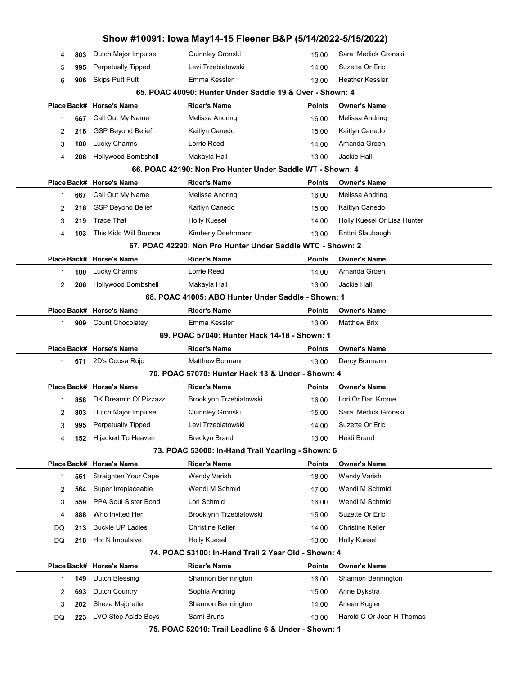|    |     |                          | Show #10091: Iowa May14-15 Fleener B&P (5/14/2022-5/15/2022) |               |                             |  |
|----|-----|--------------------------|--------------------------------------------------------------|---------------|-----------------------------|--|
| 4  | 803 | Dutch Major Impulse      | Quinnley Gronski                                             | 15.00         | Sara Medick Gronski         |  |
| 5  | 995 | Perpetually Tipped       | Levi Trzebiatowski                                           | 14.00         | Suzette Or Eric             |  |
| 6  | 906 | <b>Skips Putt Putt</b>   | Emma Kessler                                                 | 13.00         | <b>Heather Kessler</b>      |  |
|    |     |                          | 65. POAC 40090: Hunter Under Saddle 19 & Over - Shown: 4     |               |                             |  |
|    |     | Place Back# Horse's Name | <b>Rider's Name</b>                                          | <b>Points</b> | <b>Owner's Name</b>         |  |
| 1  | 667 | Call Out My Name         | Melissa Andring                                              | 16.00         | Melissa Andring             |  |
| 2  | 216 | <b>GSP Beyond Belief</b> | Kaitlyn Canedo                                               | 15.00         | Kaitlyn Canedo              |  |
| 3  | 100 | <b>Lucky Charms</b>      | Lorrie Reed                                                  | 14.00         | Amanda Groen                |  |
| 4  | 206 | Hollywood Bombshell      | Makayla Hall                                                 | 13.00         | Jackie Hall                 |  |
|    |     |                          | 66. POAC 42190: Non Pro Hunter Under Saddle WT - Shown: 4    |               |                             |  |
|    |     | Place Back# Horse's Name | <b>Rider's Name</b>                                          | <b>Points</b> | <b>Owner's Name</b>         |  |
| 1  | 667 | Call Out My Name         | Melissa Andring                                              | 16.00         | Melissa Andring             |  |
| 2  | 216 | <b>GSP Beyond Belief</b> | Kaitlyn Canedo                                               | 15.00         | Kaitlyn Canedo              |  |
| 3  | 219 | <b>Trace That</b>        | <b>Holly Kuesel</b>                                          | 14.00         | Holly Kuesel Or Lisa Hunter |  |
| 4  | 103 | This Kidd Will Bounce    | Kimberly Doehrmann                                           | 13.00         | Brittni Slaubaugh           |  |
|    |     |                          | 67. POAC 42290: Non Pro Hunter Under Saddle WTC - Shown: 2   |               |                             |  |
|    |     | Place Back# Horse's Name | Rider's Name                                                 | <b>Points</b> | <b>Owner's Name</b>         |  |
| 1  | 100 | <b>Lucky Charms</b>      | Lorrie Reed                                                  | 14.00         | Amanda Groen                |  |
| 2  | 206 | Hollywood Bombshell      | Makayla Hall                                                 | 13.00         | Jackie Hall                 |  |
|    |     |                          | 68. POAC 41005: ABO Hunter Under Saddle - Shown: 1           |               |                             |  |
|    |     | Place Back# Horse's Name | Rider's Name                                                 | Points        | <b>Owner's Name</b>         |  |
| 1  | 909 | Count Chocolatey         | Emma Kessler                                                 | 13.00         | <b>Matthew Brix</b>         |  |
|    |     |                          |                                                              |               |                             |  |
|    |     |                          | 69. POAC 57040: Hunter Hack 14-18 - Shown: 1                 |               |                             |  |
|    |     | Place Back# Horse's Name | Rider's Name                                                 | Points        | <b>Owner's Name</b>         |  |
| 1  | 671 | 2D's Coosa Rojo          | <b>Matthew Bormann</b>                                       | 13.00         | Darcy Bormann               |  |
|    |     |                          | 70. POAC 57070: Hunter Hack 13 & Under - Shown: 4            |               |                             |  |
|    |     | Place Back# Horse's Name | Rider's Name                                                 | Points        | <b>Owner's Name</b>         |  |
| 1  | 858 | DK Dreamin Of Pizzazz    | Brooklynn Trzebiatowski                                      | 16.00         | Lori Or Dan Krome           |  |
| 2  | 803 | Dutch Major Impulse      | Quinnley Gronski                                             | 15.00         | Sara Medick Gronski         |  |
| 3  | 995 | Perpetually Tipped       | Levi Trzebiatowski                                           | 14.00         | Suzette Or Eric             |  |
| 4  | 152 | Hijacked To Heaven       | <b>Breckyn Brand</b>                                         | 13.00         | Heidi Brand                 |  |
|    |     |                          | 73. POAC 53000: In-Hand Trail Yearling - Shown: 6            |               |                             |  |
|    |     | Place Back# Horse's Name | <b>Rider's Name</b>                                          | <b>Points</b> | <b>Owner's Name</b>         |  |
| 1  | 561 | Straighten Your Cape     | <b>Wendy Varish</b>                                          | 18.00         | <b>Wendy Varish</b>         |  |
| 2  | 564 | Super Irreplaceable      | Wendi M Schmid                                               | 17.00         | Wendi M Schmid              |  |
| 3  | 559 | PPA Soul Sister Bond     | Lori Schmid                                                  | 16.00         | Wendi M Schmid              |  |
| 4  | 888 | Who Invited Her          | Brooklynn Trzebiatowski                                      | 15.00         | Suzette Or Eric             |  |
| DQ | 213 | <b>Buckle UP Ladies</b>  | Christine Keller                                             | 14.00         | <b>Christine Keller</b>     |  |
| DQ | 218 | Hot N Impulsive          | <b>Holly Kuesel</b>                                          | 13.00         | <b>Holly Kuesel</b>         |  |
|    |     |                          | 74. POAC 53100: In-Hand Trail 2 Year Old - Shown: 4          |               |                             |  |
|    |     | Place Back# Horse's Name | Rider's Name                                                 | <b>Points</b> | <b>Owner's Name</b>         |  |
| 1  | 149 | Dutch Blessing           | Shannon Bennington                                           | 16.00         | Shannon Bennington          |  |
| 2  | 693 | Dutch Country            | Sophia Andring                                               | 15.00         | Anne Dykstra                |  |
| 3  | 202 | Sheza Majorette          | Shannon Bennington                                           | 14.00         | Arleen Kugler               |  |
| DQ | 223 | LVO Step Aside Boys      | Sami Bruns                                                   | 13.00         | Harold C Or Joan H Thomas   |  |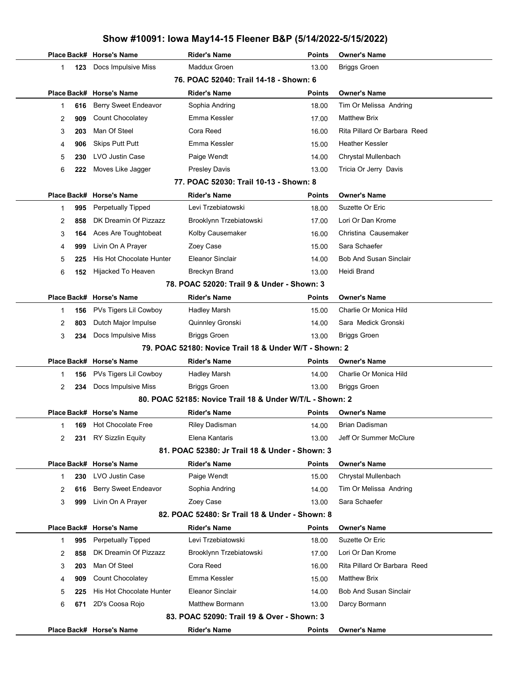## Show #10091: Iowa May14-15 Fleener B&P (5/14/2022-5/15/2022) Place Back# Horse's Name **Rider's Name Points Owner's Name** Points Owner's Name 123 Docs Impulsive Miss Maddux Groen 13.00 Briggs Groen 76. POAC 52040: Trail 14-18 - Shown: 6 Place Back# Horse's Name **Rider's Name Communist Communist Communist** Points Owner's Name 1 **616** Berry Sweet Endeavor Sophia Andring The State State of Tim Or Melissa Andring 2 909 Count Chocolatey **Emma Kessler** Matthew Brix 17.00 Matthew Brix 3 203 Man Of Steel Cora Reed Cora Reed 16.00 Rita Pillard Or Barbara Reed 4 906 Skips Putt Putt **Emma Kessler** Heather Kessler 15.00 Heather Kessler 5 230 LVO Justin Case **Paige Wendt** Provensition Chrystal Mullenbach Chrystal Mullenbach 6 222 Moves Like Jagger Presley Davis Presley Fricia Or Jerry Davis 77. POAC 52030: Trail 10-13 - Shown: 8 Place Back# Horse's Name **Rider's Name Communist Communist Communist** Points Owner's Name 1 995 Perpetually Tipped Levi Trzebiatowski 18.00 Suzette Or Eric 2 858 DK Dreamin Of Pizzazz Brooklynn Trzebiatowski 17.00 Lori Or Dan Krome 3 **164** Aces Are Toughtobeat Kolby Causemaker Christina Causemaker Christina Causemaker 4 999 Livin On A Prayer **Zoey Case** Sara Schaefer 15.00 Sara Schaefer 5 225 His Hot Chocolate Hunter Eleanor Sinclair **Bob And Susan Sinclair** 14.00 Bob And Susan Sinclair 6 152 Hijacked To Heaven Breckyn Brand 13.00 Heidi Brand 78. POAC 52020: Trail 9 & Under - Shown: 3 Place Back# Horse's Name **Rider's Name Points** Dwner's Name 1 156 PVs Tigers Lil Cowboy Hadley Marsh Charlie Or Monica Hild 15.00 Charlie Or Monica Hild 2 803 Dutch Major Impulse Guinnley Gronski Sara Medick Gronski Sara Medick Gronski 3 234 Docs Impulsive Miss Briggs Groen 13.00 Briggs Groen 79. POAC 52180: Novice Trail 18 & Under W/T - Shown: 2 Place Back# Horse's Name **Rider's Name Communist Communist Communist** Points Owner's Name 1 **156** PVs Tigers Lil Cowboy Hadley Marsh Charlie Or Monica Hild 14.00 Charlie Or Monica Hild 2 234 Docs Impulsive Miss Briggs Groen 13.00 Briggs Groen 80. POAC 52185: Novice Trail 18 & Under W/T/L - Shown: 2 Place Back# Horse's Name **Rider's Name Communist Communist Communist** Points Owner's Name 1 169 Hot Chocolate Free Riley Dadisman 14.00 Brian Dadisman 2 231 RY Sizzlin Equity **Elena Kantaris** 13.00 Jeff Or Summer McClure 81. POAC 52380: Jr Trail 18 & Under - Shown: 3 Place Back# Horse's Name **Rider's Name Communist Communist Communist** Points Owner's Name 1 230 LVO Justin Case **Paige Wendt** Chrystal Mullenbach 15.00 Chrystal Mullenbach 2 616 Berry Sweet Endeavor Sophia Andring Tim Or Melissa Andring 616 Berry Sweet Endeavor 3 999 Livin On A Prayer 20ey Case 13.00 Sara Schaefer 82. POAC 52480: Sr Trail 18 & Under - Shown: 8 Place Back# Horse's Name **Rider's Name Communist Communist Communist** Points Owner's Name 1 995 Perpetually Tipped Levi Trzebiatowski 18.00 Suzette Or Eric 2 858 DK Dreamin Of Pizzazz Brooklynn Trzebiatowski 17.00 Lori Or Dan Krome 3 203 Man Of Steel Cora Reed Cora Reed 16.00 Rita Pillard Or Barbara Reed 4 **909** Count Chocolatey **Emma Kessler** Matthew Brix 15.00 Matthew Brix 5 225 His Hot Chocolate Hunter Eleanor Sinclair 14.00 Bob And Susan Sinclair 6 671 2D's Coosa Rojo **Matthew Bormann** 13.00 Darcy Bormann 83. POAC 52090: Trail 19 & Over - Shown: 3 Place Back# Horse's Name **Rider's Name Communist Communist Communist** Points Owner's Name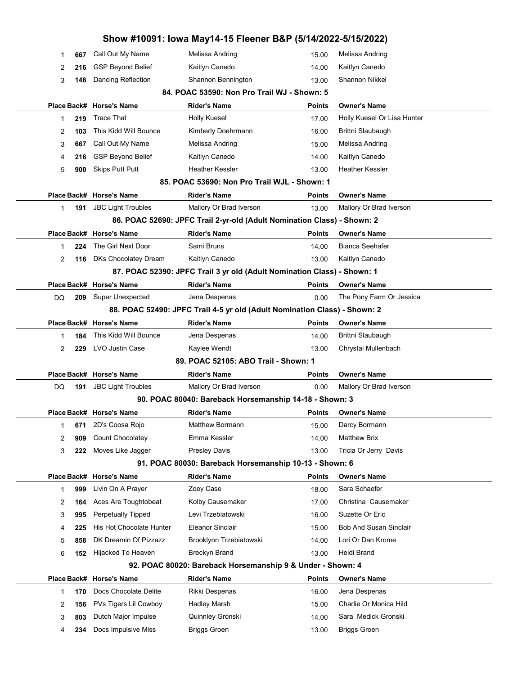|        |            |                                                       | Show #10091: Iowa May14-15 Fleener B&P (5/14/2022-5/15/2022)              |                        |                                            |  |
|--------|------------|-------------------------------------------------------|---------------------------------------------------------------------------|------------------------|--------------------------------------------|--|
| 1      | 667        | Call Out My Name                                      | Melissa Andring                                                           | 15.00                  | Melissa Andring                            |  |
| 2      | 216        | <b>GSP Beyond Belief</b>                              | Kaitlyn Canedo                                                            | 14.00                  | Kaitlyn Canedo<br>Shannon Nikkel           |  |
| 3      | 148        | Dancing Reflection                                    | Shannon Bennington<br>84. POAC 53590: Non Pro Trail WJ - Shown: 5         | 13.00                  |                                            |  |
|        |            |                                                       |                                                                           |                        |                                            |  |
|        |            | Place Back# Horse's Name<br><b>Trace That</b>         | Rider's Name                                                              | Points                 | Owner's Name                               |  |
| 1      | 219        | This Kidd Will Bounce                                 | <b>Holly Kuesel</b><br>Kimberly Doehrmann                                 | 17.00                  | Holly Kuesel Or Lisa Hunter                |  |
| 2      | 103        | Call Out My Name                                      |                                                                           | 16.00                  | Brittni Slaubaugh<br>Melissa Andring       |  |
| 3      | 667        |                                                       | Melissa Andring                                                           | 15.00                  |                                            |  |
| 4      | 216        | <b>GSP Beyond Belief</b>                              | Kaitlyn Canedo<br><b>Heather Kessler</b>                                  | 14.00                  | Kaitlyn Canedo<br>Heather Kessler          |  |
| 5      | 900        | <b>Skips Putt Putt</b>                                | 85. POAC 53690: Non Pro Trail WJL - Shown: 1                              | 13.00                  |                                            |  |
|        |            |                                                       |                                                                           |                        |                                            |  |
|        |            | Place Back# Horse's Name<br><b>JBC Light Troubles</b> | Rider's Name<br>Mallory Or Brad Iverson                                   | <b>Points</b><br>13.00 | Owner's Name<br>Mallory Or Brad Iverson    |  |
| 1      | 191        |                                                       | 86. POAC 52690: JPFC Trail 2-yr-old (Adult Nomination Class) - Shown: 2   |                        |                                            |  |
|        |            | Place Back# Horse's Name                              | <b>Rider's Name</b>                                                       |                        | <b>Owner's Name</b>                        |  |
| 1      | 224        | The Girl Next Door                                    | Sami Bruns                                                                | <b>Points</b><br>14.00 | Bianca Seehafer                            |  |
|        |            | <b>DKs Chocolatey Dream</b>                           | Kaitlyn Canedo                                                            |                        | Kaitlyn Canedo                             |  |
| 2      | 116        |                                                       | 87. POAC 52390: JPFC Trail 3 yr old (Adult Nomination Class) - Shown: 1   | 13.00                  |                                            |  |
|        |            |                                                       | <b>Rider's Name</b>                                                       |                        | <b>Owner's Name</b>                        |  |
| DQ     | 209        | Place Back# Horse's Name<br>Super Unexpected          | Jena Despenas                                                             | <b>Points</b><br>0.00  | The Pony Farm Or Jessica                   |  |
|        |            |                                                       | 88. POAC 52490: JPFC Trail 4-5 yr old (Adult Nomination Class) - Shown: 2 |                        |                                            |  |
|        |            | Place Back# Horse's Name                              | <b>Rider's Name</b>                                                       | <b>Points</b>          | <b>Owner's Name</b>                        |  |
| 1      | 184        | This Kidd Will Bounce                                 | Jena Despenas                                                             | 14.00                  | Brittni Slaubaugh                          |  |
|        | 229        | LVO Justin Case                                       | Kaylee Wendt                                                              | 13.00                  | Chrystal Mullenbach                        |  |
|        |            |                                                       |                                                                           |                        |                                            |  |
| 2      |            |                                                       |                                                                           |                        |                                            |  |
|        |            |                                                       | 89. POAC 52105: ABO Trail - Shown: 1                                      |                        |                                            |  |
|        |            | Place Back# Horse's Name                              | Rider's Name                                                              | <b>Points</b>          | <b>Owner's Name</b>                        |  |
| DQ     | 191        | <b>JBC Light Troubles</b>                             | Mallory Or Brad Iverson                                                   | 0.00                   | Mallory Or Brad Iverson                    |  |
|        |            |                                                       | 90. POAC 80040: Bareback Horsemanship 14-18 - Shown: 3                    |                        |                                            |  |
|        |            | Place Back# Horse's Name                              | Rider's Name                                                              | <b>Points</b>          | <b>Owner's Name</b>                        |  |
| 1      | 671        | 2D's Coosa Rojo                                       | <b>Matthew Bormann</b>                                                    | 15.00                  | Darcy Bormann                              |  |
| 2      | 909        | Count Chocolatey                                      | Emma Kessler                                                              | 14.00                  | <b>Matthew Brix</b>                        |  |
| 3      | 222        | Moves Like Jagger                                     | <b>Presley Davis</b>                                                      | 13.00                  | Tricia Or Jerry Davis                      |  |
|        |            |                                                       | 91. POAC 80030: Bareback Horsemanship 10-13 - Shown: 6                    |                        |                                            |  |
|        |            | Place Back# Horse's Name                              | <b>Rider's Name</b>                                                       | <b>Points</b>          | <b>Owner's Name</b>                        |  |
| 1      | 999        | Livin On A Prayer                                     | Zoey Case                                                                 | 18.00                  | Sara Schaefer                              |  |
| 2      | 164        | Aces Are Toughtobeat                                  | Kolby Causemaker                                                          | 17.00                  | Christina Causemaker                       |  |
| 3      | 995        | <b>Perpetually Tipped</b>                             | Levi Trzebiatowski                                                        | 16.00                  | Suzette Or Eric                            |  |
| 4      | 225        | His Hot Chocolate Hunter                              | Eleanor Sinclair                                                          | 15.00                  | <b>Bob And Susan Sinclair</b>              |  |
| 5      | 858        | DK Dreamin Of Pizzazz                                 | Brooklynn Trzebiatowski                                                   | 14.00                  | Lori Or Dan Krome                          |  |
| 6      | 152        | Hijacked To Heaven                                    | Breckyn Brand                                                             | 13.00                  | Heidi Brand                                |  |
|        |            |                                                       | 92. POAC 80020: Bareback Horsemanship 9 & Under - Shown: 4                |                        |                                            |  |
|        |            | Place Back# Horse's Name                              | Rider's Name                                                              | <b>Points</b>          | Owner's Name                               |  |
| 1      | 170        | Docs Chocolate Delite                                 | Rikki Despenas                                                            | 16.00                  | Jena Despenas                              |  |
| 2      | 156        | PVs Tigers Lil Cowboy                                 | Hadley Marsh                                                              | 15.00                  | Charlie Or Monica Hild                     |  |
| 3<br>4 | 803<br>234 | Dutch Major Impulse<br>Docs Impulsive Miss            | Quinnley Gronski<br><b>Briggs Groen</b>                                   | 14.00<br>13.00         | Sara Medick Gronski<br><b>Briggs Groen</b> |  |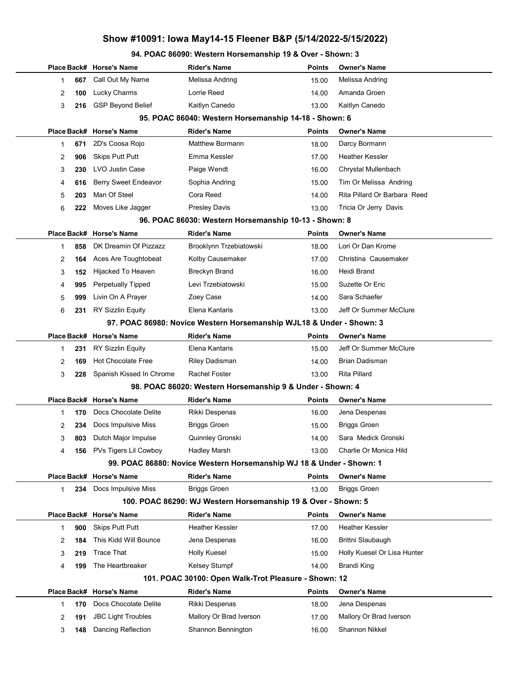## Show #10091: Iowa May14-15 Fleener B&P (5/14/2022-5/15/2022)

#### 94. POAC 86090: Western Horsemanship 19 & Over - Shown: 3

|   |     | Place Back# Horse's Name    | <b>Rider's Name</b>                                                  | Points        | <b>Owner's Name</b>          |
|---|-----|-----------------------------|----------------------------------------------------------------------|---------------|------------------------------|
| 1 | 667 | Call Out My Name            | Melissa Andring                                                      | 15.00         | Melissa Andring              |
| 2 | 100 | Lucky Charms                | Lorrie Reed                                                          | 14.00         | Amanda Groen                 |
| 3 | 216 | <b>GSP Beyond Belief</b>    | Kaitlyn Canedo                                                       | 13.00         | Kaitlyn Canedo               |
|   |     |                             | 95. POAC 86040: Western Horsemanship 14-18 - Shown: 6                |               |                              |
|   |     | Place Back# Horse's Name    | <b>Rider's Name</b>                                                  | <b>Points</b> | <b>Owner's Name</b>          |
| 1 | 671 | 2D's Coosa Rojo             | <b>Matthew Bormann</b>                                               | 18.00         | Darcy Bormann                |
| 2 | 906 | <b>Skips Putt Putt</b>      | Emma Kessler                                                         | 17.00         | <b>Heather Kessler</b>       |
| 3 | 230 | LVO Justin Case             | Paige Wendt                                                          | 16.00         | Chrystal Mullenbach          |
| 4 | 616 | <b>Berry Sweet Endeavor</b> | Sophia Andring                                                       | 15.00         | Tim Or Melissa Andring       |
| 5 | 203 | Man Of Steel                | Cora Reed                                                            | 14.00         | Rita Pillard Or Barbara Reed |
| 6 | 222 | Moves Like Jagger           | <b>Presley Davis</b>                                                 | 13.00         | Tricia Or Jerry Davis        |
|   |     |                             | 96. POAC 86030: Western Horsemanship 10-13 - Shown: 8                |               |                              |
|   |     | Place Back# Horse's Name    | <b>Rider's Name</b>                                                  | <b>Points</b> | <b>Owner's Name</b>          |
| 1 | 858 | DK Dreamin Of Pizzazz       | Brooklynn Trzebiatowski                                              | 18.00         | Lori Or Dan Krome            |
| 2 | 164 | Aces Are Toughtobeat        | Kolby Causemaker                                                     | 17.00         | Christina Causemaker         |
| 3 | 152 | Hijacked To Heaven          | <b>Breckyn Brand</b>                                                 | 16.00         | Heidi Brand                  |
| 4 | 995 | <b>Perpetually Tipped</b>   | Levi Trzebiatowski                                                   | 15.00         | Suzette Or Eric              |
| 5 | 999 | Livin On A Prayer           | Zoey Case                                                            | 14.00         | Sara Schaefer                |
| 6 | 231 | RY Sizzlin Equity           | Elena Kantaris                                                       | 13.00         | Jeff Or Summer McClure       |
|   |     |                             | 97. POAC 86980: Novice Western Horsemanship WJL18 & Under - Shown: 3 |               |                              |
|   |     | Place Back# Horse's Name    | <b>Rider's Name</b>                                                  | <b>Points</b> | <b>Owner's Name</b>          |
| 1 | 231 | <b>RY Sizzlin Equity</b>    | Elena Kantaris                                                       | 15.00         | Jeff Or Summer McClure       |
| 2 | 169 | <b>Hot Chocolate Free</b>   | Riley Dadisman                                                       | 14.00         | <b>Brian Dadisman</b>        |
| 3 | 228 | Spanish Kissed In Chrome    | <b>Rachel Foster</b>                                                 | 13.00         | <b>Rita Pillard</b>          |
|   |     |                             | 98. POAC 86020: Western Horsemanship 9 & Under - Shown: 4            |               |                              |
|   |     | Place Back# Horse's Name    | <b>Rider's Name</b>                                                  | <b>Points</b> | <b>Owner's Name</b>          |
| 1 | 170 | Docs Chocolate Delite       | Rikki Despenas                                                       | 16.00         | Jena Despenas                |
| 2 | 234 | Docs Impulsive Miss         | <b>Briggs Groen</b>                                                  | 15.00         | <b>Briggs Groen</b>          |
| 3 | 803 | Dutch Major Impulse         | Quinnley Gronski                                                     | 14.00         | Sara Medick Gronski          |
| 4 |     | 156 PVs Tigers Lil Cowboy   | Hadley Marsh                                                         | 13.00         | Charlie Or Monica Hild       |
|   |     |                             | 99. POAC 86880: Novice Western Horsemanship WJ 18 & Under - Shown: 1 |               |                              |
|   |     | Place Back# Horse's Name    | <b>Rider's Name</b>                                                  | <b>Points</b> | <b>Owner's Name</b>          |
| 1 | 234 | Docs Impulsive Miss         | <b>Briggs Groen</b>                                                  | 13.00         | <b>Briggs Groen</b>          |
|   |     |                             | 100. POAC 86290: WJ Western Horsemanship 19 & Over - Shown: 5        |               |                              |
|   |     | Place Back# Horse's Name    | <b>Rider's Name</b>                                                  | <b>Points</b> | <b>Owner's Name</b>          |
| 1 | 900 | <b>Skips Putt Putt</b>      | <b>Heather Kessler</b>                                               | 17.00         | <b>Heather Kessler</b>       |
| 2 | 184 | This Kidd Will Bounce       | Jena Despenas                                                        | 16.00         | Brittni Slaubaugh            |
| 3 | 219 | <b>Trace That</b>           | <b>Holly Kuesel</b>                                                  | 15.00         | Holly Kuesel Or Lisa Hunter  |
| 4 | 199 | The Heartbreaker            | Kelsey Stumpf                                                        | 14.00         | Brandi King                  |
|   |     |                             | 101. POAC 30100: Open Walk-Trot Pleasure - Shown: 12                 |               |                              |
|   |     | Place Back# Horse's Name    | <b>Rider's Name</b>                                                  | <b>Points</b> | <b>Owner's Name</b>          |
| 1 | 170 | Docs Chocolate Delite       | Rikki Despenas                                                       | 18.00         | Jena Despenas                |
| 2 | 191 | <b>JBC Light Troubles</b>   | Mallory Or Brad Iverson                                              | 17.00         | Mallory Or Brad Iverson      |
| 3 | 148 | Dancing Reflection          | Shannon Bennington                                                   | 16.00         | Shannon Nikkel               |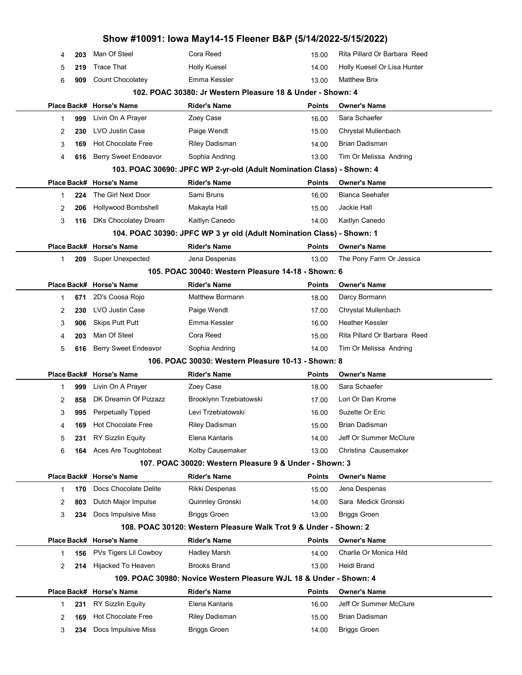|   |     |                           | Show #10091: Iowa May14-15 Fleener B&P (5/14/2022-5/15/2022)          |               |                              |  |
|---|-----|---------------------------|-----------------------------------------------------------------------|---------------|------------------------------|--|
| 4 | 203 | Man Of Steel              | Cora Reed                                                             | 15.00         | Rita Pillard Or Barbara Reed |  |
| 5 | 219 | <b>Trace That</b>         | <b>Holly Kuesel</b>                                                   | 14.00         | Holly Kuesel Or Lisa Hunter  |  |
| 6 | 909 | <b>Count Chocolatey</b>   | Emma Kessler                                                          | 13.00         | <b>Matthew Brix</b>          |  |
|   |     |                           | 102. POAC 30380: Jr Western Pleasure 18 & Under - Shown: 4            |               |                              |  |
|   |     | Place Back# Horse's Name  | Rider's Name                                                          | Points        | <b>Owner's Name</b>          |  |
| 1 | 999 | Livin On A Prayer         | Zoey Case                                                             | 16.00         | Sara Schaefer                |  |
| 2 | 230 | LVO Justin Case           | Paige Wendt                                                           | 15.00         | Chrystal Mullenbach          |  |
| 3 | 169 | <b>Hot Chocolate Free</b> | <b>Riley Dadisman</b>                                                 | 14.00         | Brian Dadisman               |  |
| 4 | 616 | Berry Sweet Endeavor      | Sophia Andring                                                        | 13.00         | Tim Or Melissa Andring       |  |
|   |     |                           | 103. POAC 30690: JPFC WP 2-yr-old (Adult Nomination Class) - Shown: 4 |               |                              |  |
|   |     | Place Back# Horse's Name  | <b>Rider's Name</b>                                                   | Points        | <b>Owner's Name</b>          |  |
| 1 | 224 | The Girl Next Door        | Sami Bruns                                                            | 16.00         | <b>Bianca Seehafer</b>       |  |
| 2 | 206 | Hollywood Bombshell       | Makayla Hall                                                          | 15.00         | Jackie Hall                  |  |
| 3 | 116 | DKs Chocolatey Dream      | Kaitlyn Canedo                                                        | 14.00         | Kaitlyn Canedo               |  |
|   |     |                           | 104. POAC 30390: JPFC WP 3 yr old (Adult Nomination Class) - Shown: 1 |               |                              |  |
|   |     | Place Back# Horse's Name  | <b>Rider's Name</b>                                                   | Points        | <b>Owner's Name</b>          |  |
| 1 | 209 | <b>Super Unexpected</b>   | Jena Despenas                                                         | 13.00         | The Pony Farm Or Jessica     |  |
|   |     |                           | 105. POAC 30040: Western Pleasure 14-18 - Shown: 6                    |               |                              |  |
|   |     | Place Back# Horse's Name  | <b>Rider's Name</b>                                                   | Points        | <b>Owner's Name</b>          |  |
| 1 | 671 | 2D's Coosa Rojo           | Matthew Bormann                                                       | 18.00         | Darcy Bormann                |  |
| 2 | 230 | LVO Justin Case           | Paige Wendt                                                           | 17.00         | Chrystal Mullenbach          |  |
| 3 | 906 | <b>Skips Putt Putt</b>    | Emma Kessler                                                          | 16.00         | <b>Heather Kessler</b>       |  |
| 4 | 203 | Man Of Steel              | Cora Reed                                                             | 15.00         | Rita Pillard Or Barbara Reed |  |
| 5 | 616 | Berry Sweet Endeavor      | Sophia Andring                                                        | 14.00         | Tim Or Melissa Andring       |  |
|   |     |                           | 106. POAC 30030: Western Pleasure 10-13 - Shown: 8                    |               |                              |  |
|   |     | Place Back# Horse's Name  | <b>Rider's Name</b>                                                   | Points        | <b>Owner's Name</b>          |  |
| 1 | 999 | Livin On A Prayer         | Zoey Case                                                             | 18.00         | Sara Schaefer                |  |
| 2 | 858 | DK Dreamin Of Pizzazz     | Brooklynn Trzebiatowski                                               | 17.00         | Lori Or Dan Krome            |  |
| 3 | 995 | <b>Perpetually Tipped</b> | Levi Trzebiatowski                                                    | 16.00         | Suzette Or Eric              |  |
| 4 | 169 | <b>Hot Chocolate Free</b> | Riley Dadisman                                                        | 15.00         | Brian Dadisman               |  |
| 5 | 231 | <b>RY Sizzlin Equity</b>  | Elena Kantaris                                                        | 14.00         | Jeff Or Summer McClure       |  |
| 6 | 164 | Aces Are Toughtobeat      | Kolby Causemaker                                                      | 13.00         | Christina Causemaker         |  |
|   |     |                           | 107. POAC 30020: Western Pleasure 9 & Under - Shown: 3                |               |                              |  |
|   |     | Place Back# Horse's Name  | <b>Rider's Name</b>                                                   | Points        | <b>Owner's Name</b>          |  |
| 1 | 170 | Docs Chocolate Delite     | Rikki Despenas                                                        | 15.00         | Jena Despenas                |  |
| 2 | 803 | Dutch Major Impulse       | Quinnley Gronski                                                      | 14.00         | Sara Medick Gronski          |  |
| 3 | 234 | Docs Impulsive Miss       | <b>Briggs Groen</b>                                                   | 13.00         | <b>Briggs Groen</b>          |  |
|   |     |                           | 108. POAC 30120: Western Pleasure Walk Trot 9 & Under - Shown: 2      |               |                              |  |
|   |     | Place Back# Horse's Name  | <b>Rider's Name</b>                                                   | Points        | <b>Owner's Name</b>          |  |
| 1 | 156 | PVs Tigers Lil Cowboy     | <b>Hadley Marsh</b>                                                   | 14.00         | Charlie Or Monica Hild       |  |
| 2 | 214 | Hijacked To Heaven        | <b>Brooks Brand</b>                                                   | 13.00         | Heidi Brand                  |  |
|   |     |                           | 109. POAC 30980: Novice Western Pleasure WJL 18 & Under - Shown: 4    |               |                              |  |
|   |     | Place Back# Horse's Name  | <b>Rider's Name</b>                                                   | <b>Points</b> | <b>Owner's Name</b>          |  |
| 1 | 231 | <b>RY Sizzlin Equity</b>  | Elena Kantaris                                                        | 16.00         | Jeff Or Summer McClure       |  |
|   |     | <b>Hot Chocolate Free</b> | Riley Dadisman                                                        |               | Brian Dadisman               |  |
| 2 | 169 |                           |                                                                       | 15.00         |                              |  |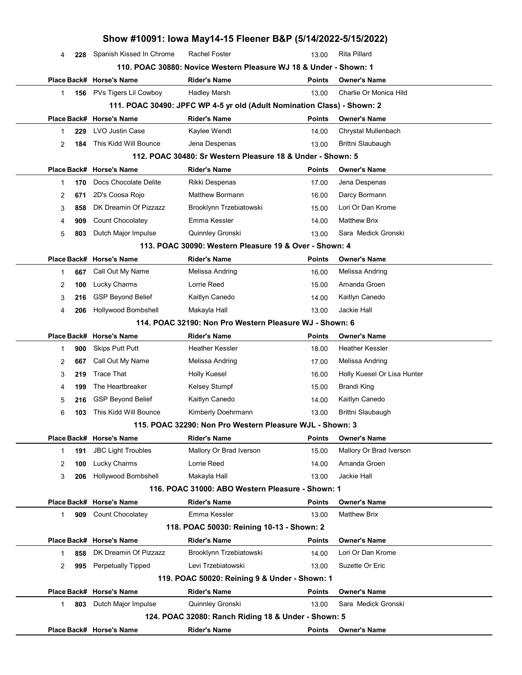|   |     |                           | Show #10091: Iowa May14-15 Fleener B&P (5/14/2022-5/15/2022)            |               |                             |
|---|-----|---------------------------|-------------------------------------------------------------------------|---------------|-----------------------------|
| 4 | 228 | Spanish Kissed In Chrome  | <b>Rachel Foster</b>                                                    | 13.00         | <b>Rita Pillard</b>         |
|   |     |                           | 110. POAC 30880: Novice Western Pleasure WJ 18 & Under - Shown: 1       |               |                             |
|   |     | Place Back# Horse's Name  | <b>Rider's Name</b>                                                     | <b>Points</b> | <b>Owner's Name</b>         |
| 1 | 156 | PVs Tigers Lil Cowboy     | <b>Hadley Marsh</b>                                                     | 13.00         | Charlie Or Monica Hild      |
|   |     |                           | 111. POAC 30490: JPFC WP 4-5 yr old (Adult Nomination Class) - Shown: 2 |               |                             |
|   |     | Place Back# Horse's Name  | <b>Rider's Name</b>                                                     | <b>Points</b> | <b>Owner's Name</b>         |
| 1 | 229 | LVO Justin Case           | Kaylee Wendt                                                            | 14.00         | Chrystal Mullenbach         |
| 2 | 184 | This Kidd Will Bounce     | Jena Despenas                                                           | 13.00         | Brittni Slaubaugh           |
|   |     |                           | 112. POAC 30480: Sr Western Pleasure 18 & Under - Shown: 5              |               |                             |
|   |     | Place Back# Horse's Name  | <b>Rider's Name</b>                                                     | <b>Points</b> | <b>Owner's Name</b>         |
| 1 | 170 | Docs Chocolate Delite     | Rikki Despenas                                                          | 17.00         | Jena Despenas               |
| 2 | 671 | 2D's Coosa Rojo           | <b>Matthew Bormann</b>                                                  | 16.00         | Darcy Bormann               |
| 3 | 858 | DK Dreamin Of Pizzazz     | Brooklynn Trzebiatowski                                                 | 15.00         | Lori Or Dan Krome           |
| 4 | 909 | Count Chocolatey          | Emma Kessler                                                            | 14.00         | <b>Matthew Brix</b>         |
| 5 | 803 | Dutch Major Impulse       | Quinnley Gronski                                                        | 13.00         | Sara Medick Gronski         |
|   |     |                           | 113. POAC 30090: Western Pleasure 19 & Over - Shown: 4                  |               |                             |
|   |     | Place Back# Horse's Name  | <b>Rider's Name</b>                                                     | <b>Points</b> | <b>Owner's Name</b>         |
| 1 | 667 | Call Out My Name          | Melissa Andring                                                         | 16.00         | Melissa Andring             |
| 2 | 100 | Lucky Charms              | Lorrie Reed                                                             | 15.00         | Amanda Groen                |
| 3 | 216 | <b>GSP Beyond Belief</b>  | Kaitlyn Canedo                                                          | 14.00         | Kaitlyn Canedo              |
| 4 | 206 | Hollywood Bombshell       | Makayla Hall                                                            | 13.00         | Jackie Hall                 |
|   |     |                           | 114. POAC 32190: Non Pro Western Pleasure WJ - Shown: 6                 |               |                             |
|   |     | Place Back# Horse's Name  | <b>Rider's Name</b>                                                     | <b>Points</b> | <b>Owner's Name</b>         |
| 1 | 900 | <b>Skips Putt Putt</b>    | <b>Heather Kessler</b>                                                  | 18.00         | <b>Heather Kessler</b>      |
| 2 | 667 | Call Out My Name          | Melissa Andring                                                         | 17.00         | Melissa Andring             |
| 3 | 219 | <b>Trace That</b>         | <b>Holly Kuesel</b>                                                     | 16.00         | Holly Kuesel Or Lisa Hunter |
| 4 | 199 | The Heartbreaker          | <b>Kelsey Stumpf</b>                                                    | 15.00         | Brandi King                 |
| 5 | 216 | <b>GSP Beyond Belief</b>  | Kaitlyn Canedo                                                          | 14.00         | Kaitlyn Canedo              |
| 6 | 103 | This Kidd Will Bounce     | Kimberly Doehrmann                                                      | 13.00         | Brittni Slaubaugh           |
|   |     |                           | 115. POAC 32290: Non Pro Western Pleasure WJL - Shown: 3                |               |                             |
|   |     | Place Back# Horse's Name  | <b>Rider's Name</b>                                                     | <b>Points</b> | <b>Owner's Name</b>         |
| 1 | 191 | <b>JBC Light Troubles</b> | Mallory Or Brad Iverson                                                 | 15.00         | Mallory Or Brad Iverson     |
| 2 | 100 | Lucky Charms              | Lorrie Reed                                                             | 14.00         | Amanda Groen                |
| 3 | 206 | Hollywood Bombshell       | Makayla Hall                                                            | 13.00         | Jackie Hall                 |
|   |     |                           | 116. POAC 31000: ABO Western Pleasure - Shown: 1                        |               |                             |
|   |     | Place Back# Horse's Name  | <b>Rider's Name</b>                                                     | <b>Points</b> | <b>Owner's Name</b>         |
| 1 | 909 | Count Chocolatey          | Emma Kessler                                                            | 13.00         | <b>Matthew Brix</b>         |
|   |     |                           | 118. POAC 50030: Reining 10-13 - Shown: 2                               |               |                             |
|   |     | Place Back# Horse's Name  | <b>Rider's Name</b>                                                     | <b>Points</b> | <b>Owner's Name</b>         |
| 1 | 858 | DK Dreamin Of Pizzazz     | Brooklynn Trzebiatowski                                                 | 14.00         | Lori Or Dan Krome           |
| 2 | 995 | Perpetually Tipped        | Levi Trzebiatowski                                                      | 13.00         | Suzette Or Eric             |
|   |     |                           | 119. POAC 50020: Reining 9 & Under - Shown: 1                           |               |                             |
|   |     | Place Back# Horse's Name  | <b>Rider's Name</b>                                                     | <b>Points</b> | <b>Owner's Name</b>         |
| 1 | 803 | Dutch Major Impulse       | Quinnley Gronski                                                        | 13.00         | Sara Medick Gronski         |
|   |     |                           | 124. POAC 32080: Ranch Riding 18 & Under - Shown: 5                     |               |                             |
|   |     | Place Back# Horse's Name  | <b>Rider's Name</b>                                                     | <b>Points</b> | <b>Owner's Name</b>         |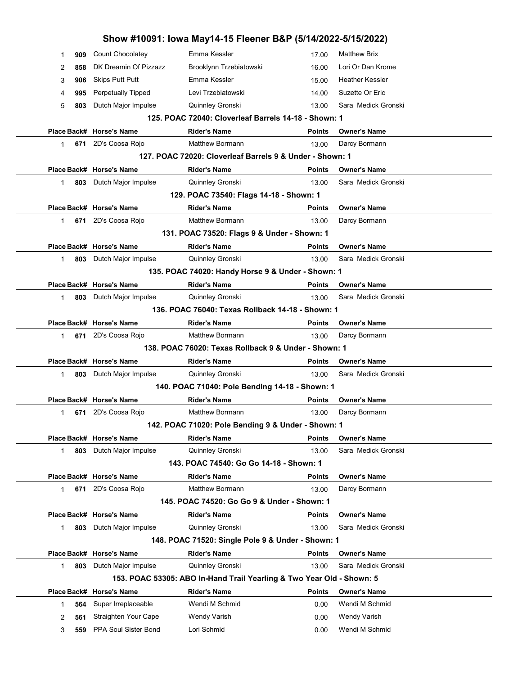|                                                  |     |                          | Show #10091: Iowa May14-15 Fleener B&P (5/14/2022-5/15/2022)          |               |                        |  |  |
|--------------------------------------------------|-----|--------------------------|-----------------------------------------------------------------------|---------------|------------------------|--|--|
| 1                                                | 909 | Count Chocolatey         | Emma Kessler                                                          | 17.00         | <b>Matthew Brix</b>    |  |  |
| 2                                                | 858 | DK Dreamin Of Pizzazz    | Brooklynn Trzebiatowski                                               | 16.00         | Lori Or Dan Krome      |  |  |
| 3                                                | 906 | <b>Skips Putt Putt</b>   | Emma Kessler                                                          | 15.00         | <b>Heather Kessler</b> |  |  |
| 4                                                | 995 | Perpetually Tipped       | Levi Trzebiatowski                                                    | 14.00         | Suzette Or Eric        |  |  |
| 5                                                | 803 | Dutch Major Impulse      | Quinnley Gronski                                                      | 13.00         | Sara Medick Gronski    |  |  |
|                                                  |     |                          | 125. POAC 72040: Cloverleaf Barrels 14-18 - Shown: 1                  |               |                        |  |  |
|                                                  |     | Place Back# Horse's Name | <b>Rider's Name</b>                                                   | Points        | <b>Owner's Name</b>    |  |  |
| $\mathbf 1$                                      |     | 671 2D's Coosa Rojo      | <b>Matthew Bormann</b>                                                | 13.00         | Darcy Bormann          |  |  |
|                                                  |     |                          | 127. POAC 72020: Cloverleaf Barrels 9 & Under - Shown: 1              |               |                        |  |  |
|                                                  |     | Place Back# Horse's Name | <b>Rider's Name</b>                                                   | Points        | <b>Owner's Name</b>    |  |  |
| $\mathbf{1}$                                     | 803 | Dutch Major Impulse      | Quinnley Gronski                                                      | 13.00         | Sara Medick Gronski    |  |  |
|                                                  |     |                          | 129. POAC 73540: Flags 14-18 - Shown: 1                               |               |                        |  |  |
|                                                  |     | Place Back# Horse's Name | <b>Rider's Name</b>                                                   | Points        | <b>Owner's Name</b>    |  |  |
| $\mathbf 1$                                      |     | 671 2D's Coosa Rojo      | <b>Matthew Bormann</b>                                                | 13.00         | Darcy Bormann          |  |  |
|                                                  |     |                          | 131. POAC 73520: Flags 9 & Under - Shown: 1                           |               |                        |  |  |
|                                                  |     | Place Back# Horse's Name | <b>Rider's Name</b>                                                   | <b>Points</b> | <b>Owner's Name</b>    |  |  |
| $\mathbf 1$                                      | 803 | Dutch Major Impulse      | Quinnley Gronski                                                      | 13.00         | Sara Medick Gronski    |  |  |
|                                                  |     |                          | 135. POAC 74020: Handy Horse 9 & Under - Shown: 1                     |               |                        |  |  |
|                                                  |     | Place Back# Horse's Name | <b>Rider's Name</b>                                                   | Points        | <b>Owner's Name</b>    |  |  |
| $\mathbf 1$                                      | 803 | Dutch Major Impulse      | Quinnley Gronski                                                      | 13.00         | Sara Medick Gronski    |  |  |
| 136. POAC 76040: Texas Rollback 14-18 - Shown: 1 |     |                          |                                                                       |               |                        |  |  |
|                                                  |     | Place Back# Horse's Name | <b>Rider's Name</b>                                                   | Points        | <b>Owner's Name</b>    |  |  |
| $\mathbf{1}$                                     |     | 671 2D's Coosa Rojo      | <b>Matthew Bormann</b>                                                | 13.00         | Darcy Bormann          |  |  |
|                                                  |     |                          | 138. POAC 76020: Texas Rollback 9 & Under - Shown: 1                  |               |                        |  |  |
|                                                  |     | Place Back# Horse's Name | <b>Rider's Name</b>                                                   | Points        | <b>Owner's Name</b>    |  |  |
| $\mathbf 1$                                      | 803 | Dutch Major Impulse      | Quinnley Gronski                                                      | 13.00         | Sara Medick Gronski    |  |  |
|                                                  |     |                          | 140. POAC 71040: Pole Bending 14-18 - Shown: 1                        |               |                        |  |  |
|                                                  |     | Place Back# Horse's Name | <b>Rider's Name</b>                                                   | Points        | <b>Owner's Name</b>    |  |  |
|                                                  |     | 671 2D's Coosa Rojo      | Matthew Bormann                                                       | 13.00         | Darcy Bormann          |  |  |
|                                                  |     |                          | 142. POAC 71020: Pole Bending 9 & Under - Shown: 1                    |               |                        |  |  |
|                                                  |     | Place Back# Horse's Name | <b>Rider's Name</b>                                                   | Points        | <b>Owner's Name</b>    |  |  |
| 1.                                               | 803 | Dutch Major Impulse      | Quinnley Gronski                                                      | 13.00         | Sara Medick Gronski    |  |  |
|                                                  |     |                          | 143. POAC 74540: Go Go 14-18 - Shown: 1                               |               |                        |  |  |
|                                                  |     | Place Back# Horse's Name | <b>Rider's Name</b>                                                   | Points        | <b>Owner's Name</b>    |  |  |
| $\mathbf{1}$                                     | 671 | 2D's Coosa Rojo          | <b>Matthew Bormann</b>                                                | 13.00         | Darcy Bormann          |  |  |
|                                                  |     |                          | 145. POAC 74520: Go Go 9 & Under - Shown: 1                           |               |                        |  |  |
|                                                  |     | Place Back# Horse's Name | <b>Rider's Name</b>                                                   | Points        | <b>Owner's Name</b>    |  |  |
| $\mathbf{1}$                                     | 803 | Dutch Major Impulse      | Quinnley Gronski                                                      | 13.00         | Sara Medick Gronski    |  |  |
|                                                  |     |                          | 148. POAC 71520: Single Pole 9 & Under - Shown: 1                     |               |                        |  |  |
|                                                  |     | Place Back# Horse's Name | <b>Rider's Name</b>                                                   | Points        | <b>Owner's Name</b>    |  |  |
| $\mathbf{1}$                                     | 803 | Dutch Major Impulse      | Quinnley Gronski                                                      | 13.00         | Sara Medick Gronski    |  |  |
|                                                  |     |                          | 153. POAC 53305: ABO In-Hand Trail Yearling & Two Year Old - Shown: 5 |               |                        |  |  |
|                                                  |     | Place Back# Horse's Name | <b>Rider's Name</b>                                                   | <b>Points</b> | <b>Owner's Name</b>    |  |  |
| 1                                                | 564 | Super Irreplaceable      | Wendi M Schmid                                                        | 0.00          | Wendi M Schmid         |  |  |
| 2                                                | 561 | Straighten Your Cape     | <b>Wendy Varish</b>                                                   | 0.00          | <b>Wendy Varish</b>    |  |  |
| 3                                                | 559 | PPA Soul Sister Bond     | Lori Schmid                                                           | 0.00          | Wendi M Schmid         |  |  |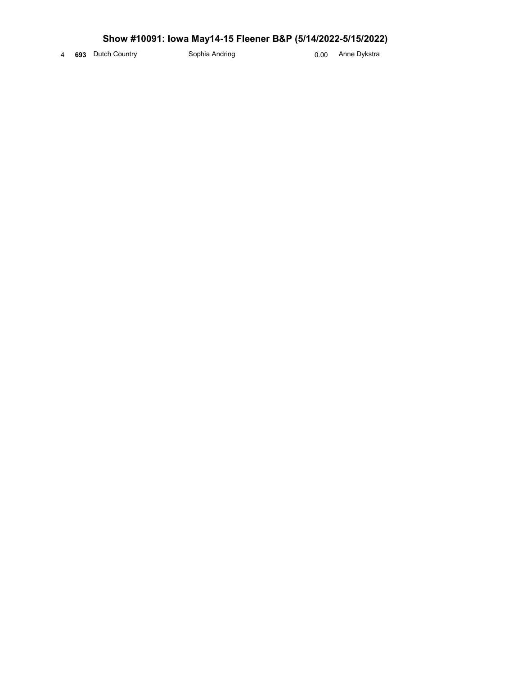## Show #10091: Iowa May14-15 Fleener B&P (5/14/2022-5/15/2022)

4 693 Dutch Country Sophia Andring Anne Dykstra 693 Dutch Country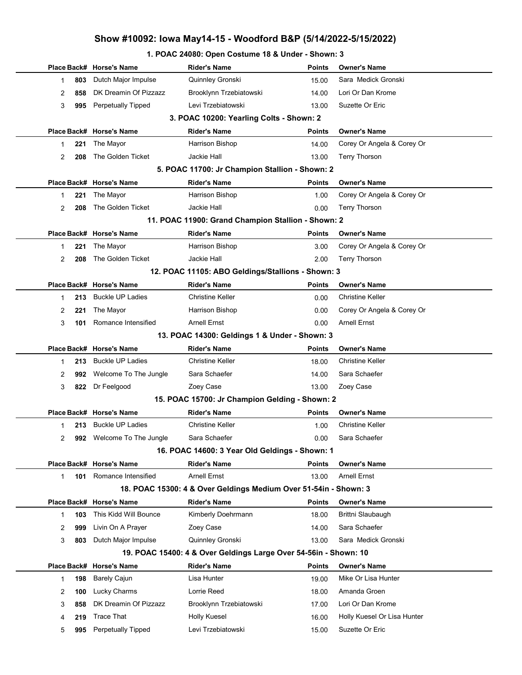#### 1. POAC 24080: Open Costume 18 & Under - Shown: 3

|                                               |     | Place Back# Horse's Name  | <b>Rider's Name</b>                                              | Points        | <b>Owner's Name</b>         |  |  |  |
|-----------------------------------------------|-----|---------------------------|------------------------------------------------------------------|---------------|-----------------------------|--|--|--|
| 1                                             | 803 | Dutch Major Impulse       | Quinnley Gronski                                                 | 15.00         | Sara Medick Gronski         |  |  |  |
| 2                                             | 858 | DK Dreamin Of Pizzazz     | Brooklynn Trzebiatowski                                          | 14.00         | Lori Or Dan Krome           |  |  |  |
| 3                                             | 995 | <b>Perpetually Tipped</b> | Levi Trzebiatowski                                               | 13.00         | Suzette Or Eric             |  |  |  |
|                                               |     |                           | 3. POAC 10200: Yearling Colts - Shown: 2                         |               |                             |  |  |  |
|                                               |     | Place Back# Horse's Name  | <b>Rider's Name</b>                                              | <b>Points</b> | <b>Owner's Name</b>         |  |  |  |
| 1.                                            | 221 | The Mayor                 | Harrison Bishop                                                  | 14.00         | Corey Or Angela & Corey Or  |  |  |  |
| $\overline{2}$                                | 208 | The Golden Ticket         | Jackie Hall                                                      | 13.00         | <b>Terry Thorson</b>        |  |  |  |
|                                               |     |                           | 5. POAC 11700: Jr Champion Stallion - Shown: 2                   |               |                             |  |  |  |
|                                               |     | Place Back# Horse's Name  | <b>Rider's Name</b>                                              | <b>Points</b> | <b>Owner's Name</b>         |  |  |  |
| 1                                             | 221 | The Mayor                 | Harrison Bishop                                                  | 1.00          | Corey Or Angela & Corey Or  |  |  |  |
| $\overline{2}$                                | 208 | The Golden Ticket         | Jackie Hall                                                      | 0.00          | <b>Terry Thorson</b>        |  |  |  |
|                                               |     |                           | 11. POAC 11900: Grand Champion Stallion - Shown: 2               |               |                             |  |  |  |
|                                               |     | Place Back# Horse's Name  | <b>Rider's Name</b>                                              | <b>Points</b> | <b>Owner's Name</b>         |  |  |  |
| 1                                             | 221 | The Mayor                 | Harrison Bishop                                                  | 3.00          | Corey Or Angela & Corey Or  |  |  |  |
| 2                                             | 208 | The Golden Ticket         | Jackie Hall                                                      | 2.00          | <b>Terry Thorson</b>        |  |  |  |
|                                               |     |                           | 12. POAC 11105: ABO Geldings/Stallions - Shown: 3                |               |                             |  |  |  |
|                                               |     | Place Back# Horse's Name  | <b>Rider's Name</b>                                              | <b>Points</b> | <b>Owner's Name</b>         |  |  |  |
| 1                                             | 213 | <b>Buckle UP Ladies</b>   | <b>Christine Keller</b>                                          | 0.00          | <b>Christine Keller</b>     |  |  |  |
| 2                                             | 221 | The Mayor                 | Harrison Bishop                                                  | 0.00          | Corey Or Angela & Corey Or  |  |  |  |
| 3                                             | 101 | Romance Intensified       | <b>Arnell Ernst</b>                                              | 0.00          | <b>Arnell Ernst</b>         |  |  |  |
| 13. POAC 14300: Geldings 1 & Under - Shown: 3 |     |                           |                                                                  |               |                             |  |  |  |
|                                               |     | Place Back# Horse's Name  | <b>Rider's Name</b>                                              | <b>Points</b> | <b>Owner's Name</b>         |  |  |  |
| 1                                             | 213 | <b>Buckle UP Ladies</b>   | <b>Christine Keller</b>                                          | 18.00         | <b>Christine Keller</b>     |  |  |  |
| 2                                             | 992 | Welcome To The Jungle     | Sara Schaefer                                                    | 14.00         | Sara Schaefer               |  |  |  |
| 3                                             | 822 | Dr Feelgood               | Zoey Case                                                        | 13.00         | Zoey Case                   |  |  |  |
|                                               |     |                           | 15. POAC 15700: Jr Champion Gelding - Shown: 2                   |               |                             |  |  |  |
|                                               |     | Place Back# Horse's Name  | <b>Rider's Name</b>                                              | <b>Points</b> | <b>Owner's Name</b>         |  |  |  |
| 1                                             | 213 | <b>Buckle UP Ladies</b>   | Christine Keller                                                 | 1.00          | <b>Christine Keller</b>     |  |  |  |
| 2                                             |     | 992 Welcome To The Jungle | Sara Schaefer                                                    | 0.00          | Sara Schaefer               |  |  |  |
|                                               |     |                           | 16. POAC 14600: 3 Year Old Geldings - Shown: 1                   |               |                             |  |  |  |
|                                               |     | Place Back# Horse's Name  | <b>Rider's Name</b>                                              | <b>Points</b> | <b>Owner's Name</b>         |  |  |  |
| 1.                                            | 101 | Romance Intensified       | <b>Arnell Ernst</b>                                              | 13.00         | <b>Arnell Ernst</b>         |  |  |  |
|                                               |     |                           | 18. POAC 15300: 4 & Over Geldings Medium Over 51-54in - Shown: 3 |               |                             |  |  |  |
|                                               |     | Place Back# Horse's Name  | <b>Rider's Name</b>                                              | <b>Points</b> | <b>Owner's Name</b>         |  |  |  |
| 1                                             | 103 | This Kidd Will Bounce     | Kimberly Doehrmann                                               | 18.00         | Brittni Slaubaugh           |  |  |  |
| 2                                             | 999 | Livin On A Prayer         | Zoey Case                                                        | 14.00         | Sara Schaefer               |  |  |  |
| 3                                             | 803 | Dutch Major Impulse       | Quinnley Gronski                                                 | 13.00         | Sara Medick Gronski         |  |  |  |
|                                               |     |                           | 19. POAC 15400: 4 & Over Geldings Large Over 54-56in - Shown: 10 |               |                             |  |  |  |
|                                               |     | Place Back# Horse's Name  | <b>Rider's Name</b>                                              | <b>Points</b> | <b>Owner's Name</b>         |  |  |  |
| 1.                                            | 198 | <b>Barely Cajun</b>       | Lisa Hunter                                                      | 19.00         | Mike Or Lisa Hunter         |  |  |  |
| 2                                             | 100 | Lucky Charms              | Lorrie Reed                                                      | 18.00         | Amanda Groen                |  |  |  |
| 3                                             | 858 | DK Dreamin Of Pizzazz     | Brooklynn Trzebiatowski                                          | 17.00         | Lori Or Dan Krome           |  |  |  |
| 4                                             | 219 | <b>Trace That</b>         | <b>Holly Kuesel</b>                                              | 16.00         | Holly Kuesel Or Lisa Hunter |  |  |  |
| 5                                             | 995 | <b>Perpetually Tipped</b> | Levi Trzebiatowski                                               | 15.00         | Suzette Or Eric             |  |  |  |
|                                               |     |                           |                                                                  |               |                             |  |  |  |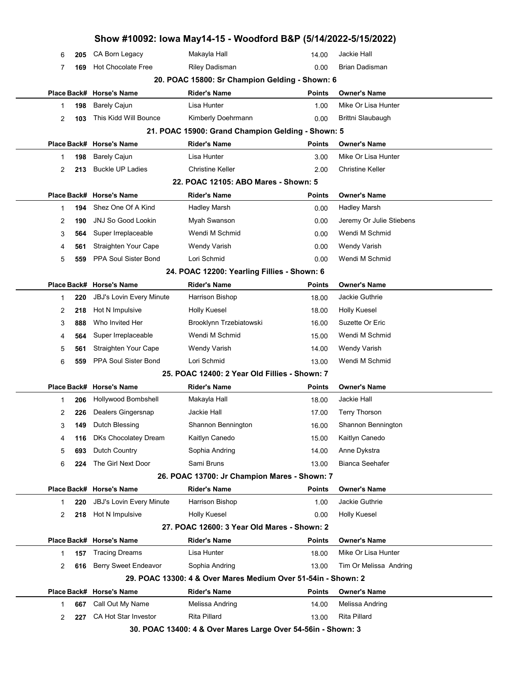|   |     |                                 | Show #10092: Iowa May14-15 - Woodford B&P (5/14/2022-5/15/2022) |               |                          |  |
|---|-----|---------------------------------|-----------------------------------------------------------------|---------------|--------------------------|--|
| 6 | 205 | CA Born Legacy                  | Makayla Hall                                                    | 14.00         | Jackie Hall              |  |
| 7 | 169 | <b>Hot Chocolate Free</b>       | <b>Riley Dadisman</b>                                           | 0.00          | Brian Dadisman           |  |
|   |     |                                 | 20. POAC 15800: Sr Champion Gelding - Shown: 6                  |               |                          |  |
|   |     | Place Back# Horse's Name        | <b>Rider's Name</b>                                             | <b>Points</b> | <b>Owner's Name</b>      |  |
| 1 | 198 | <b>Barely Cajun</b>             | Lisa Hunter                                                     | 1.00          | Mike Or Lisa Hunter      |  |
| 2 | 103 | This Kidd Will Bounce           | Kimberly Doehrmann                                              | 0.00          | Brittni Slaubaugh        |  |
|   |     |                                 | 21. POAC 15900: Grand Champion Gelding - Shown: 5               |               |                          |  |
|   |     | Place Back# Horse's Name        | <b>Rider's Name</b>                                             | Points        | <b>Owner's Name</b>      |  |
| 1 | 198 | <b>Barely Cajun</b>             | Lisa Hunter                                                     | 3.00          | Mike Or Lisa Hunter      |  |
| 2 | 213 | <b>Buckle UP Ladies</b>         | <b>Christine Keller</b>                                         | 2.00          | <b>Christine Keller</b>  |  |
|   |     |                                 | 22. POAC 12105: ABO Mares - Shown: 5                            |               |                          |  |
|   |     | Place Back# Horse's Name        | <b>Rider's Name</b>                                             | Points        | <b>Owner's Name</b>      |  |
| 1 | 194 | Shez One Of A Kind              | <b>Hadley Marsh</b>                                             | 0.00          | <b>Hadley Marsh</b>      |  |
| 2 | 190 | <b>JNJ So Good Lookin</b>       | Myah Swanson                                                    | 0.00          | Jeremy Or Julie Stiebens |  |
| 3 | 564 | Super Irreplaceable             | Wendi M Schmid                                                  | 0.00          | Wendi M Schmid           |  |
| 4 | 561 | Straighten Your Cape            | <b>Wendy Varish</b>                                             | 0.00          | <b>Wendy Varish</b>      |  |
| 5 | 559 | PPA Soul Sister Bond            | Lori Schmid                                                     | 0.00          | Wendi M Schmid           |  |
|   |     |                                 | 24. POAC 12200: Yearling Fillies - Shown: 6                     |               |                          |  |
|   |     | Place Back# Horse's Name        | <b>Rider's Name</b>                                             | Points        | <b>Owner's Name</b>      |  |
| 1 | 220 | <b>JBJ's Lovin Every Minute</b> | Harrison Bishop                                                 | 18.00         | Jackie Guthrie           |  |
| 2 | 218 | Hot N Impulsive                 | Holly Kuesel                                                    | 18.00         | <b>Holly Kuesel</b>      |  |
| 3 | 888 | Who Invited Her                 | Brooklynn Trzebiatowski                                         | 16.00         | Suzette Or Eric          |  |
| 4 | 564 | Super Irreplaceable             | Wendi M Schmid                                                  | 15.00         | Wendi M Schmid           |  |
| 5 | 561 | Straighten Your Cape            | <b>Wendy Varish</b>                                             | 14.00         | <b>Wendy Varish</b>      |  |
| 6 | 559 | PPA Soul Sister Bond            | Lori Schmid                                                     | 13.00         | Wendi M Schmid           |  |
|   |     |                                 | 25. POAC 12400: 2 Year Old Fillies - Shown: 7                   |               |                          |  |
|   |     | Place Back# Horse's Name        | <b>Rider's Name</b>                                             | Points        | <b>Owner's Name</b>      |  |
| 1 | 206 | Hollywood Bombshell             | Makayla Hall                                                    | 18.00         | Jackie Hall              |  |
| 2 | 226 | Dealers Gingersnap              | Jackie Hall                                                     | 17.00         | <b>Terry Thorson</b>     |  |
| 3 | 149 | Dutch Blessing                  | Shannon Bennington                                              | 16.00         | Shannon Bennington       |  |
| 4 | 116 | <b>DKs Chocolatey Dream</b>     | Kaitlyn Canedo                                                  | 15.00         | Kaitlyn Canedo           |  |
| 5 | 693 | Dutch Country                   | Sophia Andring                                                  | 14.00         | Anne Dykstra             |  |
| 6 | 224 | The Girl Next Door              | Sami Bruns                                                      | 13.00         | <b>Bianca Seehafer</b>   |  |
|   |     |                                 | 26. POAC 13700: Jr Champion Mares - Shown: 7                    |               |                          |  |
|   |     | Place Back# Horse's Name        | <b>Rider's Name</b>                                             | Points        | <b>Owner's Name</b>      |  |
| 1 | 220 | <b>JBJ's Lovin Every Minute</b> | Harrison Bishop                                                 | 1.00          | Jackie Guthrie           |  |
| 2 | 218 | Hot N Impulsive                 | Holly Kuesel                                                    | 0.00          | <b>Holly Kuesel</b>      |  |
|   |     |                                 | 27. POAC 12600: 3 Year Old Mares - Shown: 2                     |               |                          |  |
|   |     | Place Back# Horse's Name        | <b>Rider's Name</b>                                             | Points        | <b>Owner's Name</b>      |  |
| 1 | 157 | <b>Tracing Dreams</b>           | Lisa Hunter                                                     | 18.00         | Mike Or Lisa Hunter      |  |
| 2 | 616 | <b>Berry Sweet Endeavor</b>     | Sophia Andring                                                  | 13.00         | Tim Or Melissa Andring   |  |
|   |     |                                 | 29. POAC 13300: 4 & Over Mares Medium Over 51-54in - Shown: 2   |               |                          |  |
|   |     | Place Back# Horse's Name        | <b>Rider's Name</b>                                             | Points        | <b>Owner's Name</b>      |  |
| 1 | 667 | Call Out My Name                | Melissa Andring                                                 | 14.00         | Melissa Andring          |  |
| 2 | 227 | CA Hot Star Investor            | <b>Rita Pillard</b>                                             | 13.00         | <b>Rita Pillard</b>      |  |
|   |     |                                 | 30. POAC 13400: 4 & Over Mares Large Over 54-56in - Shown: 3    |               |                          |  |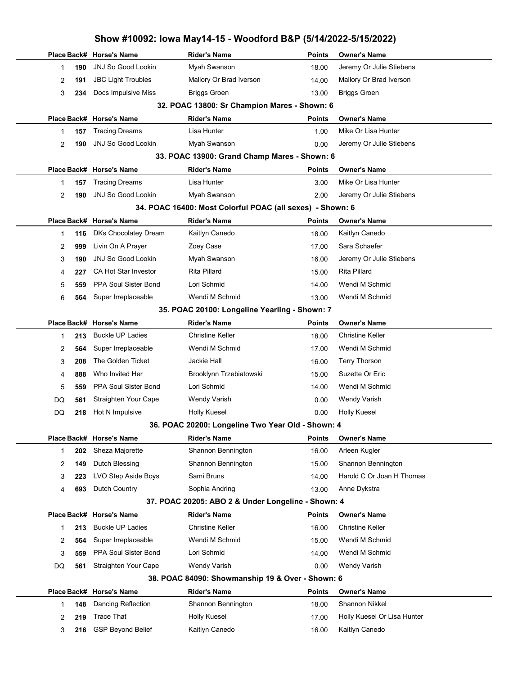|    |     |                                             | Show #10092: Iowa May14-15 - Woodford B&P (5/14/2022-5/15/2022) |                        |                               |  |
|----|-----|---------------------------------------------|-----------------------------------------------------------------|------------------------|-------------------------------|--|
|    |     | Place Back# Horse's Name                    | <b>Rider's Name</b>                                             | <b>Points</b>          | <b>Owner's Name</b>           |  |
| 1  | 190 | <b>JNJ So Good Lookin</b>                   | Myah Swanson                                                    | 18.00                  | Jeremy Or Julie Stiebens      |  |
| 2  | 191 | <b>JBC Light Troubles</b>                   | Mallory Or Brad Iverson                                         | 14.00                  | Mallory Or Brad Iverson       |  |
| 3  | 234 | Docs Impulsive Miss                         | <b>Briggs Groen</b>                                             | 13.00                  | <b>Briggs Groen</b>           |  |
|    |     |                                             | 32. POAC 13800: Sr Champion Mares - Shown: 6                    |                        |                               |  |
|    |     | Place Back# Horse's Name                    | <b>Rider's Name</b>                                             | <b>Points</b>          | <b>Owner's Name</b>           |  |
| 1  | 157 | <b>Tracing Dreams</b>                       | Lisa Hunter                                                     | 1.00                   | Mike Or Lisa Hunter           |  |
| 2  | 190 | <b>JNJ So Good Lookin</b>                   | Myah Swanson                                                    | 0.00                   | Jeremy Or Julie Stiebens      |  |
|    |     |                                             | 33. POAC 13900: Grand Champ Mares - Shown: 6                    |                        |                               |  |
|    |     | Place Back# Horse's Name                    | <b>Rider's Name</b>                                             | <b>Points</b>          | <b>Owner's Name</b>           |  |
| 1  | 157 | <b>Tracing Dreams</b>                       | Lisa Hunter                                                     | 3.00                   | Mike Or Lisa Hunter           |  |
| 2  | 190 | <b>JNJ So Good Lookin</b>                   | Myah Swanson                                                    | 2.00                   | Jeremy Or Julie Stiebens      |  |
|    |     |                                             | 34. POAC 16400: Most Colorful POAC (all sexes) - Shown: 6       |                        |                               |  |
|    |     | Place Back# Horse's Name                    | <b>Rider's Name</b>                                             | <b>Points</b>          | <b>Owner's Name</b>           |  |
| 1  | 116 | DKs Chocolatey Dream                        | Kaitlyn Canedo                                                  | 18.00                  | Kaitlyn Canedo                |  |
| 2  | 999 | Livin On A Prayer                           | Zoey Case                                                       | 17.00                  | Sara Schaefer                 |  |
| 3  | 190 | <b>JNJ So Good Lookin</b>                   | Myah Swanson                                                    | 16.00                  | Jeremy Or Julie Stiebens      |  |
| 4  | 227 | <b>CA Hot Star Investor</b>                 | <b>Rita Pillard</b>                                             | 15.00                  | <b>Rita Pillard</b>           |  |
| 5  | 559 | PPA Soul Sister Bond                        | Lori Schmid                                                     | 14.00                  | Wendi M Schmid                |  |
| 6  | 564 | Super Irreplaceable                         | Wendi M Schmid                                                  | 13.00                  | Wendi M Schmid                |  |
|    |     |                                             | 35. POAC 20100: Longeline Yearling - Shown: 7                   |                        |                               |  |
|    |     | Place Back# Horse's Name                    | <b>Rider's Name</b>                                             | <b>Points</b>          | <b>Owner's Name</b>           |  |
| 1  | 213 | <b>Buckle UP Ladies</b>                     | <b>Christine Keller</b>                                         | 18.00                  | <b>Christine Keller</b>       |  |
| 2  | 564 | Super Irreplaceable                         | Wendi M Schmid                                                  | 17.00                  | Wendi M Schmid                |  |
| 3  | 208 | The Golden Ticket                           | Jackie Hall                                                     | 16.00                  | <b>Terry Thorson</b>          |  |
| 4  | 888 | Who Invited Her                             | Brooklynn Trzebiatowski                                         | 15.00                  | Suzette Or Eric               |  |
| 5  | 559 | PPA Soul Sister Bond                        | Lori Schmid                                                     | 14.00                  | Wendi M Schmid                |  |
| DQ | 561 | Straighten Your Cape                        | <b>Wendy Varish</b>                                             | 0.00                   | <b>Wendy Varish</b>           |  |
| DQ | 218 | Hot N Impulsive                             | <b>Holly Kuesel</b>                                             | 0.00                   | <b>Holly Kuesel</b>           |  |
|    |     |                                             | 36. POAC 20200: Longeline Two Year Old - Shown: 4               |                        |                               |  |
| 1  | 202 | Place Back# Horse's Name<br>Sheza Majorette | <b>Rider's Name</b><br>Shannon Bennington                       | <b>Points</b><br>16.00 | Owner's Name<br>Arleen Kugler |  |
| 2  | 149 | Dutch Blessing                              | Shannon Bennington                                              | 15.00                  | Shannon Bennington            |  |
| 3  | 223 | LVO Step Aside Boys                         | Sami Bruns                                                      | 14.00                  | Harold C Or Joan H Thomas     |  |
| 4  | 693 | Dutch Country                               | Sophia Andring                                                  | 13.00                  | Anne Dykstra                  |  |
|    |     |                                             | 37. POAC 20205: ABO 2 & Under Longeline - Shown: 4              |                        |                               |  |
|    |     | Place Back# Horse's Name                    | <b>Rider's Name</b>                                             | <b>Points</b>          | <b>Owner's Name</b>           |  |
| 1  | 213 | <b>Buckle UP Ladies</b>                     | <b>Christine Keller</b>                                         | 16.00                  | <b>Christine Keller</b>       |  |
| 2  | 564 | Super Irreplaceable                         | Wendi M Schmid                                                  | 15.00                  | Wendi M Schmid                |  |
| 3  | 559 | PPA Soul Sister Bond                        | Lori Schmid                                                     | 14.00                  | Wendi M Schmid                |  |
| DQ | 561 | Straighten Your Cape                        | <b>Wendy Varish</b>                                             | 0.00                   | <b>Wendy Varish</b>           |  |
|    |     |                                             | 38. POAC 84090: Showmanship 19 & Over - Shown: 6                |                        |                               |  |
|    |     | Place Back# Horse's Name                    | <b>Rider's Name</b>                                             | <b>Points</b>          | <b>Owner's Name</b>           |  |
| 1  | 148 | Dancing Reflection                          | Shannon Bennington                                              | 18.00                  | <b>Shannon Nikkel</b>         |  |
| 2  | 219 | <b>Trace That</b>                           | <b>Holly Kuesel</b>                                             | 17.00                  | Holly Kuesel Or Lisa Hunter   |  |
| 3  | 216 | <b>GSP Beyond Belief</b>                    | Kaitlyn Canedo                                                  | 16.00                  | Kaitlyn Canedo                |  |
|    |     |                                             |                                                                 |                        |                               |  |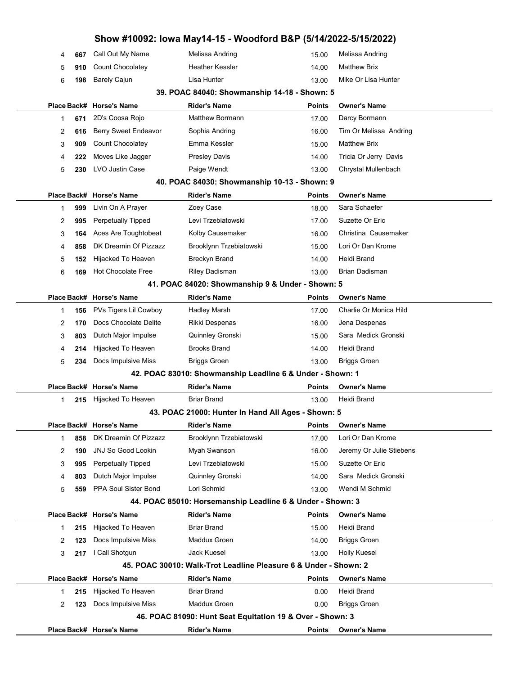|             |     |                             | Show #10092: Iowa May14-15 - Woodford B&P (5/14/2022-5/15/2022)  |               |                          |  |
|-------------|-----|-----------------------------|------------------------------------------------------------------|---------------|--------------------------|--|
| 4           | 667 | Call Out My Name            | Melissa Andring                                                  | 15.00         | Melissa Andring          |  |
| 5           | 910 | Count Chocolatey            | <b>Heather Kessler</b>                                           | 14.00         | <b>Matthew Brix</b>      |  |
| 6           | 198 | <b>Barely Cajun</b>         | Lisa Hunter                                                      | 13.00         | Mike Or Lisa Hunter      |  |
|             |     |                             | 39. POAC 84040: Showmanship 14-18 - Shown: 5                     |               |                          |  |
| Place Back# |     | <b>Horse's Name</b>         | <b>Rider's Name</b>                                              | Points        | <b>Owner's Name</b>      |  |
| 1           | 671 | 2D's Coosa Rojo             | <b>Matthew Bormann</b>                                           | 17.00         | Darcy Bormann            |  |
| 2           | 616 | <b>Berry Sweet Endeavor</b> | Sophia Andring                                                   | 16.00         | Tim Or Melissa Andring   |  |
| 3           | 909 | Count Chocolatey            | Emma Kessler                                                     | 15.00         | <b>Matthew Brix</b>      |  |
| 4           | 222 | Moves Like Jagger           | <b>Presley Davis</b>                                             | 14.00         | Tricia Or Jerry Davis    |  |
| 5           | 230 | LVO Justin Case             | Paige Wendt                                                      | 13.00         | Chrystal Mullenbach      |  |
|             |     |                             | 40. POAC 84030: Showmanship 10-13 - Shown: 9                     |               |                          |  |
|             |     | Place Back# Horse's Name    | <b>Rider's Name</b>                                              | Points        | <b>Owner's Name</b>      |  |
| 1           | 999 | Livin On A Prayer           | Zoey Case                                                        | 18.00         | Sara Schaefer            |  |
| 2           | 995 | <b>Perpetually Tipped</b>   | Levi Trzebiatowski                                               | 17.00         | Suzette Or Eric          |  |
| 3           | 164 | Aces Are Toughtobeat        | Kolby Causemaker                                                 | 16.00         | Christina Causemaker     |  |
| 4           | 858 | DK Dreamin Of Pizzazz       | Brooklynn Trzebiatowski                                          | 15.00         | Lori Or Dan Krome        |  |
| 5           | 152 | Hijacked To Heaven          | <b>Breckyn Brand</b>                                             | 14.00         | Heidi Brand              |  |
| 6           | 169 | <b>Hot Chocolate Free</b>   | <b>Riley Dadisman</b>                                            | 13.00         | <b>Brian Dadisman</b>    |  |
|             |     |                             | 41. POAC 84020: Showmanship 9 & Under - Shown: 5                 |               |                          |  |
|             |     | Place Back# Horse's Name    | <b>Rider's Name</b>                                              | Points        | <b>Owner's Name</b>      |  |
| 1           | 156 | PVs Tigers Lil Cowboy       | Hadley Marsh                                                     | 17.00         | Charlie Or Monica Hild   |  |
| 2           | 170 | Docs Chocolate Delite       | Rikki Despenas                                                   | 16.00         | Jena Despenas            |  |
| 3           | 803 | Dutch Major Impulse         | Quinnley Gronski                                                 | 15.00         | Sara Medick Gronski      |  |
| 4           | 214 | Hijacked To Heaven          | <b>Brooks Brand</b>                                              | 14.00         | Heidi Brand              |  |
| 5           | 234 | Docs Impulsive Miss         | <b>Briggs Groen</b>                                              | 13.00         | <b>Briggs Groen</b>      |  |
|             |     |                             | 42. POAC 83010: Showmanship Leadline 6 & Under - Shown: 1        |               |                          |  |
|             |     | Place Back# Horse's Name    | <b>Rider's Name</b>                                              | Points        | <b>Owner's Name</b>      |  |
| 1           | 215 | Hijacked To Heaven          | <b>Briar Brand</b>                                               | 13.00         | Heidi Brand              |  |
|             |     |                             | 43. POAC 21000: Hunter In Hand All Ages - Shown: 5               |               |                          |  |
|             |     | Place Back# Horse's Name    | Rider's Name                                                     | Points        | <b>Owner's Name</b>      |  |
| 1           | 858 | DK Dreamin Of Pizzazz       | Brooklynn Trzebiatowski                                          | 17.00         | Lori Or Dan Krome        |  |
| 2           | 190 | <b>JNJ So Good Lookin</b>   | Myah Swanson                                                     | 16.00         | Jeremy Or Julie Stiebens |  |
| 3           | 995 | <b>Perpetually Tipped</b>   | Levi Trzebiatowski                                               | 15.00         | Suzette Or Eric          |  |
| 4           | 803 | Dutch Major Impulse         | Quinnley Gronski                                                 | 14.00         | Sara Medick Gronski      |  |
| 5           | 559 | PPA Soul Sister Bond        | Lori Schmid                                                      | 13.00         | Wendi M Schmid           |  |
|             |     |                             | 44. POAC 85010: Horsemanship Leadline 6 & Under - Shown: 3       |               |                          |  |
|             |     | Place Back# Horse's Name    | <b>Rider's Name</b>                                              | Points        | <b>Owner's Name</b>      |  |
| 1           | 215 | Hijacked To Heaven          | <b>Briar Brand</b>                                               | 15.00         | Heidi Brand              |  |
| 2           | 123 | Docs Impulsive Miss         | Maddux Groen                                                     | 14.00         | <b>Briggs Groen</b>      |  |
| 3           | 217 | I Call Shotgun              | <b>Jack Kuesel</b>                                               | 13.00         | <b>Holly Kuesel</b>      |  |
|             |     |                             | 45. POAC 30010: Walk-Trot Leadline Pleasure 6 & Under - Shown: 2 |               |                          |  |
|             |     | Place Back# Horse's Name    | <b>Rider's Name</b>                                              | Points        | <b>Owner's Name</b>      |  |
| 1           | 215 | Hijacked To Heaven          | <b>Briar Brand</b>                                               | 0.00          | Heidi Brand              |  |
| 2           | 123 | Docs Impulsive Miss         | Maddux Groen                                                     | 0.00          | <b>Briggs Groen</b>      |  |
|             |     |                             | 46. POAC 81090: Hunt Seat Equitation 19 & Over - Shown: 3        |               |                          |  |
|             |     | Place Back# Horse's Name    | <b>Rider's Name</b>                                              | <b>Points</b> | <b>Owner's Name</b>      |  |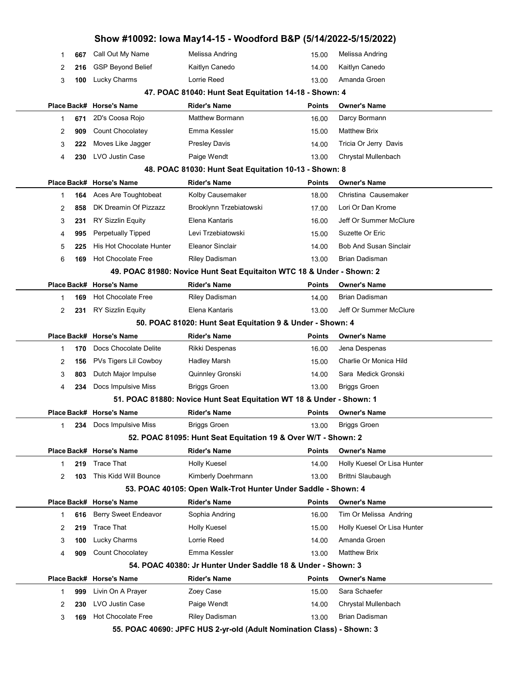|                                                           |     |                           | Show #10092: Iowa May14-15 - Woodford B&P (5/14/2022-5/15/2022)       |               |                               |  |  |  |
|-----------------------------------------------------------|-----|---------------------------|-----------------------------------------------------------------------|---------------|-------------------------------|--|--|--|
| 1                                                         | 667 | Call Out My Name          | Melissa Andring                                                       | 15.00         | Melissa Andring               |  |  |  |
| 2                                                         | 216 | <b>GSP Beyond Belief</b>  | Kaitlyn Canedo                                                        | 14.00         | Kaitlyn Canedo                |  |  |  |
| 3                                                         | 100 | Lucky Charms              | Lorrie Reed                                                           | 13.00         | Amanda Groen                  |  |  |  |
|                                                           |     |                           | 47. POAC 81040: Hunt Seat Equitation 14-18 - Shown: 4                 |               |                               |  |  |  |
|                                                           |     | Place Back# Horse's Name  | <b>Rider's Name</b>                                                   | <b>Points</b> | <b>Owner's Name</b>           |  |  |  |
| 1                                                         | 671 | 2D's Coosa Rojo           | <b>Matthew Bormann</b>                                                | 16.00         | Darcy Bormann                 |  |  |  |
| 2                                                         | 909 | <b>Count Chocolatey</b>   | Emma Kessler                                                          | 15.00         | <b>Matthew Brix</b>           |  |  |  |
| 3                                                         | 222 | Moves Like Jagger         | <b>Presley Davis</b>                                                  | 14.00         | Tricia Or Jerry Davis         |  |  |  |
| 4                                                         | 230 | LVO Justin Case           | Paige Wendt                                                           | 13.00         | Chrystal Mullenbach           |  |  |  |
|                                                           |     |                           | 48. POAC 81030: Hunt Seat Equitation 10-13 - Shown: 8                 |               |                               |  |  |  |
|                                                           |     | Place Back# Horse's Name  | <b>Rider's Name</b>                                                   | <b>Points</b> | <b>Owner's Name</b>           |  |  |  |
| 1                                                         | 164 | Aces Are Toughtobeat      | Kolby Causemaker                                                      | 18.00         | Christina Causemaker          |  |  |  |
| 2                                                         | 858 | DK Dreamin Of Pizzazz     | Brooklynn Trzebiatowski                                               | 17.00         | Lori Or Dan Krome             |  |  |  |
| 3                                                         | 231 | <b>RY Sizzlin Equity</b>  | Elena Kantaris                                                        | 16.00         | Jeff Or Summer McClure        |  |  |  |
| 4                                                         | 995 | <b>Perpetually Tipped</b> | Levi Trzebiatowski                                                    | 15.00         | Suzette Or Eric               |  |  |  |
| 5                                                         | 225 | His Hot Chocolate Hunter  | Eleanor Sinclair                                                      | 14.00         | <b>Bob And Susan Sinclair</b> |  |  |  |
| 6                                                         | 169 | <b>Hot Chocolate Free</b> | <b>Riley Dadisman</b>                                                 | 13.00         | <b>Brian Dadisman</b>         |  |  |  |
|                                                           |     |                           | 49. POAC 81980: Novice Hunt Seat Equitaiton WTC 18 & Under - Shown: 2 |               |                               |  |  |  |
|                                                           |     | Place Back# Horse's Name  | <b>Rider's Name</b>                                                   | <b>Points</b> | <b>Owner's Name</b>           |  |  |  |
| 1                                                         | 169 | <b>Hot Chocolate Free</b> | <b>Riley Dadisman</b>                                                 | 14.00         | Brian Dadisman                |  |  |  |
| 2                                                         | 231 | <b>RY Sizzlin Equity</b>  | Elena Kantaris                                                        | 13.00         | Jeff Or Summer McClure        |  |  |  |
| 50. POAC 81020: Hunt Seat Equitation 9 & Under - Shown: 4 |     |                           |                                                                       |               |                               |  |  |  |
|                                                           |     | Place Back# Horse's Name  | <b>Rider's Name</b>                                                   | <b>Points</b> | <b>Owner's Name</b>           |  |  |  |
| 1                                                         | 170 | Docs Chocolate Delite     | Rikki Despenas                                                        | 16.00         | Jena Despenas                 |  |  |  |
| 2                                                         | 156 | PVs Tigers Lil Cowboy     | Hadley Marsh                                                          | 15.00         | Charlie Or Monica Hild        |  |  |  |
| 3                                                         | 803 | Dutch Major Impulse       | Quinnley Gronski                                                      | 14.00         | Sara Medick Gronski           |  |  |  |
| 4                                                         | 234 | Docs Impulsive Miss       | <b>Briggs Groen</b>                                                   | 13.00         | <b>Briggs Groen</b>           |  |  |  |
|                                                           |     |                           | 51. POAC 81880: Novice Hunt Seat Equitation WT 18 & Under - Shown: 1  |               |                               |  |  |  |
|                                                           |     | Place Back# Horse's Name  | <b>Rider's Name</b>                                                   | <b>Points</b> | <b>Owner's Name</b>           |  |  |  |
| 1                                                         | 234 | Docs Impulsive Miss       | <b>Briggs Groen</b>                                                   | 13.00         | <b>Briggs Groen</b>           |  |  |  |
|                                                           |     |                           | 52. POAC 81095: Hunt Seat Equitation 19 & Over W/T - Shown: 2         |               |                               |  |  |  |
|                                                           |     | Place Back# Horse's Name  | <b>Rider's Name</b>                                                   | <b>Points</b> | <b>Owner's Name</b>           |  |  |  |
| 1                                                         | 219 | <b>Trace That</b>         | <b>Holly Kuesel</b>                                                   | 14.00         | Holly Kuesel Or Lisa Hunter   |  |  |  |
| 2                                                         | 103 | This Kidd Will Bounce     | Kimberly Doehrmann                                                    | 13.00         | Brittni Slaubaugh             |  |  |  |
|                                                           |     |                           | 53. POAC 40105: Open Walk-Trot Hunter Under Saddle - Shown: 4         |               |                               |  |  |  |
|                                                           |     | Place Back# Horse's Name  | <b>Rider's Name</b>                                                   | <b>Points</b> | <b>Owner's Name</b>           |  |  |  |
| 1                                                         | 616 | Berry Sweet Endeavor      | Sophia Andring                                                        | 16.00         | Tim Or Melissa Andring        |  |  |  |
| 2                                                         | 219 | <b>Trace That</b>         | <b>Holly Kuesel</b>                                                   | 15.00         | Holly Kuesel Or Lisa Hunter   |  |  |  |
| 3                                                         | 100 | Lucky Charms              | Lorrie Reed                                                           | 14.00         | Amanda Groen                  |  |  |  |
| 4                                                         | 909 | Count Chocolatey          | Emma Kessler                                                          | 13.00         | <b>Matthew Brix</b>           |  |  |  |
|                                                           |     |                           | 54. POAC 40380: Jr Hunter Under Saddle 18 & Under - Shown: 3          |               |                               |  |  |  |
|                                                           |     | Place Back# Horse's Name  | <b>Rider's Name</b>                                                   | <b>Points</b> | <b>Owner's Name</b>           |  |  |  |
| 1                                                         | 999 | Livin On A Prayer         | Zoey Case                                                             | 15.00         | Sara Schaefer                 |  |  |  |
| 2                                                         | 230 | LVO Justin Case           | Paige Wendt                                                           | 14.00         | Chrystal Mullenbach           |  |  |  |
| 3                                                         | 169 | <b>Hot Chocolate Free</b> | <b>Riley Dadisman</b>                                                 | 13.00         | Brian Dadisman                |  |  |  |
|                                                           |     |                           | 55. POAC 40690: JPFC HUS 2-yr-old (Adult Nomination Class) - Shown: 3 |               |                               |  |  |  |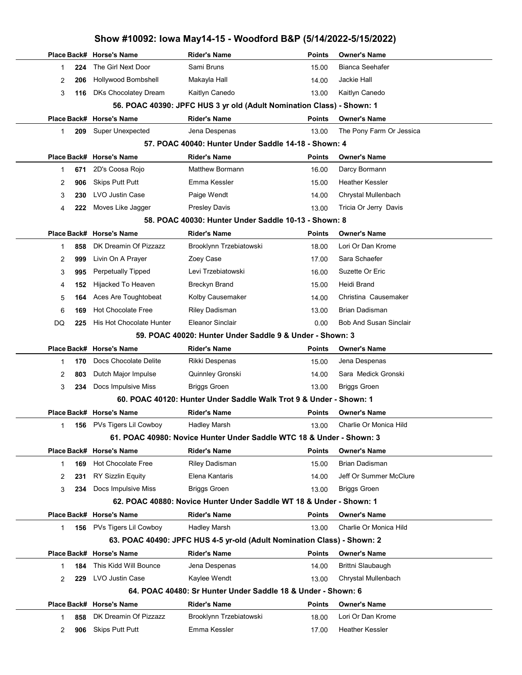## Show #10092: Iowa May14-15 - Woodford B&P (5/14/2022-5/15/2022) Place Back# Horse's Name **Rider's Name Points Owner's Name** Points Owner's Name 224 The Girl Next Door Sami Bruns Sami Bruns 15.00 Bianca Seehafer 2 206 Hollywood Bombshell Makayla Hall 14.00 Jackie Hall 3 116 DKs Chocolatey Dream Kaitlyn Canedo 13.00 Kaitlyn Canedo 56. POAC 40390: JPFC HUS 3 yr old (Adult Nomination Class) - Shown: 1 Place Back# Horse's Name **Rider's Name Communist Communist Communist** Points Owner's Name 1 209 Super Unexpected Jena Despenas 13.00 The Pony Farm Or Jessica 57. POAC 40040: Hunter Under Saddle 14-18 - Shown: 4 Place Back# Horse's Name **Rider's Name Communist Communist Communist** Points Owner's Name 1 671 2D's Coosa Rojo **Matthew Bormann** 16.00 Darcy Bormann 2 906 Skips Putt Putt **Emma Kessler** Heather Kessler 15.00 Heather Kessler 3 230 LVO Justin Case **Paige Wendt** Paige Wendt 14.00 Chrystal Mullenbach 4 222 Moves Like Jagger Presley Davis Presley Davis 13.00 Tricia Or Jerry Davis 58. POAC 40030: Hunter Under Saddle 10-13 - Shown: 8 Place Back# Horse's Name **Rider's Name Communist Communist Communist** Points Owner's Name 1 858 DK Dreamin Of Pizzazz Brooklynn Trzebiatowski 18.00 Lori Or Dan Krome 2 999 Livin On A Prayer 20ey Case 17.00 Sara Schaefer 3 995 Perpetually Tipped Levi Trzebiatowski 16.00 Suzette Or Eric 4 152 Hijacked To Heaven Breckyn Brand 15.00 Heidi Brand 5 **164** Aces Are Toughtobeat Kolby Causemaker Christina Causemaker Christina Causemaker 6 169 Hot Chocolate Free Riley Dadisman 13.00 Brian Dadisman DQ 225 His Hot Chocolate Hunter Eleanor Sinclair **Bob And Susan Sinclair Bob And Susan Sinclair** 59. POAC 40020: Hunter Under Saddle 9 & Under - Shown: 3 Place Back# Horse's Name **Rider's Name Communist Communist Communist** Points Owner's Name 1 170 Docs Chocolate Delite Rikki Despenas 15.00 Jena Despenas 2 803 Dutch Major Impulse Quinnley Gronski 14.00 Sara Medick Gronski 3 234 Docs Impulsive Miss Briggs Groen 13.00 Briggs Groen 60. POAC 40120: Hunter Under Saddle Walk Trot 9 & Under - Shown: 1 Place Back# Horse's Name **Rider's Name Communist Communist Communist** Points Owner's Name 1 **156** PVs Tigers Lil Cowboy Hadley Marsh Charlie Or Monica Hild 13.00 Charlie Or Monica Hild 61. POAC 40980: Novice Hunter Under Saddle WTC 18 & Under - Shown: 3 Place Back# Horse's Name **Rider's Name Points** Dwner's Name 1 169 Hot Chocolate Free Riley Dadisman 15.00 Brian Dadisman 2 231 RY Sizzlin Equity **Elena Kantaris** 14.00 Jeff Or Summer McClure 3 234 Docs Impulsive Miss Briggs Groen 13.00 Briggs Groen 62. POAC 40880: Novice Hunter Under Saddle WT 18 & Under - Shown: 1 Place Back# Horse's Name **Rider's Name Communist Communist Communist** Points Owner's Name 1 156 PVs Tigers Lil Cowboy Hadley Marsh Charlie Or Monica Hild 13.00 Charlie Or Monica Hild 63. POAC 40490: JPFC HUS 4-5 yr-old (Adult Nomination Class) - Shown: 2 Place Back# Horse's Name **Rider's Name Communist Communist Communist** Points Owner's Name 1 184 This Kidd Will Bounce Jena Despenas 14.00 Brittni Slaubaugh 2 229 LVO Justin Case Kaylee Wendt Chrystal Mullenbach 13.00 Chrystal Mullenbach 64. POAC 40480: Sr Hunter Under Saddle 18 & Under - Shown: 6 Place Back# Horse's Name **Rider's Name Communist Communist Communist** Points Owner's Name 1 858 DK Dreamin Of Pizzazz Brooklynn Trzebiatowski 18.00 Lori Or Dan Krome 2 **906** Skips Putt Putt **Emma Kessler** Heather Kessler 17.00 Heather Kessler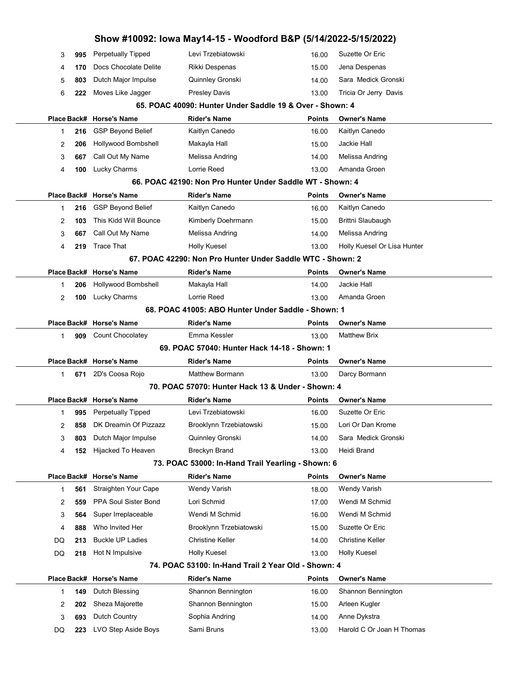|    |     |                          | Show #10092: Iowa May14-15 - Woodford B&P (5/14/2022-5/15/2022) |               |                             |
|----|-----|--------------------------|-----------------------------------------------------------------|---------------|-----------------------------|
| 3  | 995 | Perpetually Tipped       | Levi Trzebiatowski                                              | 16.00         | Suzette Or Eric             |
| 4  | 170 | Docs Chocolate Delite    | Rikki Despenas                                                  | 15.00         | Jena Despenas               |
| 5  | 803 | Dutch Major Impulse      | Quinnley Gronski                                                | 14.00         | Sara Medick Gronski         |
| 6  | 222 | Moves Like Jagger        | <b>Presley Davis</b>                                            | 13.00         | Tricia Or Jerry Davis       |
|    |     |                          | 65. POAC 40090: Hunter Under Saddle 19 & Over - Shown: 4        |               |                             |
|    |     | Place Back# Horse's Name | <b>Rider's Name</b>                                             | <b>Points</b> | <b>Owner's Name</b>         |
| 1  | 216 | <b>GSP Beyond Belief</b> | Kaitlyn Canedo                                                  | 16.00         | Kaitlyn Canedo              |
| 2  | 206 | Hollywood Bombshell      | Makayla Hall                                                    | 15.00         | Jackie Hall                 |
| 3  | 667 | Call Out My Name         | Melissa Andring                                                 | 14.00         | Melissa Andring             |
| 4  | 100 | Lucky Charms             | Lorrie Reed                                                     | 13.00         | Amanda Groen                |
|    |     |                          | 66. POAC 42190: Non Pro Hunter Under Saddle WT - Shown: 4       |               |                             |
|    |     | Place Back# Horse's Name | <b>Rider's Name</b>                                             | Points        | <b>Owner's Name</b>         |
| 1  | 216 | <b>GSP Beyond Belief</b> | Kaitlyn Canedo                                                  | 16.00         | Kaitlyn Canedo              |
| 2  | 103 | This Kidd Will Bounce    | Kimberly Doehrmann                                              | 15.00         | Brittni Slaubaugh           |
| 3  | 667 | Call Out My Name         | Melissa Andring                                                 | 14.00         | Melissa Andring             |
| 4  | 219 | <b>Trace That</b>        | <b>Holly Kuesel</b>                                             | 13.00         | Holly Kuesel Or Lisa Hunter |
|    |     |                          | 67. POAC 42290: Non Pro Hunter Under Saddle WTC - Shown: 2      |               |                             |
|    |     | Place Back# Horse's Name | <b>Rider's Name</b>                                             | Points        | <b>Owner's Name</b>         |
| 1  | 206 | Hollywood Bombshell      | Makayla Hall                                                    | 14.00         | Jackie Hall                 |
| 2  | 100 | Lucky Charms             | Lorrie Reed                                                     | 13.00         | Amanda Groen                |
|    |     |                          | 68. POAC 41005: ABO Hunter Under Saddle - Shown: 1              |               |                             |
|    |     | Place Back# Horse's Name | <b>Rider's Name</b>                                             | <b>Points</b> | <b>Owner's Name</b>         |
| 1  | 909 | <b>Count Chocolatey</b>  | Emma Kessler                                                    | 13.00         | <b>Matthew Brix</b>         |
|    |     |                          | 69. POAC 57040: Hunter Hack 14-18 - Shown: 1                    |               |                             |
|    |     | Place Back# Horse's Name | Rider's Name                                                    | Points        | <b>Owner's Name</b>         |
| 1  | 671 | 2D's Coosa Rojo          | <b>Matthew Bormann</b>                                          | 13.00         | Darcy Bormann               |
|    |     |                          | 70. POAC 57070: Hunter Hack 13 & Under - Shown: 4               |               |                             |
|    |     | Place Back# Horse's Name | Rider's Name                                                    | Points        | <b>Owner's Name</b>         |
| 1  |     | 995 Perpetually Tipped   | Levi Trzebiatowski                                              | 16.00         | Suzette Or Eric             |
| 2  | 858 | DK Dreamin Of Pizzazz    | Brooklynn Trzebiatowski                                         | 15.00         | Lori Or Dan Krome           |
| 3  | 803 | Dutch Major Impulse      | Quinnley Gronski                                                | 14.00         | Sara Medick Gronski         |
| 4  | 152 | Hijacked To Heaven       | <b>Breckyn Brand</b>                                            | 13.00         | Heidi Brand                 |
|    |     |                          | 73. POAC 53000: In-Hand Trail Yearling - Shown: 6               |               |                             |
|    |     | Place Back# Horse's Name | <b>Rider's Name</b>                                             | <b>Points</b> | <b>Owner's Name</b>         |
| 1  | 561 | Straighten Your Cape     | <b>Wendy Varish</b>                                             | 18.00         | <b>Wendy Varish</b>         |
| 2  | 559 | PPA Soul Sister Bond     | Lori Schmid                                                     | 17.00         | Wendi M Schmid              |
| 3  | 564 | Super Irreplaceable      | Wendi M Schmid                                                  | 16.00         | Wendi M Schmid              |
| 4  | 888 | Who Invited Her          | Brooklynn Trzebiatowski                                         | 15.00         | Suzette Or Eric             |
| DQ | 213 | <b>Buckle UP Ladies</b>  | Christine Keller                                                | 14.00         | <b>Christine Keller</b>     |
| DQ | 218 | Hot N Impulsive          | Holly Kuesel                                                    | 13.00         | <b>Holly Kuesel</b>         |
|    |     |                          | 74. POAC 53100: In-Hand Trail 2 Year Old - Shown: 4             |               |                             |
|    |     | Place Back# Horse's Name | <b>Rider's Name</b>                                             | <b>Points</b> | <b>Owner's Name</b>         |
| 1  | 149 | Dutch Blessing           | Shannon Bennington                                              | 16.00         | Shannon Bennington          |
| 2  | 202 | Sheza Majorette          | Shannon Bennington                                              | 15.00         | Arleen Kugler               |
| 3  | 693 | Dutch Country            | Sophia Andring                                                  | 14.00         | Anne Dykstra                |
| DQ | 223 | LVO Step Aside Boys      | Sami Bruns                                                      | 13.00         | Harold C Or Joan H Thomas   |
|    |     |                          |                                                                 |               |                             |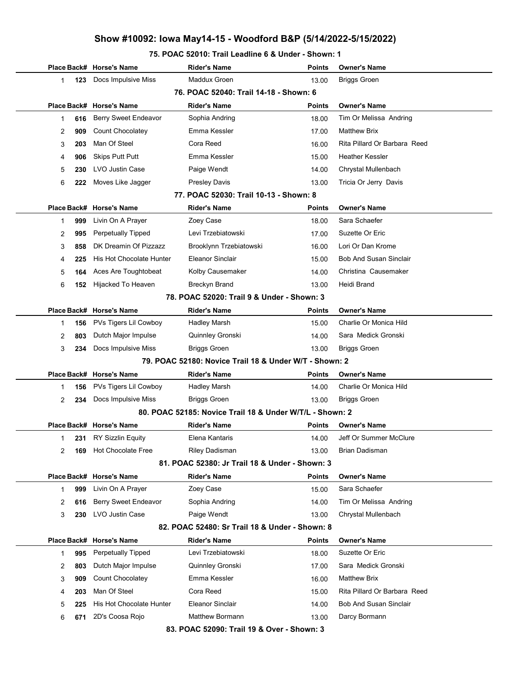#### 75. POAC 52010: Trail Leadline 6 & Under - Shown: 1

|             |                                            | Place Back# Horse's Name    | <b>Rider's Name</b>                                      | Points        | <b>Owner's Name</b>           |  |  |  |  |
|-------------|--------------------------------------------|-----------------------------|----------------------------------------------------------|---------------|-------------------------------|--|--|--|--|
| 1           | 123                                        | Docs Impulsive Miss         | Maddux Groen                                             | 13.00         | <b>Briggs Groen</b>           |  |  |  |  |
|             |                                            |                             | 76. POAC 52040: Trail 14-18 - Shown: 6                   |               |                               |  |  |  |  |
| Place Back# |                                            | <b>Horse's Name</b>         | <b>Rider's Name</b>                                      | <b>Points</b> | <b>Owner's Name</b>           |  |  |  |  |
| 1           | 616                                        | <b>Berry Sweet Endeavor</b> | Sophia Andring                                           | 18.00         | Tim Or Melissa Andring        |  |  |  |  |
| 2           | 909                                        | Count Chocolatey            | Emma Kessler                                             | 17.00         | <b>Matthew Brix</b>           |  |  |  |  |
| 3           | 203                                        | Man Of Steel                | Cora Reed                                                | 16.00         | Rita Pillard Or Barbara Reed  |  |  |  |  |
| 4           | 906                                        | <b>Skips Putt Putt</b>      | Emma Kessler                                             | 15.00         | <b>Heather Kessler</b>        |  |  |  |  |
| 5           | 230                                        | LVO Justin Case             | Paige Wendt                                              | 14.00         | Chrystal Mullenbach           |  |  |  |  |
| 6           | 222                                        | Moves Like Jagger           | <b>Presley Davis</b>                                     | 13.00         | Tricia Or Jerry Davis         |  |  |  |  |
|             |                                            |                             | 77. POAC 52030: Trail 10-13 - Shown: 8                   |               |                               |  |  |  |  |
|             |                                            | Place Back# Horse's Name    | <b>Rider's Name</b>                                      | <b>Points</b> | <b>Owner's Name</b>           |  |  |  |  |
| 1           | 999                                        | Livin On A Prayer           | Zoey Case                                                | 18.00         | Sara Schaefer                 |  |  |  |  |
| 2           | 995                                        | <b>Perpetually Tipped</b>   | Levi Trzebiatowski                                       | 17.00         | Suzette Or Eric               |  |  |  |  |
| 3           | 858                                        | DK Dreamin Of Pizzazz       | Brooklynn Trzebiatowski                                  | 16.00         | Lori Or Dan Krome             |  |  |  |  |
| 4           | 225                                        | His Hot Chocolate Hunter    | <b>Eleanor Sinclair</b>                                  | 15.00         | <b>Bob And Susan Sinclair</b> |  |  |  |  |
| 5           | 164                                        | Aces Are Toughtobeat        | Kolby Causemaker                                         | 14.00         | Christina Causemaker          |  |  |  |  |
| 6           | 152                                        | Hijacked To Heaven          | Breckyn Brand                                            | 13.00         | Heidi Brand                   |  |  |  |  |
|             | 78. POAC 52020: Trail 9 & Under - Shown: 3 |                             |                                                          |               |                               |  |  |  |  |
|             |                                            | Place Back# Horse's Name    | <b>Rider's Name</b>                                      | <b>Points</b> | <b>Owner's Name</b>           |  |  |  |  |
| 1           | 156                                        | PVs Tigers Lil Cowboy       | Hadley Marsh                                             | 15.00         | Charlie Or Monica Hild        |  |  |  |  |
| 2           | 803                                        | Dutch Major Impulse         | Quinnley Gronski                                         | 14.00         | Sara Medick Gronski           |  |  |  |  |
| 3           | 234                                        | Docs Impulsive Miss         | <b>Briggs Groen</b>                                      | 13.00         | <b>Briggs Groen</b>           |  |  |  |  |
|             |                                            |                             | 79. POAC 52180: Novice Trail 18 & Under W/T - Shown: 2   |               |                               |  |  |  |  |
|             |                                            | Place Back# Horse's Name    | <b>Rider's Name</b>                                      | Points        | <b>Owner's Name</b>           |  |  |  |  |
| 1           | 156                                        | PVs Tigers Lil Cowboy       | <b>Hadley Marsh</b>                                      | 14.00         | Charlie Or Monica Hild        |  |  |  |  |
| 2           | 234                                        | Docs Impulsive Miss         | <b>Briggs Groen</b>                                      | 13.00         | <b>Briggs Groen</b>           |  |  |  |  |
|             |                                            |                             | 80. POAC 52185: Novice Trail 18 & Under W/T/L - Shown: 2 |               |                               |  |  |  |  |
|             |                                            | Place Back# Horse's Name    | <b>Rider's Name</b>                                      | Points        | <b>Owner's Name</b>           |  |  |  |  |
| 1           | 231                                        | <b>RY Sizzlin Equity</b>    | Elena Kantaris                                           | 14.00         | Jeff Or Summer McClure        |  |  |  |  |
| 2           | 169                                        | Hot Chocolate Free          | <b>Riley Dadisman</b>                                    | 13.00         | Brian Dadisman                |  |  |  |  |
|             |                                            |                             | 81. POAC 52380: Jr Trail 18 & Under - Shown: 3           |               |                               |  |  |  |  |
|             |                                            | Place Back# Horse's Name    | <b>Rider's Name</b>                                      | <b>Points</b> | <b>Owner's Name</b>           |  |  |  |  |
| 1           | 999                                        | Livin On A Prayer           | Zoey Case                                                | 15.00         | Sara Schaefer                 |  |  |  |  |
| 2           | 616                                        | Berry Sweet Endeavor        | Sophia Andring                                           | 14.00         | Tim Or Melissa Andring        |  |  |  |  |
| 3           | 230                                        | LVO Justin Case             | Paige Wendt                                              | 13.00         | Chrystal Mullenbach           |  |  |  |  |
|             |                                            |                             | 82. POAC 52480: Sr Trail 18 & Under - Shown: 8           |               |                               |  |  |  |  |
|             |                                            | Place Back# Horse's Name    | <b>Rider's Name</b>                                      | <b>Points</b> | <b>Owner's Name</b>           |  |  |  |  |
| 1           | 995                                        | Perpetually Tipped          | Levi Trzebiatowski                                       | 18.00         | Suzette Or Eric               |  |  |  |  |
| 2           | 803                                        | Dutch Major Impulse         | Quinnley Gronski                                         | 17.00         | Sara Medick Gronski           |  |  |  |  |
| 3           | 909                                        | Count Chocolatey            | Emma Kessler                                             | 16.00         | <b>Matthew Brix</b>           |  |  |  |  |
| 4           | 203                                        | Man Of Steel                | Cora Reed                                                | 15.00         | Rita Pillard Or Barbara Reed  |  |  |  |  |
| 5           | 225                                        | His Hot Chocolate Hunter    | Eleanor Sinclair                                         | 14.00         | <b>Bob And Susan Sinclair</b> |  |  |  |  |
| 6           | 671                                        | 2D's Coosa Rojo             | <b>Matthew Bormann</b>                                   | 13.00         | Darcy Bormann                 |  |  |  |  |
|             |                                            |                             | 83. POAC 52090: Trail 19 & Over - Shown: 3               |               |                               |  |  |  |  |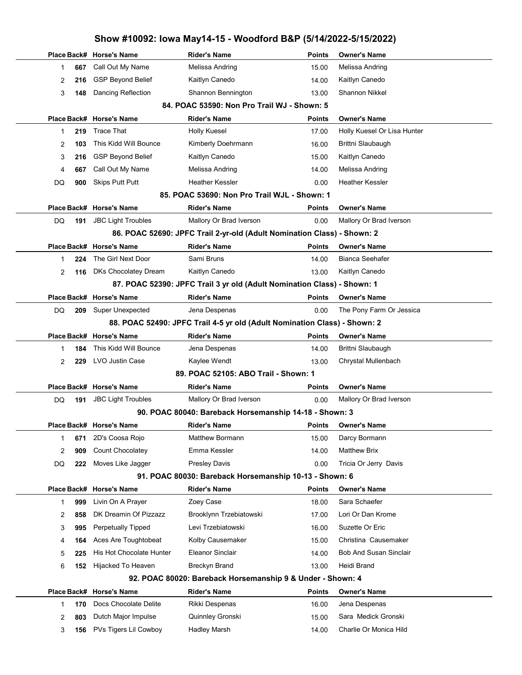|                                                                           |                           | 0110M #10004. TOMA MAY 1-10 - MOOGIOI & DOI                             |               | 1978-2044-07-1974-24          |  |  |  |  |
|---------------------------------------------------------------------------|---------------------------|-------------------------------------------------------------------------|---------------|-------------------------------|--|--|--|--|
|                                                                           | Place Back# Horse's Name  | <b>Rider's Name</b>                                                     | <b>Points</b> | <b>Owner's Name</b>           |  |  |  |  |
| 667<br>1                                                                  | Call Out My Name          | Melissa Andring                                                         | 15.00         | Melissa Andring               |  |  |  |  |
| 2<br>216                                                                  | <b>GSP Beyond Belief</b>  | Kaitlyn Canedo                                                          | 14.00         | Kaitlyn Canedo                |  |  |  |  |
| 3<br>148                                                                  | Dancing Reflection        | Shannon Bennington                                                      | 13.00         | <b>Shannon Nikkel</b>         |  |  |  |  |
|                                                                           |                           | 84. POAC 53590: Non Pro Trail WJ - Shown: 5                             |               |                               |  |  |  |  |
|                                                                           | Place Back# Horse's Name  | <b>Rider's Name</b>                                                     | <b>Points</b> | <b>Owner's Name</b>           |  |  |  |  |
| 219<br>1                                                                  | <b>Trace That</b>         | <b>Holly Kuesel</b>                                                     | 17.00         | Holly Kuesel Or Lisa Hunter   |  |  |  |  |
| 2<br>103                                                                  | This Kidd Will Bounce     | Kimberly Doehrmann                                                      | 16.00         | Brittni Slaubaugh             |  |  |  |  |
| 3<br>216                                                                  | <b>GSP Beyond Belief</b>  | Kaitlyn Canedo                                                          | 15.00         | Kaitlyn Canedo                |  |  |  |  |
| 667<br>4                                                                  | Call Out My Name          | Melissa Andring                                                         | 14.00         | Melissa Andring               |  |  |  |  |
| DQ<br>900                                                                 | <b>Skips Putt Putt</b>    | <b>Heather Kessler</b>                                                  | 0.00          | Heather Kessler               |  |  |  |  |
|                                                                           |                           | 85. POAC 53690: Non Pro Trail WJL - Shown: 1                            |               |                               |  |  |  |  |
|                                                                           | Place Back# Horse's Name  | <b>Rider's Name</b>                                                     | <b>Points</b> | <b>Owner's Name</b>           |  |  |  |  |
| DQ<br>191                                                                 | <b>JBC Light Troubles</b> | Mallory Or Brad Iverson                                                 | 0.00          | Mallory Or Brad Iverson       |  |  |  |  |
|                                                                           |                           | 86. POAC 52690: JPFC Trail 2-yr-old (Adult Nomination Class) - Shown: 2 |               |                               |  |  |  |  |
|                                                                           | Place Back# Horse's Name  | <b>Rider's Name</b>                                                     | <b>Points</b> | <b>Owner's Name</b>           |  |  |  |  |
| 224<br>1                                                                  | The Girl Next Door        | Sami Bruns                                                              | 14.00         | <b>Bianca Seehafer</b>        |  |  |  |  |
| 2<br>116                                                                  | DKs Chocolatey Dream      | Kaitlyn Canedo                                                          | 13.00         | Kaitlyn Canedo                |  |  |  |  |
|                                                                           |                           | 87. POAC 52390: JPFC Trail 3 yr old (Adult Nomination Class) - Shown: 1 |               |                               |  |  |  |  |
|                                                                           | Place Back# Horse's Name  | <b>Rider's Name</b>                                                     | <b>Points</b> | <b>Owner's Name</b>           |  |  |  |  |
| DQ<br>209                                                                 | <b>Super Unexpected</b>   | Jena Despenas                                                           | 0.00          | The Pony Farm Or Jessica      |  |  |  |  |
| 88. POAC 52490: JPFC Trail 4-5 yr old (Adult Nomination Class) - Shown: 2 |                           |                                                                         |               |                               |  |  |  |  |
|                                                                           | Place Back# Horse's Name  | <b>Rider's Name</b>                                                     | Points        | <b>Owner's Name</b>           |  |  |  |  |
| 1<br>184                                                                  | This Kidd Will Bounce     | Jena Despenas                                                           | 14.00         | Brittni Slaubaugh             |  |  |  |  |
| 2<br>229                                                                  | LVO Justin Case           | Kaylee Wendt                                                            | 13.00         | Chrystal Mullenbach           |  |  |  |  |
|                                                                           |                           | 89. POAC 52105: ABO Trail - Shown: 1                                    |               |                               |  |  |  |  |
|                                                                           | Place Back# Horse's Name  | <b>Rider's Name</b>                                                     | Points        | <b>Owner's Name</b>           |  |  |  |  |
| DQ<br>191                                                                 | <b>JBC Light Troubles</b> | Mallory Or Brad Iverson                                                 | 0.00          | Mallory Or Brad Iverson       |  |  |  |  |
|                                                                           |                           | 90. POAC 80040: Bareback Horsemanship 14-18 - Shown: 3                  |               |                               |  |  |  |  |
|                                                                           | Place Back# Horse's Name  | <b>Rider's Name</b>                                                     | Points        | <b>Owner's Name</b>           |  |  |  |  |
| 1<br>671                                                                  | 2D's Coosa Rojo           | Matthew Bormann                                                         | 15.00         | Darcy Bormann                 |  |  |  |  |
| 2<br>909                                                                  | Count Chocolatey          | Emma Kessler                                                            | 14.00         | <b>Matthew Brix</b>           |  |  |  |  |
| 222<br>DQ                                                                 | Moves Like Jagger         | Presley Davis                                                           | 0.00          | Tricia Or Jerry Davis         |  |  |  |  |
|                                                                           |                           | 91. POAC 80030: Bareback Horsemanship 10-13 - Shown: 6                  |               |                               |  |  |  |  |
|                                                                           | Place Back# Horse's Name  | <b>Rider's Name</b>                                                     | <b>Points</b> | <b>Owner's Name</b>           |  |  |  |  |
| 999<br>1                                                                  | Livin On A Prayer         | Zoey Case                                                               | 18.00         | Sara Schaefer                 |  |  |  |  |
| 2<br>858                                                                  | DK Dreamin Of Pizzazz     | Brooklynn Trzebiatowski                                                 | 17.00         | Lori Or Dan Krome             |  |  |  |  |
| 3<br>995                                                                  | <b>Perpetually Tipped</b> | Levi Trzebiatowski                                                      | 16.00         | Suzette Or Eric               |  |  |  |  |
| 4<br>164                                                                  | Aces Are Toughtobeat      | Kolby Causemaker                                                        | 15.00         | Christina Causemaker          |  |  |  |  |
| 5<br>225                                                                  | His Hot Chocolate Hunter  | <b>Eleanor Sinclair</b>                                                 | 14.00         | <b>Bob And Susan Sinclair</b> |  |  |  |  |
| 6<br>152                                                                  | Hijacked To Heaven        | <b>Breckyn Brand</b>                                                    | 13.00         | Heidi Brand                   |  |  |  |  |
|                                                                           |                           | 92. POAC 80020: Bareback Horsemanship 9 & Under - Shown: 4              |               |                               |  |  |  |  |
|                                                                           | Place Back# Horse's Name  | <b>Rider's Name</b>                                                     | <b>Points</b> | <b>Owner's Name</b>           |  |  |  |  |
| 170<br>1                                                                  | Docs Chocolate Delite     | Rikki Despenas                                                          | 16.00         | Jena Despenas                 |  |  |  |  |
| 2<br>803                                                                  | Dutch Major Impulse       | Quinnley Gronski                                                        | 15.00         | Sara Medick Gronski           |  |  |  |  |
| 3<br>156                                                                  | PVs Tigers Lil Cowboy     | <b>Hadley Marsh</b>                                                     | 14.00         | Charlie Or Monica Hild        |  |  |  |  |
|                                                                           |                           |                                                                         |               |                               |  |  |  |  |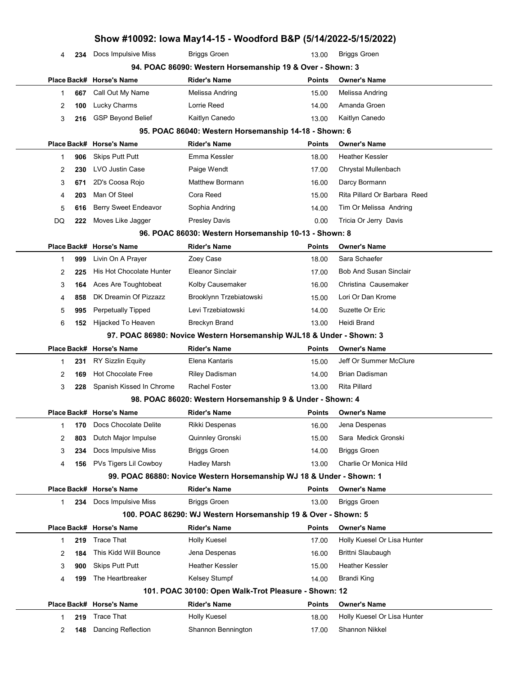|    |     | Show #10092: Iowa May14-15 - Woodford B&P (5/14/2022-5/15/2022) |                                                                                      |                        |                                            |
|----|-----|-----------------------------------------------------------------|--------------------------------------------------------------------------------------|------------------------|--------------------------------------------|
| 4  | 234 | Docs Impulsive Miss                                             | <b>Briggs Groen</b>                                                                  | 13.00                  | <b>Briggs Groen</b>                        |
|    |     |                                                                 | 94. POAC 86090: Western Horsemanship 19 & Over - Shown: 3                            |                        |                                            |
|    |     | Place Back# Horse's Name                                        | Rider's Name                                                                         | Points                 | <b>Owner's Name</b>                        |
| 1  | 667 | Call Out My Name                                                | Melissa Andring                                                                      | 15.00                  | Melissa Andring                            |
| 2  | 100 | Lucky Charms                                                    | Lorrie Reed                                                                          | 14.00                  | Amanda Groen                               |
| 3  | 216 | <b>GSP Beyond Belief</b>                                        | Kaitlyn Canedo                                                                       | 13.00                  | Kaitlyn Canedo                             |
|    |     |                                                                 | 95. POAC 86040: Western Horsemanship 14-18 - Shown: 6                                |                        |                                            |
|    |     | Place Back# Horse's Name                                        | Rider's Name                                                                         | Points                 | <b>Owner's Name</b>                        |
| 1  | 906 | <b>Skips Putt Putt</b>                                          | Emma Kessler                                                                         | 18.00                  | Heather Kessler                            |
| 2  | 230 | LVO Justin Case                                                 | Paige Wendt                                                                          | 17.00                  | Chrystal Mullenbach                        |
| 3  | 671 | 2D's Coosa Rojo                                                 | Matthew Bormann                                                                      | 16.00                  | Darcy Bormann                              |
| 4  | 203 | Man Of Steel                                                    | Cora Reed                                                                            | 15.00                  | Rita Pillard Or Barbara Reed               |
| 5  | 616 | Berry Sweet Endeavor                                            | Sophia Andring                                                                       | 14.00                  | Tim Or Melissa Andring                     |
| DQ | 222 | Moves Like Jagger                                               | <b>Presley Davis</b>                                                                 | 0.00                   | Tricia Or Jerry Davis                      |
|    |     |                                                                 | 96. POAC 86030: Western Horsemanship 10-13 - Shown: 8                                |                        |                                            |
|    |     | Place Back# Horse's Name                                        | Rider's Name                                                                         | <b>Points</b>          | <b>Owner's Name</b>                        |
| 1  | 999 | Livin On A Prayer                                               | Zoey Case                                                                            | 18.00                  | Sara Schaefer                              |
| 2  | 225 | His Hot Chocolate Hunter                                        | Eleanor Sinclair                                                                     | 17.00                  | <b>Bob And Susan Sinclair</b>              |
| 3  | 164 | Aces Are Toughtobeat                                            | Kolby Causemaker                                                                     | 16.00                  | Christina Causemaker                       |
| 4  | 858 | DK Dreamin Of Pizzazz                                           | Brooklynn Trzebiatowski                                                              | 15.00                  | Lori Or Dan Krome                          |
| 5  | 995 | <b>Perpetually Tipped</b>                                       | Levi Trzebiatowski                                                                   | 14.00                  | Suzette Or Eric                            |
| 6  | 152 | Hijacked To Heaven                                              | Breckyn Brand                                                                        | 13.00                  | Heidi Brand                                |
|    |     |                                                                 | 97. POAC 86980: Novice Western Horsemanship WJL18 & Under - Shown: 3                 |                        |                                            |
|    |     | Place Back# Horse's Name                                        | <b>Rider's Name</b>                                                                  | <b>Points</b>          | <b>Owner's Name</b>                        |
| 1  | 231 | <b>RY Sizzlin Equity</b>                                        | Elena Kantaris                                                                       | 15.00                  | Jeff Or Summer McClure                     |
| 2  | 169 | <b>Hot Chocolate Free</b>                                       | <b>Riley Dadisman</b>                                                                | 14.00                  | <b>Brian Dadisman</b>                      |
| 3  | 228 | Spanish Kissed In Chrome                                        | Rachel Foster                                                                        | 13.00                  | <b>Rita Pillard</b>                        |
|    |     |                                                                 | 98. POAC 86020: Western Horsemanship 9 & Under - Shown: 4                            |                        |                                            |
|    |     | Place Back# Horse's Name                                        | <b>Rider's Name</b>                                                                  |                        | Points Owner's Name                        |
| 1  | 170 | Docs Chocolate Delite                                           | Rikki Despenas                                                                       | 16.00                  | Jena Despenas                              |
| 2  | 803 | Dutch Major Impulse                                             | Quinnley Gronski                                                                     | 15.00                  | Sara Medick Gronski                        |
| 3  | 234 | Docs Impulsive Miss                                             | <b>Briggs Groen</b>                                                                  | 14.00                  | <b>Briggs Groen</b>                        |
| 4  | 156 | PVs Tigers Lil Cowboy                                           | Hadley Marsh<br>99. POAC 86880: Novice Western Horsemanship WJ 18 & Under - Shown: 1 | 13.00                  | Charlie Or Monica Hild                     |
|    |     |                                                                 |                                                                                      |                        |                                            |
|    |     | Place Back# Horse's Name<br>Docs Impulsive Miss                 | Rider's Name<br><b>Briggs Groen</b>                                                  | <b>Points</b><br>13.00 | <b>Owner's Name</b><br><b>Briggs Groen</b> |
| 1  | 234 |                                                                 | 100. POAC 86290: WJ Western Horsemanship 19 & Over - Shown: 5                        |                        |                                            |
|    |     | Place Back# Horse's Name                                        | Rider's Name                                                                         | <b>Points</b>          | <b>Owner's Name</b>                        |
| 1  | 219 | <b>Trace That</b>                                               | <b>Holly Kuesel</b>                                                                  | 17.00                  | Holly Kuesel Or Lisa Hunter                |
| 2  | 184 | This Kidd Will Bounce                                           | Jena Despenas                                                                        | 16.00                  | Brittni Slaubaugh                          |
| 3  | 900 | <b>Skips Putt Putt</b>                                          | Heather Kessler                                                                      | 15.00                  | <b>Heather Kessler</b>                     |
| 4  | 199 | The Heartbreaker                                                | Kelsey Stumpf                                                                        | 14.00                  | <b>Brandi King</b>                         |
|    |     |                                                                 | 101. POAC 30100: Open Walk-Trot Pleasure - Shown: 12                                 |                        |                                            |
|    |     | Place Back# Horse's Name                                        | Rider's Name                                                                         | <b>Points</b>          | Owner's Name                               |
| 1  | 219 | <b>Trace That</b>                                               | <b>Holly Kuesel</b>                                                                  | 18.00                  | Holly Kuesel Or Lisa Hunter                |
| 2  | 148 | Dancing Reflection                                              | Shannon Bennington                                                                   | 17.00                  | Shannon Nikkel                             |
|    |     |                                                                 |                                                                                      |                        |                                            |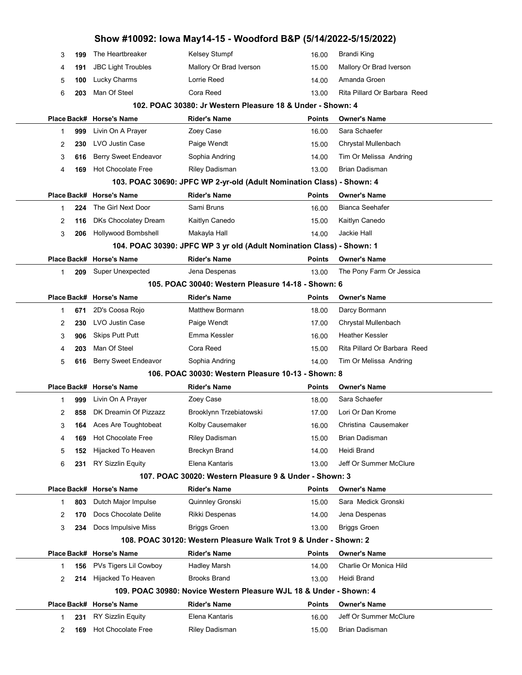|   |     |                             | Show #10092: Iowa May14-15 - Woodford B&P (5/14/2022-5/15/2022)       |               |                              |
|---|-----|-----------------------------|-----------------------------------------------------------------------|---------------|------------------------------|
| 3 | 199 | The Heartbreaker            | Kelsey Stumpf                                                         | 16.00         | <b>Brandi King</b>           |
| 4 | 191 | <b>JBC Light Troubles</b>   | Mallory Or Brad Iverson                                               | 15.00         | Mallory Or Brad Iverson      |
| 5 | 100 | Lucky Charms                | Lorrie Reed                                                           | 14.00         | Amanda Groen                 |
| 6 | 203 | Man Of Steel                | Cora Reed                                                             | 13.00         | Rita Pillard Or Barbara Reed |
|   |     |                             | 102. POAC 30380: Jr Western Pleasure 18 & Under - Shown: 4            |               |                              |
|   |     | Place Back# Horse's Name    | <b>Rider's Name</b>                                                   | <b>Points</b> | <b>Owner's Name</b>          |
| 1 | 999 | Livin On A Prayer           | Zoey Case                                                             | 16.00         | Sara Schaefer                |
| 2 | 230 | LVO Justin Case             | Paige Wendt                                                           | 15.00         | Chrystal Mullenbach          |
| 3 | 616 | <b>Berry Sweet Endeavor</b> | Sophia Andring                                                        | 14.00         | Tim Or Melissa Andring       |
| 4 | 169 | <b>Hot Chocolate Free</b>   | Riley Dadisman                                                        | 13.00         | <b>Brian Dadisman</b>        |
|   |     |                             | 103. POAC 30690: JPFC WP 2-yr-old (Adult Nomination Class) - Shown: 4 |               |                              |
|   |     | Place Back# Horse's Name    | <b>Rider's Name</b>                                                   | <b>Points</b> | <b>Owner's Name</b>          |
| 1 | 224 | The Girl Next Door          | Sami Bruns                                                            | 16.00         | <b>Bianca Seehafer</b>       |
| 2 | 116 | DKs Chocolatey Dream        | Kaitlyn Canedo                                                        | 15.00         | Kaitlyn Canedo               |
| 3 | 206 | Hollywood Bombshell         | Makayla Hall                                                          | 14.00         | Jackie Hall                  |
|   |     |                             | 104. POAC 30390: JPFC WP 3 yr old (Adult Nomination Class) - Shown: 1 |               |                              |
|   |     | Place Back# Horse's Name    | <b>Rider's Name</b>                                                   | <b>Points</b> | <b>Owner's Name</b>          |
| 1 | 209 | Super Unexpected            | Jena Despenas                                                         | 13.00         | The Pony Farm Or Jessica     |
|   |     |                             | 105. POAC 30040: Western Pleasure 14-18 - Shown: 6                    |               |                              |
|   |     | Place Back# Horse's Name    | <b>Rider's Name</b>                                                   | <b>Points</b> | <b>Owner's Name</b>          |
| 1 | 671 | 2D's Coosa Rojo             | <b>Matthew Bormann</b>                                                | 18.00         | Darcy Bormann                |
| 2 | 230 | LVO Justin Case             | Paige Wendt                                                           | 17.00         | Chrystal Mullenbach          |
| 3 | 906 | <b>Skips Putt Putt</b>      | Emma Kessler                                                          | 16.00         | <b>Heather Kessler</b>       |
| 4 | 203 | Man Of Steel                | Cora Reed                                                             | 15.00         | Rita Pillard Or Barbara Reed |
| 5 | 616 | Berry Sweet Endeavor        | Sophia Andring                                                        | 14.00         | Tim Or Melissa Andring       |
|   |     |                             | 106. POAC 30030: Western Pleasure 10-13 - Shown: 8                    |               |                              |
|   |     | Place Back# Horse's Name    | <b>Rider's Name</b>                                                   | <b>Points</b> | <b>Owner's Name</b>          |
| 1 | 999 | Livin On A Prayer           | Zoey Case                                                             | 18.00         | Sara Schaefer                |
| 2 | 858 | DK Dreamin Of Pizzazz       | Brooklynn Trzebiatowski                                               | 17.00         | Lori Or Dan Krome            |
| 3 | 164 | Aces Are Toughtobeat        | Kolby Causemaker                                                      | 16.00         | Christina Causemaker         |
| 4 | 169 | <b>Hot Chocolate Free</b>   | Riley Dadisman                                                        | 15.00         | <b>Brian Dadisman</b>        |
| 5 | 152 | Hijacked To Heaven          | Breckyn Brand                                                         | 14.00         | Heidi Brand                  |
| 6 | 231 | <b>RY Sizzlin Equity</b>    | Elena Kantaris                                                        | 13.00         | Jeff Or Summer McClure       |
|   |     |                             | 107. POAC 30020: Western Pleasure 9 & Under - Shown: 3                |               |                              |
|   |     | Place Back# Horse's Name    | <b>Rider's Name</b>                                                   | <b>Points</b> | <b>Owner's Name</b>          |
| 1 | 803 | Dutch Major Impulse         | Quinnley Gronski                                                      | 15.00         | Sara Medick Gronski          |
| 2 | 170 | Docs Chocolate Delite       | Rikki Despenas                                                        | 14.00         | Jena Despenas                |
| 3 | 234 | Docs Impulsive Miss         | <b>Briggs Groen</b>                                                   | 13.00         | <b>Briggs Groen</b>          |
|   |     |                             | 108. POAC 30120: Western Pleasure Walk Trot 9 & Under - Shown: 2      |               |                              |
|   |     | Place Back# Horse's Name    | <b>Rider's Name</b>                                                   | <b>Points</b> | <b>Owner's Name</b>          |
| 1 | 156 | PVs Tigers Lil Cowboy       | <b>Hadley Marsh</b>                                                   | 14.00         | Charlie Or Monica Hild       |
| 2 | 214 | Hijacked To Heaven          | <b>Brooks Brand</b>                                                   | 13.00         | Heidi Brand                  |
|   |     |                             | 109. POAC 30980: Novice Western Pleasure WJL 18 & Under - Shown: 4    |               |                              |
|   |     | Place Back# Horse's Name    | <b>Rider's Name</b>                                                   | <b>Points</b> | <b>Owner's Name</b>          |
| 1 | 231 | <b>RY Sizzlin Equity</b>    | Elena Kantaris                                                        | 16.00         | Jeff Or Summer McClure       |
| 2 | 169 | <b>Hot Chocolate Free</b>   | Riley Dadisman                                                        | 15.00         | Brian Dadisman               |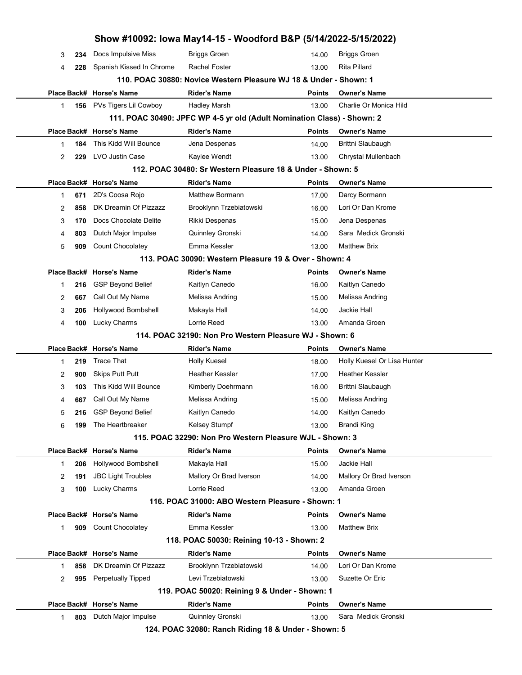|    |     |                                                 | Show #10092: Iowa May14-15 - Woodford B&P (5/14/2022-5/15/2022)         |                        |                                            |  |
|----|-----|-------------------------------------------------|-------------------------------------------------------------------------|------------------------|--------------------------------------------|--|
| 3  | 234 | Docs Impulsive Miss                             | <b>Briggs Groen</b>                                                     | 14.00                  | <b>Briggs Groen</b>                        |  |
| 4  | 228 | Spanish Kissed In Chrome                        | Rachel Foster                                                           | 13.00                  | Rita Pillard                               |  |
|    |     |                                                 | 110. POAC 30880: Novice Western Pleasure WJ 18 & Under - Shown: 1       |                        |                                            |  |
|    |     | Place Back# Horse's Name                        | <b>Rider's Name</b>                                                     | <b>Points</b>          | <b>Owner's Name</b>                        |  |
| 1  |     | 156 PVs Tigers Lil Cowboy                       | <b>Hadley Marsh</b>                                                     | 13.00                  | Charlie Or Monica Hild                     |  |
|    |     |                                                 | 111. POAC 30490: JPFC WP 4-5 yr old (Adult Nomination Class) - Shown: 2 |                        |                                            |  |
|    |     | Place Back# Horse's Name                        | <b>Rider's Name</b>                                                     | <b>Points</b>          | <b>Owner's Name</b>                        |  |
| 1  | 184 | This Kidd Will Bounce                           | Jena Despenas                                                           | 14.00                  | Brittni Slaubaugh                          |  |
| 2  | 229 | LVO Justin Case                                 | Kaylee Wendt                                                            | 13.00                  | Chrystal Mullenbach                        |  |
|    |     |                                                 | 112. POAC 30480: Sr Western Pleasure 18 & Under - Shown: 5              |                        |                                            |  |
|    |     | Place Back# Horse's Name                        | <b>Rider's Name</b>                                                     | <b>Points</b>          | <b>Owner's Name</b>                        |  |
| 1  | 671 | 2D's Coosa Rojo                                 | <b>Matthew Bormann</b>                                                  | 17.00                  | Darcy Bormann                              |  |
| 2  | 858 | DK Dreamin Of Pizzazz                           | Brooklynn Trzebiatowski                                                 | 16.00                  | Lori Or Dan Krome                          |  |
| 3  | 170 | Docs Chocolate Delite                           | Rikki Despenas                                                          | 15.00                  | Jena Despenas                              |  |
| 4  | 803 | Dutch Major Impulse                             | Quinnley Gronski                                                        | 14.00                  | Sara Medick Gronski                        |  |
| 5  | 909 | Count Chocolatey                                | Emma Kessler                                                            | 13.00                  | <b>Matthew Brix</b>                        |  |
|    |     |                                                 | 113. POAC 30090: Western Pleasure 19 & Over - Shown: 4                  |                        |                                            |  |
|    |     | Place Back# Horse's Name                        | <b>Rider's Name</b>                                                     | <b>Points</b>          | <b>Owner's Name</b>                        |  |
| 1  | 216 | <b>GSP Beyond Belief</b>                        | Kaitlyn Canedo                                                          | 16.00                  | Kaitlyn Canedo                             |  |
| 2  | 667 | Call Out My Name                                | Melissa Andring                                                         | 15.00                  | Melissa Andring                            |  |
| 3  | 206 | Hollywood Bombshell                             | Makayla Hall                                                            | 14.00                  | Jackie Hall                                |  |
|    |     | Lucky Charms                                    | Lorrie Reed                                                             |                        | Amanda Groen                               |  |
| 4  | 100 |                                                 |                                                                         | 13.00                  |                                            |  |
|    |     |                                                 | 114. POAC 32190: Non Pro Western Pleasure WJ - Shown: 6                 |                        |                                            |  |
|    |     | Place Back# Horse's Name                        | <b>Rider's Name</b>                                                     | <b>Points</b>          | <b>Owner's Name</b>                        |  |
| 1  | 219 | <b>Trace That</b>                               | <b>Holly Kuesel</b>                                                     | 18.00                  | Holly Kuesel Or Lisa Hunter                |  |
| 2  | 900 | <b>Skips Putt Putt</b>                          | <b>Heather Kessler</b>                                                  | 17.00                  | <b>Heather Kessler</b>                     |  |
| 3  | 103 | This Kidd Will Bounce                           | Kimberly Doehrmann                                                      | 16.00                  | Brittni Slaubaugh                          |  |
| 4  | 667 | Call Out My Name                                | Melissa Andring                                                         | 15.00                  | Melissa Andring                            |  |
| 5  | 216 | <b>GSP Beyond Belief</b>                        | Kaitlyn Canedo                                                          | 14.00                  | Kaitlyn Canedo                             |  |
| 6  | 199 | The Heartbreaker                                | <b>Kelsey Stumpf</b>                                                    | 13.00                  | Brandi King                                |  |
|    |     |                                                 | 115. POAC 32290: Non Pro Western Pleasure WJL - Shown: 3                |                        |                                            |  |
|    |     | Place Back# Horse's Name                        | <b>Rider's Name</b>                                                     | <b>Points</b>          | <b>Owner's Name</b>                        |  |
| 1  | 206 | <b>Hollywood Bombshell</b>                      | Makayla Hall                                                            | 15.00                  | Jackie Hall                                |  |
| 2  | 191 | <b>JBC Light Troubles</b>                       | Mallory Or Brad Iverson                                                 | 14.00                  | Mallory Or Brad Iverson                    |  |
| 3  | 100 | Lucky Charms                                    | Lorrie Reed                                                             | 13.00                  | Amanda Groen                               |  |
|    |     |                                                 | 116. POAC 31000: ABO Western Pleasure - Shown: 1                        |                        |                                            |  |
|    |     | Place Back# Horse's Name                        | <b>Rider's Name</b>                                                     | <b>Points</b>          | <b>Owner's Name</b>                        |  |
| 1. |     | 909 Count Chocolatey                            | Emma Kessler                                                            | 13.00                  | <b>Matthew Brix</b>                        |  |
|    |     |                                                 | 118. POAC 50030: Reining 10-13 - Shown: 2                               |                        |                                            |  |
|    |     | Place Back# Horse's Name                        | <b>Rider's Name</b>                                                     | <b>Points</b>          | <b>Owner's Name</b>                        |  |
| 1  | 858 | DK Dreamin Of Pizzazz                           | Brooklynn Trzebiatowski                                                 | 14.00                  | Lori Or Dan Krome                          |  |
| 2  | 995 | Perpetually Tipped                              | Levi Trzebiatowski                                                      | 13.00                  | Suzette Or Eric                            |  |
|    |     |                                                 | 119. POAC 50020: Reining 9 & Under - Shown: 1                           |                        |                                            |  |
|    | 803 | Place Back# Horse's Name<br>Dutch Major Impulse | <b>Rider's Name</b><br>Quinnley Gronski                                 | <b>Points</b><br>13.00 | <b>Owner's Name</b><br>Sara Medick Gronski |  |

124. POAC 32080: Ranch Riding 18 & Under - Shown: 5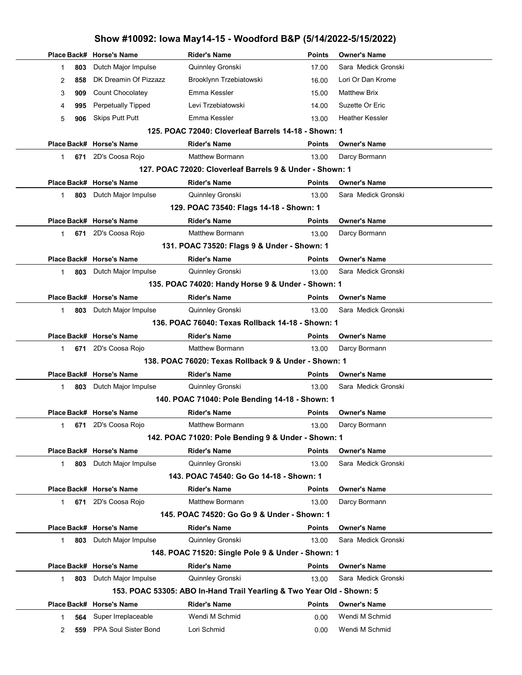|                |     |                           | Show #10092: Iowa May14-15 - Woodford B&P (5/14/2022-5/15/2022)       |               |                     |  |
|----------------|-----|---------------------------|-----------------------------------------------------------------------|---------------|---------------------|--|
| Place Back#    |     | <b>Horse's Name</b>       | <b>Rider's Name</b>                                                   | <b>Points</b> | <b>Owner's Name</b> |  |
| $\mathbf 1$    | 803 | Dutch Major Impulse       | Quinnley Gronski                                                      | 17.00         | Sara Medick Gronski |  |
| 2              | 858 | DK Dreamin Of Pizzazz     | Brooklynn Trzebiatowski                                               | 16.00         | Lori Or Dan Krome   |  |
| 3              | 909 | Count Chocolatey          | Emma Kessler                                                          | 15.00         | <b>Matthew Brix</b> |  |
| 4              | 995 | <b>Perpetually Tipped</b> | Levi Trzebiatowski                                                    | 14.00         | Suzette Or Eric     |  |
| 5              | 906 | <b>Skips Putt Putt</b>    | Emma Kessler                                                          | 13.00         | Heather Kessler     |  |
|                |     |                           | 125. POAC 72040: Cloverleaf Barrels 14-18 - Shown: 1                  |               |                     |  |
|                |     | Place Back# Horse's Name  | <b>Rider's Name</b>                                                   | <b>Points</b> | <b>Owner's Name</b> |  |
| $\mathbf 1$    | 671 | 2D's Coosa Rojo           | <b>Matthew Bormann</b>                                                | 13.00         | Darcy Bormann       |  |
|                |     |                           | 127. POAC 72020: Cloverleaf Barrels 9 & Under - Shown: 1              |               |                     |  |
|                |     | Place Back# Horse's Name  | <b>Rider's Name</b>                                                   | <b>Points</b> | <b>Owner's Name</b> |  |
| $\mathbf{1}$   | 803 | Dutch Major Impulse       | Quinnley Gronski                                                      | 13.00         | Sara Medick Gronski |  |
|                |     |                           | 129. POAC 73540: Flags 14-18 - Shown: 1                               |               |                     |  |
|                |     | Place Back# Horse's Name  | <b>Rider's Name</b>                                                   | <b>Points</b> | <b>Owner's Name</b> |  |
| $\mathbf{1}$   | 671 | 2D's Coosa Rojo           | <b>Matthew Bormann</b>                                                | 13.00         | Darcy Bormann       |  |
|                |     |                           | 131. POAC 73520: Flags 9 & Under - Shown: 1                           |               |                     |  |
|                |     | Place Back# Horse's Name  | <b>Rider's Name</b>                                                   | <b>Points</b> | <b>Owner's Name</b> |  |
| $\mathbf{1}$   | 803 | Dutch Major Impulse       | Quinnley Gronski                                                      | 13.00         | Sara Medick Gronski |  |
|                |     |                           | 135. POAC 74020: Handy Horse 9 & Under - Shown: 1                     |               |                     |  |
|                |     | Place Back# Horse's Name  | <b>Rider's Name</b>                                                   | Points        | <b>Owner's Name</b> |  |
| $\mathbf 1$    | 803 | Dutch Major Impulse       | Quinnley Gronski                                                      | 13.00         | Sara Medick Gronski |  |
|                |     |                           | 136. POAC 76040: Texas Rollback 14-18 - Shown: 1                      |               |                     |  |
|                |     | Place Back# Horse's Name  | <b>Rider's Name</b>                                                   | <b>Points</b> | <b>Owner's Name</b> |  |
| $\mathbf{1}$   | 671 | 2D's Coosa Rojo           | <b>Matthew Bormann</b>                                                | 13.00         | Darcy Bormann       |  |
|                |     |                           | 138. POAC 76020: Texas Rollback 9 & Under - Shown: 1                  |               |                     |  |
|                |     | Place Back# Horse's Name  | <b>Rider's Name</b>                                                   | <b>Points</b> | <b>Owner's Name</b> |  |
| $\mathbf 1$    | 803 | Dutch Major Impulse       | Quinnley Gronski                                                      | 13.00         | Sara Medick Gronski |  |
|                |     |                           | 140. POAC 71040: Pole Bending 14-18 - Shown: 1                        |               |                     |  |
|                |     | Place Back# Horse's Name  | <b>Rider's Name</b>                                                   | Points        | <b>Owner's Name</b> |  |
| $\mathbf{1}$   | 671 | 2D's Coosa Rojo           | <b>Matthew Bormann</b>                                                | 13.00         | Darcy Bormann       |  |
|                |     |                           | 142. POAC 71020: Pole Bending 9 & Under - Shown: 1                    |               |                     |  |
|                |     | Place Back# Horse's Name  | <b>Rider's Name</b>                                                   | <b>Points</b> | <b>Owner's Name</b> |  |
| 1.             | 803 | Dutch Major Impulse       | Quinnley Gronski                                                      | 13.00         | Sara Medick Gronski |  |
|                |     |                           | 143. POAC 74540: Go Go 14-18 - Shown: 1                               |               |                     |  |
|                |     | Place Back# Horse's Name  | <b>Rider's Name</b>                                                   | <b>Points</b> | <b>Owner's Name</b> |  |
| 1              | 671 | 2D's Coosa Rojo           | <b>Matthew Bormann</b>                                                | 13.00         | Darcy Bormann       |  |
|                |     |                           | 145. POAC 74520: Go Go 9 & Under - Shown: 1                           |               |                     |  |
|                |     | Place Back# Horse's Name  | <b>Rider's Name</b>                                                   | Points        | <b>Owner's Name</b> |  |
| $\mathbf{1}$   | 803 | Dutch Major Impulse       | Quinnley Gronski                                                      | 13.00         | Sara Medick Gronski |  |
|                |     |                           | 148. POAC 71520: Single Pole 9 & Under - Shown: 1                     |               |                     |  |
|                |     | Place Back# Horse's Name  | <b>Rider's Name</b>                                                   | Points        | <b>Owner's Name</b> |  |
| $\mathbf{1}$   | 803 | Dutch Major Impulse       | Quinnley Gronski                                                      | 13.00         | Sara Medick Gronski |  |
|                |     |                           | 153. POAC 53305: ABO In-Hand Trail Yearling & Two Year Old - Shown: 5 |               |                     |  |
|                |     | Place Back# Horse's Name  | <b>Rider's Name</b>                                                   | <b>Points</b> | <b>Owner's Name</b> |  |
| 1.             | 564 | Super Irreplaceable       | Wendi M Schmid                                                        | 0.00          | Wendi M Schmid      |  |
| $\overline{2}$ | 559 | PPA Soul Sister Bond      | Lori Schmid                                                           | 0.00          | Wendi M Schmid      |  |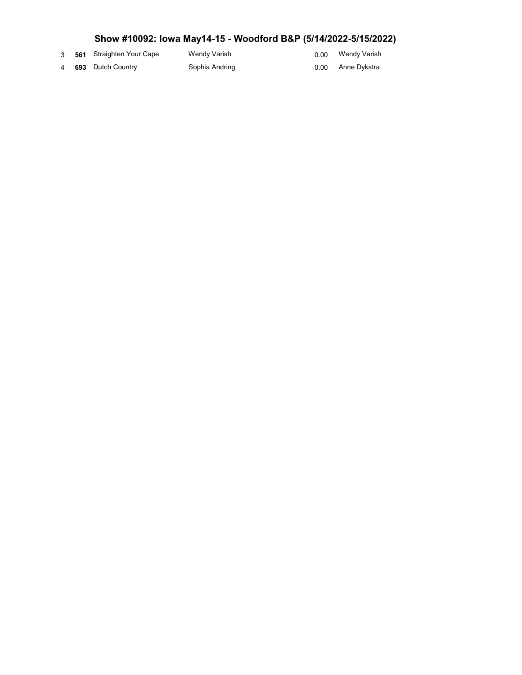- 
- 
- 3 561 Straighten Your Cape Wendy Varish Wendy Varish 0.00
- 4 693 Dutch Country Sophia Andring Anne Dykstra 693 Dutch Country
	-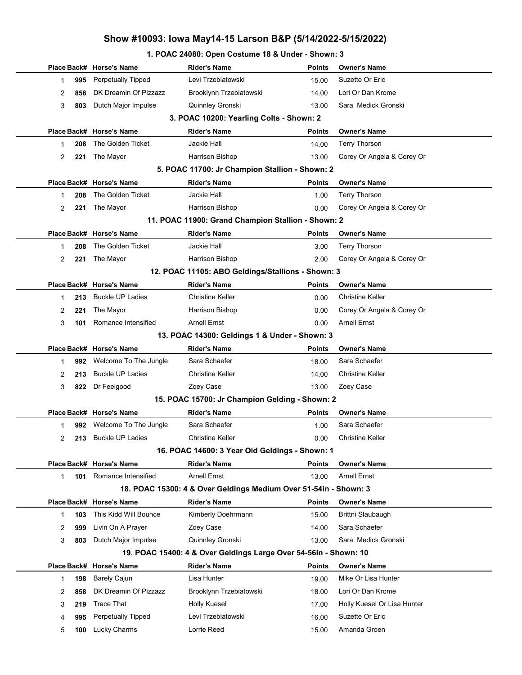#### 1. POAC 24080: Open Costume 18 & Under - Shown: 3

|                                               |                                          | Place Back# Horse's Name  | <b>Rider's Name</b>                                              | <b>Points</b> | <b>Owner's Name</b>         |  |  |  |  |  |
|-----------------------------------------------|------------------------------------------|---------------------------|------------------------------------------------------------------|---------------|-----------------------------|--|--|--|--|--|
|                                               | 995<br>1                                 | Perpetually Tipped        | Levi Trzebiatowski                                               | 15.00         | Suzette Or Eric             |  |  |  |  |  |
|                                               | 858<br>2                                 | DK Dreamin Of Pizzazz     | Brooklynn Trzebiatowski                                          | 14.00         | Lori Or Dan Krome           |  |  |  |  |  |
|                                               | 3<br>803                                 | Dutch Major Impulse       | Quinnley Gronski                                                 | 13.00         | Sara Medick Gronski         |  |  |  |  |  |
|                                               | 3. POAC 10200: Yearling Colts - Shown: 2 |                           |                                                                  |               |                             |  |  |  |  |  |
|                                               |                                          | Place Back# Horse's Name  | <b>Rider's Name</b>                                              | <b>Points</b> | <b>Owner's Name</b>         |  |  |  |  |  |
|                                               | 208<br>1                                 | The Golden Ticket         | Jackie Hall                                                      | 14.00         | <b>Terry Thorson</b>        |  |  |  |  |  |
|                                               | $\overline{2}$<br>221                    | The Mayor                 | Harrison Bishop                                                  | 13.00         | Corey Or Angela & Corey Or  |  |  |  |  |  |
|                                               |                                          |                           | 5. POAC 11700: Jr Champion Stallion - Shown: 2                   |               |                             |  |  |  |  |  |
|                                               |                                          | Place Back# Horse's Name  | <b>Rider's Name</b>                                              | <b>Points</b> | <b>Owner's Name</b>         |  |  |  |  |  |
|                                               | 208<br>1                                 | The Golden Ticket         | Jackie Hall                                                      | 1.00          | <b>Terry Thorson</b>        |  |  |  |  |  |
|                                               | $\overline{2}$<br>221                    | The Mayor                 | Harrison Bishop                                                  | 0.00          | Corey Or Angela & Corey Or  |  |  |  |  |  |
|                                               |                                          |                           | 11. POAC 11900: Grand Champion Stallion - Shown: 2               |               |                             |  |  |  |  |  |
|                                               |                                          | Place Back# Horse's Name  | <b>Rider's Name</b>                                              | <b>Points</b> | <b>Owner's Name</b>         |  |  |  |  |  |
|                                               | 208<br>1                                 | The Golden Ticket         | Jackie Hall                                                      | 3.00          | <b>Terry Thorson</b>        |  |  |  |  |  |
|                                               | 2<br>221                                 | The Mayor                 | Harrison Bishop                                                  | 2.00          | Corey Or Angela & Corey Or  |  |  |  |  |  |
|                                               |                                          |                           | 12. POAC 11105: ABO Geldings/Stallions - Shown: 3                |               |                             |  |  |  |  |  |
|                                               |                                          | Place Back# Horse's Name  | <b>Rider's Name</b>                                              | <b>Points</b> | <b>Owner's Name</b>         |  |  |  |  |  |
|                                               | 213<br>1                                 | <b>Buckle UP Ladies</b>   | <b>Christine Keller</b>                                          | 0.00          | <b>Christine Keller</b>     |  |  |  |  |  |
|                                               | 221<br>2                                 | The Mayor                 | Harrison Bishop                                                  | 0.00          | Corey Or Angela & Corey Or  |  |  |  |  |  |
|                                               | 3<br>101                                 | Romance Intensified       | <b>Arnell Ernst</b>                                              | 0.00          | <b>Arnell Ernst</b>         |  |  |  |  |  |
| 13. POAC 14300: Geldings 1 & Under - Shown: 3 |                                          |                           |                                                                  |               |                             |  |  |  |  |  |
|                                               |                                          | Place Back# Horse's Name  | <b>Rider's Name</b>                                              | <b>Points</b> | <b>Owner's Name</b>         |  |  |  |  |  |
|                                               | 992<br>1                                 | Welcome To The Jungle     | Sara Schaefer                                                    | 18.00         | Sara Schaefer               |  |  |  |  |  |
|                                               | 213<br>2                                 | <b>Buckle UP Ladies</b>   | <b>Christine Keller</b>                                          | 14.00         | <b>Christine Keller</b>     |  |  |  |  |  |
|                                               | 3<br>822                                 | Dr Feelgood               | Zoey Case                                                        | 13.00         | Zoey Case                   |  |  |  |  |  |
|                                               |                                          |                           | 15. POAC 15700: Jr Champion Gelding - Shown: 2                   |               |                             |  |  |  |  |  |
|                                               |                                          | Place Back# Horse's Name  | <b>Rider's Name</b>                                              | <b>Points</b> | <b>Owner's Name</b>         |  |  |  |  |  |
|                                               | 1                                        | 992 Welcome To The Jungle | Sara Schaefer                                                    | 1.00          | Sara Schaefer               |  |  |  |  |  |
|                                               | $\mathbf{2}$                             | 213 Buckle UP Ladies      | Christine Keller                                                 | 0.00          | Christine Keller            |  |  |  |  |  |
|                                               |                                          |                           | 16. POAC 14600: 3 Year Old Geldings - Shown: 1                   |               |                             |  |  |  |  |  |
|                                               |                                          | Place Back# Horse's Name  | <b>Rider's Name</b>                                              | <b>Points</b> | <b>Owner's Name</b>         |  |  |  |  |  |
|                                               | 1<br>101                                 | Romance Intensified       | <b>Arnell Ernst</b>                                              | 13.00         | <b>Arnell Ernst</b>         |  |  |  |  |  |
|                                               |                                          |                           | 18. POAC 15300: 4 & Over Geldings Medium Over 51-54in - Shown: 3 |               |                             |  |  |  |  |  |
|                                               |                                          | Place Back# Horse's Name  | <b>Rider's Name</b>                                              | <b>Points</b> | <b>Owner's Name</b>         |  |  |  |  |  |
|                                               | 103<br>1                                 | This Kidd Will Bounce     | Kimberly Doehrmann                                               | 15.00         | Brittni Slaubaugh           |  |  |  |  |  |
|                                               | 999<br>2                                 | Livin On A Prayer         | Zoey Case                                                        | 14.00         | Sara Schaefer               |  |  |  |  |  |
|                                               | 3<br>803                                 | Dutch Major Impulse       | Quinnley Gronski                                                 | 13.00         | Sara Medick Gronski         |  |  |  |  |  |
|                                               |                                          |                           | 19. POAC 15400: 4 & Over Geldings Large Over 54-56in - Shown: 10 |               |                             |  |  |  |  |  |
|                                               |                                          | Place Back# Horse's Name  | <b>Rider's Name</b>                                              | <b>Points</b> | <b>Owner's Name</b>         |  |  |  |  |  |
|                                               | 198<br>1                                 | <b>Barely Cajun</b>       | Lisa Hunter                                                      | 19.00         | Mike Or Lisa Hunter         |  |  |  |  |  |
|                                               | 858<br>2                                 | DK Dreamin Of Pizzazz     | Brooklynn Trzebiatowski                                          | 18.00         | Lori Or Dan Krome           |  |  |  |  |  |
|                                               | 3<br>219                                 | <b>Trace That</b>         | Holly Kuesel                                                     | 17.00         | Holly Kuesel Or Lisa Hunter |  |  |  |  |  |
|                                               | 995<br>4                                 | <b>Perpetually Tipped</b> | Levi Trzebiatowski                                               | 16.00         | Suzette Or Eric             |  |  |  |  |  |
|                                               | 5<br>100                                 | Lucky Charms              | Lorrie Reed                                                      | 15.00         | Amanda Groen                |  |  |  |  |  |
|                                               |                                          |                           |                                                                  |               |                             |  |  |  |  |  |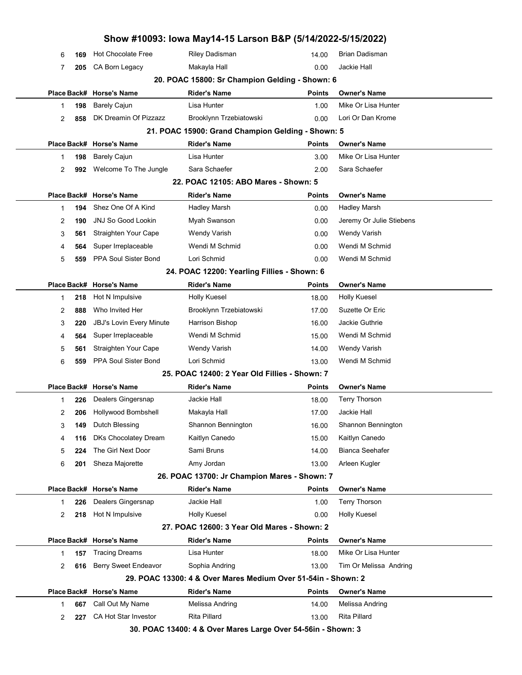|             |     |                                 | Show #10093: Iowa May14-15 Larson B&P (5/14/2022-5/15/2022)   |               |                          |  |
|-------------|-----|---------------------------------|---------------------------------------------------------------|---------------|--------------------------|--|
| 6           | 169 | <b>Hot Chocolate Free</b>       | Riley Dadisman                                                | 14.00         | <b>Brian Dadisman</b>    |  |
| 7           | 205 | CA Born Legacy                  | Makayla Hall                                                  | 0.00          | Jackie Hall              |  |
|             |     |                                 | 20. POAC 15800: Sr Champion Gelding - Shown: 6                |               |                          |  |
|             |     | Place Back# Horse's Name        | <b>Rider's Name</b>                                           | <b>Points</b> | <b>Owner's Name</b>      |  |
| 1           | 198 | <b>Barely Cajun</b>             | Lisa Hunter                                                   | 1.00          | Mike Or Lisa Hunter      |  |
| 2           | 858 | DK Dreamin Of Pizzazz           | Brooklynn Trzebiatowski                                       | 0.00          | Lori Or Dan Krome        |  |
|             |     |                                 | 21. POAC 15900: Grand Champion Gelding - Shown: 5             |               |                          |  |
|             |     | Place Back# Horse's Name        | <b>Rider's Name</b>                                           | <b>Points</b> | <b>Owner's Name</b>      |  |
| 1           | 198 | <b>Barely Cajun</b>             | Lisa Hunter                                                   | 3.00          | Mike Or Lisa Hunter      |  |
| 2           | 992 | Welcome To The Jungle           | Sara Schaefer                                                 | 2.00          | Sara Schaefer            |  |
|             |     |                                 | 22. POAC 12105: ABO Mares - Shown: 5                          |               |                          |  |
|             |     | Place Back# Horse's Name        | <b>Rider's Name</b>                                           | <b>Points</b> | <b>Owner's Name</b>      |  |
| 1           | 194 | Shez One Of A Kind              | <b>Hadley Marsh</b>                                           | 0.00          | <b>Hadley Marsh</b>      |  |
| 2           | 190 | <b>JNJ So Good Lookin</b>       | Myah Swanson                                                  | 0.00          | Jeremy Or Julie Stiebens |  |
| 3           | 561 | Straighten Your Cape            | Wendy Varish                                                  | 0.00          | Wendy Varish             |  |
| 4           | 564 | Super Irreplaceable             | Wendi M Schmid                                                | 0.00          | Wendi M Schmid           |  |
| 5           | 559 | PPA Soul Sister Bond            | Lori Schmid                                                   | 0.00          | Wendi M Schmid           |  |
|             |     |                                 | 24. POAC 12200: Yearling Fillies - Shown: 6                   |               |                          |  |
|             |     | Place Back# Horse's Name        | <b>Rider's Name</b>                                           | <b>Points</b> | <b>Owner's Name</b>      |  |
| 1           | 218 | Hot N Impulsive                 | Holly Kuesel                                                  | 18.00         | Holly Kuesel             |  |
| 2           | 888 | Who Invited Her                 | Brooklynn Trzebiatowski                                       | 17.00         | Suzette Or Eric          |  |
| 3           | 220 | <b>JBJ's Lovin Every Minute</b> | Harrison Bishop                                               | 16.00         | Jackie Guthrie           |  |
| 4           | 564 | Super Irreplaceable             | Wendi M Schmid                                                | 15.00         | Wendi M Schmid           |  |
| 5           | 561 | Straighten Your Cape            | <b>Wendy Varish</b>                                           | 14.00         | <b>Wendy Varish</b>      |  |
| 6           | 559 | PPA Soul Sister Bond            | Lori Schmid                                                   | 13.00         | Wendi M Schmid           |  |
|             |     |                                 | 25. POAC 12400: 2 Year Old Fillies - Shown: 7                 |               |                          |  |
|             |     | Place Back# Horse's Name        | <b>Rider's Name</b>                                           | <b>Points</b> | <b>Owner's Name</b>      |  |
| 1           | 226 | Dealers Gingersnap              | Jackie Hall                                                   | 18.00         | <b>Terry Thorson</b>     |  |
| 2           | 206 | Hollywood Bombshell             | Makayla Hall                                                  | 17.00         | Jackie Hall              |  |
| 3           | 149 | Dutch Blessing                  | Shannon Bennington                                            | 16.00         | Shannon Bennington       |  |
| 4           | 116 | DKs Chocolatey Dream            | Kaitlyn Canedo                                                | 15.00         | Kaitlyn Canedo           |  |
| 5           | 224 | The Girl Next Door              | Sami Bruns                                                    | 14.00         | <b>Bianca Seehafer</b>   |  |
| 6           | 201 | Sheza Majorette                 | Amy Jordan                                                    | 13.00         | Arleen Kugler            |  |
|             |     |                                 | 26. POAC 13700: Jr Champion Mares - Shown: 7                  |               |                          |  |
|             |     | Place Back# Horse's Name        | <b>Rider's Name</b>                                           | <b>Points</b> | Owner's Name             |  |
| 1           | 226 | Dealers Gingersnap              | Jackie Hall                                                   | 1.00          | <b>Terry Thorson</b>     |  |
| 2           | 218 | Hot N Impulsive                 | <b>Holly Kuesel</b>                                           | 0.00          | <b>Holly Kuesel</b>      |  |
|             |     |                                 | 27. POAC 12600: 3 Year Old Mares - Shown: 2                   |               |                          |  |
|             |     | Place Back# Horse's Name        | <b>Rider's Name</b>                                           | <b>Points</b> | Owner's Name             |  |
| $\mathbf 1$ | 157 | <b>Tracing Dreams</b>           | Lisa Hunter                                                   | 18.00         | Mike Or Lisa Hunter      |  |
| 2           | 616 | <b>Berry Sweet Endeavor</b>     | Sophia Andring                                                | 13.00         | Tim Or Melissa Andring   |  |
|             |     |                                 | 29. POAC 13300: 4 & Over Mares Medium Over 51-54in - Shown: 2 |               |                          |  |
|             |     | Place Back# Horse's Name        | <b>Rider's Name</b>                                           | <b>Points</b> | <b>Owner's Name</b>      |  |
| 1           | 667 | Call Out My Name                | Melissa Andring                                               | 14.00         | Melissa Andring          |  |
| 2           | 227 | CA Hot Star Investor            | Rita Pillard                                                  | 13.00         | <b>Rita Pillard</b>      |  |
|             |     |                                 | 30. POAC 13400: 4 & Over Mares Large Over 54-56in - Shown: 3  |               |                          |  |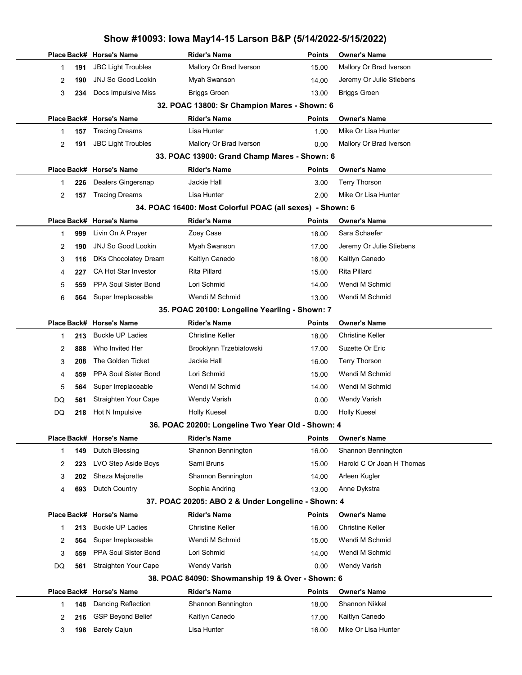|                                               |     | Place Back# Horse's Name  | <b>Rider's Name</b>                                       | <b>Points</b> | <b>Owner's Name</b>       |  |  |  |  |
|-----------------------------------------------|-----|---------------------------|-----------------------------------------------------------|---------------|---------------------------|--|--|--|--|
| 1                                             | 191 | <b>JBC Light Troubles</b> | Mallory Or Brad Iverson                                   | 15.00         | Mallory Or Brad Iverson   |  |  |  |  |
| 2                                             | 190 | <b>JNJ So Good Lookin</b> | Myah Swanson                                              | 14.00         | Jeremy Or Julie Stiebens  |  |  |  |  |
| 3                                             | 234 | Docs Impulsive Miss       | <b>Briggs Groen</b>                                       | 13.00         | <b>Briggs Groen</b>       |  |  |  |  |
| 32. POAC 13800: Sr Champion Mares - Shown: 6  |     |                           |                                                           |               |                           |  |  |  |  |
|                                               |     | Place Back# Horse's Name  | Rider's Name                                              | <b>Points</b> | <b>Owner's Name</b>       |  |  |  |  |
| 1                                             | 157 | <b>Tracing Dreams</b>     | Lisa Hunter                                               | 1.00          | Mike Or Lisa Hunter       |  |  |  |  |
| 2                                             | 191 | <b>JBC Light Troubles</b> | Mallory Or Brad Iverson                                   | 0.00          | Mallory Or Brad Iverson   |  |  |  |  |
|                                               |     |                           | 33. POAC 13900: Grand Champ Mares - Shown: 6              |               |                           |  |  |  |  |
|                                               |     | Place Back# Horse's Name  | Rider's Name                                              | <b>Points</b> | <b>Owner's Name</b>       |  |  |  |  |
| 1                                             | 226 | Dealers Gingersnap        | Jackie Hall                                               | 3.00          | <b>Terry Thorson</b>      |  |  |  |  |
| 2                                             | 157 | <b>Tracing Dreams</b>     | Lisa Hunter                                               | 2.00          | Mike Or Lisa Hunter       |  |  |  |  |
|                                               |     |                           | 34. POAC 16400: Most Colorful POAC (all sexes) - Shown: 6 |               |                           |  |  |  |  |
|                                               |     | Place Back# Horse's Name  | <b>Rider's Name</b>                                       | Points        | <b>Owner's Name</b>       |  |  |  |  |
| 1                                             | 999 | Livin On A Prayer         | Zoey Case                                                 | 18.00         | Sara Schaefer             |  |  |  |  |
| 2                                             | 190 | <b>JNJ So Good Lookin</b> | Myah Swanson                                              | 17.00         | Jeremy Or Julie Stiebens  |  |  |  |  |
| 3                                             | 116 | DKs Chocolatey Dream      | Kaitlyn Canedo                                            | 16.00         | Kaitlyn Canedo            |  |  |  |  |
| 4                                             | 227 | CA Hot Star Investor      | Rita Pillard                                              | 15.00         | Rita Pillard              |  |  |  |  |
| 5                                             | 559 | PPA Soul Sister Bond      | Lori Schmid                                               | 14.00         | Wendi M Schmid            |  |  |  |  |
| 6                                             | 564 | Super Irreplaceable       | Wendi M Schmid                                            | 13.00         | Wendi M Schmid            |  |  |  |  |
| 35. POAC 20100: Longeline Yearling - Shown: 7 |     |                           |                                                           |               |                           |  |  |  |  |
|                                               |     | Place Back# Horse's Name  | <b>Rider's Name</b>                                       | Points        | <b>Owner's Name</b>       |  |  |  |  |
| 1                                             | 213 | <b>Buckle UP Ladies</b>   | <b>Christine Keller</b>                                   | 18.00         | <b>Christine Keller</b>   |  |  |  |  |
| 2                                             | 888 | Who Invited Her           | Brooklynn Trzebiatowski                                   | 17.00         | Suzette Or Eric           |  |  |  |  |
| 3                                             | 208 | The Golden Ticket         | Jackie Hall                                               | 16.00         | <b>Terry Thorson</b>      |  |  |  |  |
| 4                                             | 559 | PPA Soul Sister Bond      | Lori Schmid                                               | 15.00         | Wendi M Schmid            |  |  |  |  |
| 5                                             | 564 | Super Irreplaceable       | Wendi M Schmid                                            | 14.00         | Wendi M Schmid            |  |  |  |  |
| DQ                                            | 561 | Straighten Your Cape      | <b>Wendy Varish</b>                                       | 0.00          | <b>Wendy Varish</b>       |  |  |  |  |
| DQ                                            | 218 | Hot N Impulsive           | <b>Holly Kuesel</b>                                       | 0.00          | <b>Holly Kuesel</b>       |  |  |  |  |
|                                               |     |                           | 36. POAC 20200: Longeline Two Year Old - Shown: 4         |               |                           |  |  |  |  |
|                                               |     | Place Back# Horse's Name  | <b>Rider's Name</b>                                       | <b>Points</b> | <b>Owner's Name</b>       |  |  |  |  |
| 1                                             | 149 | Dutch Blessing            | Shannon Bennington                                        | 16.00         | Shannon Bennington        |  |  |  |  |
| 2                                             | 223 | LVO Step Aside Boys       | Sami Bruns                                                | 15.00         | Harold C Or Joan H Thomas |  |  |  |  |
| 3                                             | 202 | Sheza Majorette           | Shannon Bennington                                        | 14.00         | Arleen Kugler             |  |  |  |  |
| 4                                             | 693 | <b>Dutch Country</b>      | Sophia Andring                                            | 13.00         | Anne Dykstra              |  |  |  |  |
|                                               |     |                           | 37. POAC 20205: ABO 2 & Under Longeline - Shown: 4        |               |                           |  |  |  |  |
|                                               |     | Place Back# Horse's Name  | <b>Rider's Name</b>                                       | <b>Points</b> | <b>Owner's Name</b>       |  |  |  |  |
| 1                                             | 213 | <b>Buckle UP Ladies</b>   | <b>Christine Keller</b>                                   | 16.00         | <b>Christine Keller</b>   |  |  |  |  |
| 2                                             | 564 | Super Irreplaceable       | Wendi M Schmid                                            | 15.00         | Wendi M Schmid            |  |  |  |  |
| 3                                             | 559 | PPA Soul Sister Bond      | Lori Schmid                                               | 14.00         | Wendi M Schmid            |  |  |  |  |
| DQ                                            | 561 | Straighten Your Cape      | <b>Wendy Varish</b>                                       | 0.00          | Wendy Varish              |  |  |  |  |
|                                               |     |                           | 38. POAC 84090: Showmanship 19 & Over - Shown: 6          |               |                           |  |  |  |  |
|                                               |     | Place Back# Horse's Name  | <b>Rider's Name</b>                                       | <b>Points</b> | <b>Owner's Name</b>       |  |  |  |  |
| 1                                             | 148 | Dancing Reflection        | Shannon Bennington                                        | 18.00         | Shannon Nikkel            |  |  |  |  |
| 2                                             | 216 | <b>GSP Beyond Belief</b>  | Kaitlyn Canedo                                            | 17.00         | Kaitlyn Canedo            |  |  |  |  |
| 3                                             | 198 | <b>Barely Cajun</b>       | Lisa Hunter                                               | 16.00         | Mike Or Lisa Hunter       |  |  |  |  |
|                                               |     |                           |                                                           |               |                           |  |  |  |  |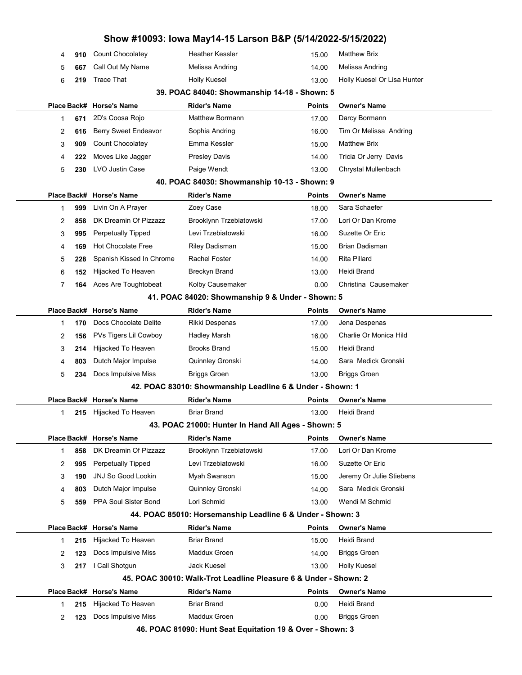| 2 | 123 | Docs Impulsive Miss                               | Maddux Groen                                                                      | 0.00          | <b>Briggs Groen</b>                      |  |
|---|-----|---------------------------------------------------|-----------------------------------------------------------------------------------|---------------|------------------------------------------|--|
| 1 | 215 | Hijacked To Heaven                                | <b>Briar Brand</b>                                                                | 0.00          | Heidi Brand                              |  |
|   |     | Place Back# Horse's Name                          | <b>Rider's Name</b>                                                               | Points        | <b>Owner's Name</b>                      |  |
|   |     |                                                   | 45. POAC 30010: Walk-Trot Leadline Pleasure 6 & Under - Shown: 2                  |               |                                          |  |
| 3 | 217 | I Call Shotgun                                    | <b>Jack Kuesel</b>                                                                | 13.00         | <b>Holly Kuesel</b>                      |  |
| 2 | 123 | Docs Impulsive Miss                               | Maddux Groen                                                                      | 14.00         | <b>Briggs Groen</b>                      |  |
| 1 | 215 | Hijacked To Heaven                                | <b>Briar Brand</b>                                                                | 15.00         | Heidi Brand                              |  |
|   |     | Place Back# Horse's Name                          |                                                                                   | Points        | <b>Owner's Name</b>                      |  |
|   |     |                                                   | 44. POAC 85010: Horsemanship Leadline 6 & Under - Shown: 3<br><b>Rider's Name</b> |               |                                          |  |
| 5 | 559 |                                                   |                                                                                   | 13.00         |                                          |  |
|   |     | <b>PPA Soul Sister Bond</b>                       | Lori Schmid                                                                       |               | Wendi M Schmid                           |  |
| 4 | 803 | Dutch Major Impulse                               | Quinnley Gronski                                                                  | 14.00         | Sara Medick Gronski                      |  |
| 3 | 190 | <b>JNJ So Good Lookin</b>                         | Myah Swanson                                                                      | 15.00         | Jeremy Or Julie Stiebens                 |  |
| 2 | 995 | Perpetually Tipped                                | Levi Trzebiatowski                                                                | 16.00         | Suzette Or Eric                          |  |
| 1 | 858 | Place Back# Horse's Name<br>DK Dreamin Of Pizzazz | Brooklynn Trzebiatowski                                                           | 17.00         | <b>Owner's Name</b><br>Lori Or Dan Krome |  |
|   |     |                                                   | 43. POAC 21000: Hunter In Hand All Ages - Shown: 5<br><b>Rider's Name</b>         | <b>Points</b> |                                          |  |
| 1 | 215 | Hijacked To Heaven                                | <b>Briar Brand</b>                                                                | 13.00         | Heidi Brand                              |  |
|   |     | Place Back# Horse's Name                          | <b>Rider's Name</b>                                                               | Points        | <b>Owner's Name</b>                      |  |
|   |     |                                                   | 42. POAC 83010: Showmanship Leadline 6 & Under - Shown: 1                         |               |                                          |  |
| 5 | 234 | Docs Impulsive Miss                               | <b>Briggs Groen</b>                                                               | 13.00         | <b>Briggs Groen</b>                      |  |
| 4 | 803 | Dutch Major Impulse                               | Quinnley Gronski                                                                  | 14.00         | Sara Medick Gronski                      |  |
| 3 | 214 | Hijacked To Heaven                                |                                                                                   | 15.00         |                                          |  |
| 2 | 156 | PVs Tigers Lil Cowboy                             | <b>Hadley Marsh</b><br><b>Brooks Brand</b>                                        | 16.00         | Charlie Or Monica Hild<br>Heidi Brand    |  |
| 1 | 170 | Docs Chocolate Delite                             | Rikki Despenas                                                                    | 17.00         | Jena Despenas                            |  |
|   |     | Place Back# Horse's Name                          | <b>Rider's Name</b>                                                               | Points        | <b>Owner's Name</b>                      |  |
|   |     |                                                   | 41. POAC 84020: Showmanship 9 & Under - Shown: 5                                  |               |                                          |  |
| 7 | 164 | Aces Are Toughtobeat                              | Kolby Causemaker                                                                  | 0.00          | Christina Causemaker                     |  |
| 6 | 152 | Hijacked To Heaven                                | <b>Breckyn Brand</b>                                                              | 13.00         | Heidi Brand                              |  |
| 5 | 228 | Spanish Kissed In Chrome                          | <b>Rachel Foster</b>                                                              | 14.00         | <b>Rita Pillard</b>                      |  |
| 4 | 169 | <b>Hot Chocolate Free</b>                         | <b>Riley Dadisman</b>                                                             | 15.00         | <b>Brian Dadisman</b>                    |  |
| 3 | 995 | <b>Perpetually Tipped</b>                         | Levi Trzebiatowski                                                                | 16.00         | Suzette Or Eric                          |  |
| 2 | 858 | DK Dreamin Of Pizzazz                             | Brooklynn Trzebiatowski                                                           | 17.00         | Lori Or Dan Krome                        |  |
| 1 | 999 | Livin On A Prayer                                 | Zoey Case                                                                         | 18.00         | Sara Schaefer                            |  |
|   |     | Place Back# Horse's Name                          | <b>Rider's Name</b>                                                               | Points        | <b>Owner's Name</b>                      |  |
|   |     |                                                   | 40. POAC 84030: Showmanship 10-13 - Shown: 9                                      |               |                                          |  |
| 5 | 230 | LVO Justin Case                                   | Paige Wendt                                                                       | 13.00         | Chrystal Mullenbach                      |  |
| 4 | 222 | Moves Like Jagger                                 | <b>Presley Davis</b>                                                              | 14.00         | Tricia Or Jerry Davis                    |  |
| 3 | 909 | Count Chocolatey                                  | Emma Kessler                                                                      | 15.00         | <b>Matthew Brix</b>                      |  |
| 2 | 616 | Berry Sweet Endeavor                              | Sophia Andring                                                                    | 16.00         | Tim Or Melissa Andring                   |  |
| 1 | 671 | 2D's Coosa Rojo                                   | <b>Matthew Bormann</b>                                                            | 17.00         | Darcy Bormann                            |  |
|   |     | Place Back# Horse's Name                          | <b>Rider's Name</b>                                                               | Points        | <b>Owner's Name</b>                      |  |
|   |     |                                                   | 39. POAC 84040: Showmanship 14-18 - Shown: 5                                      |               |                                          |  |
| 6 | 219 | <b>Trace That</b>                                 | <b>Holly Kuesel</b>                                                               | 13.00         | Holly Kuesel Or Lisa Hunter              |  |
| 5 | 667 | Call Out My Name                                  | Melissa Andring                                                                   | 14.00         | Melissa Andring                          |  |
|   |     |                                                   |                                                                                   |               |                                          |  |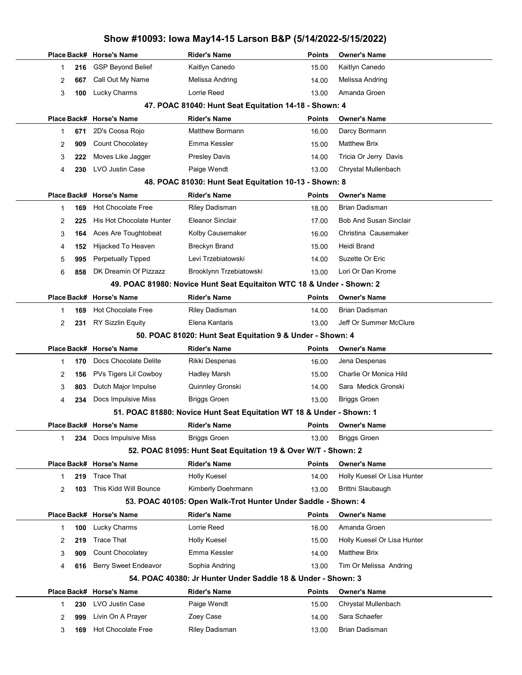| Place Back# Horse's Name<br><b>Rider's Name</b><br><b>Points</b><br><b>Owner's Name</b><br><b>GSP Beyond Belief</b><br>Kaitlyn Canedo<br>Kaitlyn Canedo<br>216<br>15.00<br>1<br>Call Out My Name<br>Melissa Andring<br>Melissa Andring<br>667<br>14.00<br>2<br>Lucky Charms<br>Lorrie Reed<br>Amanda Groen<br>3<br>100<br>13.00<br>47. POAC 81040: Hunt Seat Equitation 14-18 - Shown: 4<br><b>Rider's Name</b><br>Place Back# Horse's Name<br><b>Points</b><br><b>Owner's Name</b><br><b>Matthew Bormann</b><br>Darcy Bormann<br>2D's Coosa Rojo<br>671<br>16.00<br>1<br>Emma Kessler<br><b>Matthew Brix</b><br><b>Count Chocolatey</b><br>909<br>15.00<br>2<br>Moves Like Jagger<br>Tricia Or Jerry Davis<br><b>Presley Davis</b><br>3<br>14.00<br>222<br>LVO Justin Case<br>Paige Wendt<br>Chrystal Mullenbach<br>230<br>13.00<br>4<br>48. POAC 81030: Hunt Seat Equitation 10-13 - Shown: 8<br>Place Back# Horse's Name<br><b>Rider's Name</b><br><b>Points</b><br><b>Owner's Name</b><br><b>Hot Chocolate Free</b><br><b>Brian Dadisman</b><br><b>Riley Dadisman</b><br>169<br>18.00<br>1<br>His Hot Chocolate Hunter<br><b>Eleanor Sinclair</b><br><b>Bob And Susan Sinclair</b><br>225<br>17.00<br>2<br>Christina Causemaker<br>Aces Are Toughtobeat<br>Kolby Causemaker<br>3<br>16.00<br>164<br>Heidi Brand<br>Hijacked To Heaven<br><b>Breckyn Brand</b><br>15.00<br>4<br>152<br><b>Perpetually Tipped</b><br>Levi Trzebiatowski<br>Suzette Or Eric<br>5<br>14.00<br>995<br>DK Dreamin Of Pizzazz<br>Brooklynn Trzebiatowski<br>Lori Or Dan Krome<br>6<br>13.00<br>858<br>49. POAC 81980: Novice Hunt Seat Equitaiton WTC 18 & Under - Shown: 2<br>Place Back# Horse's Name<br><b>Rider's Name</b><br><b>Points</b><br><b>Owner's Name</b><br><b>Hot Chocolate Free</b><br><b>Brian Dadisman</b><br><b>Riley Dadisman</b><br>169<br>14.00<br>$\mathbf{1}$<br>Elena Kantaris<br>Jeff Or Summer McClure<br><b>RY Sizzlin Equity</b><br>2<br>231<br>13.00<br>50. POAC 81020: Hunt Seat Equitation 9 & Under - Shown: 4<br>Place Back# Horse's Name<br><b>Rider's Name</b><br><b>Owner's Name</b><br>Points<br>Docs Chocolate Delite<br>Rikki Despenas<br>Jena Despenas<br>170<br>16.00<br>1<br>Charlie Or Monica Hild<br>PVs Tigers Lil Cowboy<br><b>Hadley Marsh</b><br>156<br>15.00<br>2<br>Dutch Major Impulse<br>Quinnley Gronski<br>Sara Medick Gronski<br>14.00<br>3<br>803<br>Docs Impulsive Miss<br><b>Briggs Groen</b><br><b>Briggs Groen</b><br>13.00<br>4<br>234<br>51. POAC 81880: Novice Hunt Seat Equitation WT 18 & Under - Shown: 1<br>Place Back# Horse's Name<br><b>Rider's Name</b><br><b>Owner's Name</b><br>Points<br>Docs Impulsive Miss<br><b>Briggs Groen</b><br><b>Briggs Groen</b><br>234<br>13.00<br>$\mathbf 1$<br>52. POAC 81095: Hunt Seat Equitation 19 & Over W/T - Shown: 2<br><b>Rider's Name</b><br>Place Back# Horse's Name<br><b>Points</b><br><b>Owner's Name</b><br><b>Holly Kuesel</b><br>Holly Kuesel Or Lisa Hunter<br>Trace That<br>14.00<br>219<br>1<br>This Kidd Will Bounce<br>Kimberly Doehrmann<br>Brittni Slaubaugh<br>2<br>13.00<br>103<br>53. POAC 40105: Open Walk-Trot Hunter Under Saddle - Shown: 4<br>Place Back# Horse's Name<br><b>Rider's Name</b><br><b>Points</b><br><b>Owner's Name</b><br>Lucky Charms<br>Lorrie Reed<br>Amanda Groen<br>16.00<br>100<br>$\mathbf 1$<br>Trace That<br><b>Holly Kuesel</b><br>Holly Kuesel Or Lisa Hunter<br>2<br>219<br>15.00<br>Count Chocolatey<br>Emma Kessler<br><b>Matthew Brix</b><br>3<br>909<br>14.00<br><b>Berry Sweet Endeavor</b><br>Tim Or Melissa Andring<br>Sophia Andring<br>13.00<br>4<br>616<br>54. POAC 40380: Jr Hunter Under Saddle 18 & Under - Shown: 3<br>Place Back# Horse's Name<br><b>Rider's Name</b><br><b>Points</b><br><b>Owner's Name</b><br>LVO Justin Case<br>Paige Wendt<br>Chrystal Mullenbach<br>230<br>15.00<br>$\mathbf{1}$<br>Livin On A Prayer<br>Sara Schaefer<br>Zoey Case<br>999<br>14.00<br>2 | Show #10093: Iowa May14-15 Larson B&P (5/14/2022-5/15/2022) |     |                           |                       |       |                       |  |  |
|------------------------------------------------------------------------------------------------------------------------------------------------------------------------------------------------------------------------------------------------------------------------------------------------------------------------------------------------------------------------------------------------------------------------------------------------------------------------------------------------------------------------------------------------------------------------------------------------------------------------------------------------------------------------------------------------------------------------------------------------------------------------------------------------------------------------------------------------------------------------------------------------------------------------------------------------------------------------------------------------------------------------------------------------------------------------------------------------------------------------------------------------------------------------------------------------------------------------------------------------------------------------------------------------------------------------------------------------------------------------------------------------------------------------------------------------------------------------------------------------------------------------------------------------------------------------------------------------------------------------------------------------------------------------------------------------------------------------------------------------------------------------------------------------------------------------------------------------------------------------------------------------------------------------------------------------------------------------------------------------------------------------------------------------------------------------------------------------------------------------------------------------------------------------------------------------------------------------------------------------------------------------------------------------------------------------------------------------------------------------------------------------------------------------------------------------------------------------------------------------------------------------------------------------------------------------------------------------------------------------------------------------------------------------------------------------------------------------------------------------------------------------------------------------------------------------------------------------------------------------------------------------------------------------------------------------------------------------------------------------------------------------------------------------------------------------------------------------------------------------------------------------------------------------------------------------------------------------------------------------------------------------------------------------------------------------------------------------------------------------------------------------------------------------------------------------------------------------------------------------------------------------------------------------------------------------------------------------------------------------------------------------------------------------------------------------------------------------------------------------------------------------------------------------------------------------------------------------------------------------------------------------------------------------------------------------|-------------------------------------------------------------|-----|---------------------------|-----------------------|-------|-----------------------|--|--|
|                                                                                                                                                                                                                                                                                                                                                                                                                                                                                                                                                                                                                                                                                                                                                                                                                                                                                                                                                                                                                                                                                                                                                                                                                                                                                                                                                                                                                                                                                                                                                                                                                                                                                                                                                                                                                                                                                                                                                                                                                                                                                                                                                                                                                                                                                                                                                                                                                                                                                                                                                                                                                                                                                                                                                                                                                                                                                                                                                                                                                                                                                                                                                                                                                                                                                                                                                                                                                                                                                                                                                                                                                                                                                                                                                                                                                                                                                                                                                |                                                             |     |                           |                       |       |                       |  |  |
|                                                                                                                                                                                                                                                                                                                                                                                                                                                                                                                                                                                                                                                                                                                                                                                                                                                                                                                                                                                                                                                                                                                                                                                                                                                                                                                                                                                                                                                                                                                                                                                                                                                                                                                                                                                                                                                                                                                                                                                                                                                                                                                                                                                                                                                                                                                                                                                                                                                                                                                                                                                                                                                                                                                                                                                                                                                                                                                                                                                                                                                                                                                                                                                                                                                                                                                                                                                                                                                                                                                                                                                                                                                                                                                                                                                                                                                                                                                                                |                                                             |     |                           |                       |       |                       |  |  |
|                                                                                                                                                                                                                                                                                                                                                                                                                                                                                                                                                                                                                                                                                                                                                                                                                                                                                                                                                                                                                                                                                                                                                                                                                                                                                                                                                                                                                                                                                                                                                                                                                                                                                                                                                                                                                                                                                                                                                                                                                                                                                                                                                                                                                                                                                                                                                                                                                                                                                                                                                                                                                                                                                                                                                                                                                                                                                                                                                                                                                                                                                                                                                                                                                                                                                                                                                                                                                                                                                                                                                                                                                                                                                                                                                                                                                                                                                                                                                |                                                             |     |                           |                       |       |                       |  |  |
|                                                                                                                                                                                                                                                                                                                                                                                                                                                                                                                                                                                                                                                                                                                                                                                                                                                                                                                                                                                                                                                                                                                                                                                                                                                                                                                                                                                                                                                                                                                                                                                                                                                                                                                                                                                                                                                                                                                                                                                                                                                                                                                                                                                                                                                                                                                                                                                                                                                                                                                                                                                                                                                                                                                                                                                                                                                                                                                                                                                                                                                                                                                                                                                                                                                                                                                                                                                                                                                                                                                                                                                                                                                                                                                                                                                                                                                                                                                                                |                                                             |     |                           |                       |       |                       |  |  |
|                                                                                                                                                                                                                                                                                                                                                                                                                                                                                                                                                                                                                                                                                                                                                                                                                                                                                                                                                                                                                                                                                                                                                                                                                                                                                                                                                                                                                                                                                                                                                                                                                                                                                                                                                                                                                                                                                                                                                                                                                                                                                                                                                                                                                                                                                                                                                                                                                                                                                                                                                                                                                                                                                                                                                                                                                                                                                                                                                                                                                                                                                                                                                                                                                                                                                                                                                                                                                                                                                                                                                                                                                                                                                                                                                                                                                                                                                                                                                |                                                             |     |                           |                       |       |                       |  |  |
|                                                                                                                                                                                                                                                                                                                                                                                                                                                                                                                                                                                                                                                                                                                                                                                                                                                                                                                                                                                                                                                                                                                                                                                                                                                                                                                                                                                                                                                                                                                                                                                                                                                                                                                                                                                                                                                                                                                                                                                                                                                                                                                                                                                                                                                                                                                                                                                                                                                                                                                                                                                                                                                                                                                                                                                                                                                                                                                                                                                                                                                                                                                                                                                                                                                                                                                                                                                                                                                                                                                                                                                                                                                                                                                                                                                                                                                                                                                                                |                                                             |     |                           |                       |       |                       |  |  |
|                                                                                                                                                                                                                                                                                                                                                                                                                                                                                                                                                                                                                                                                                                                                                                                                                                                                                                                                                                                                                                                                                                                                                                                                                                                                                                                                                                                                                                                                                                                                                                                                                                                                                                                                                                                                                                                                                                                                                                                                                                                                                                                                                                                                                                                                                                                                                                                                                                                                                                                                                                                                                                                                                                                                                                                                                                                                                                                                                                                                                                                                                                                                                                                                                                                                                                                                                                                                                                                                                                                                                                                                                                                                                                                                                                                                                                                                                                                                                |                                                             |     |                           |                       |       |                       |  |  |
|                                                                                                                                                                                                                                                                                                                                                                                                                                                                                                                                                                                                                                                                                                                                                                                                                                                                                                                                                                                                                                                                                                                                                                                                                                                                                                                                                                                                                                                                                                                                                                                                                                                                                                                                                                                                                                                                                                                                                                                                                                                                                                                                                                                                                                                                                                                                                                                                                                                                                                                                                                                                                                                                                                                                                                                                                                                                                                                                                                                                                                                                                                                                                                                                                                                                                                                                                                                                                                                                                                                                                                                                                                                                                                                                                                                                                                                                                                                                                |                                                             |     |                           |                       |       |                       |  |  |
|                                                                                                                                                                                                                                                                                                                                                                                                                                                                                                                                                                                                                                                                                                                                                                                                                                                                                                                                                                                                                                                                                                                                                                                                                                                                                                                                                                                                                                                                                                                                                                                                                                                                                                                                                                                                                                                                                                                                                                                                                                                                                                                                                                                                                                                                                                                                                                                                                                                                                                                                                                                                                                                                                                                                                                                                                                                                                                                                                                                                                                                                                                                                                                                                                                                                                                                                                                                                                                                                                                                                                                                                                                                                                                                                                                                                                                                                                                                                                |                                                             |     |                           |                       |       |                       |  |  |
|                                                                                                                                                                                                                                                                                                                                                                                                                                                                                                                                                                                                                                                                                                                                                                                                                                                                                                                                                                                                                                                                                                                                                                                                                                                                                                                                                                                                                                                                                                                                                                                                                                                                                                                                                                                                                                                                                                                                                                                                                                                                                                                                                                                                                                                                                                                                                                                                                                                                                                                                                                                                                                                                                                                                                                                                                                                                                                                                                                                                                                                                                                                                                                                                                                                                                                                                                                                                                                                                                                                                                                                                                                                                                                                                                                                                                                                                                                                                                |                                                             |     |                           |                       |       |                       |  |  |
|                                                                                                                                                                                                                                                                                                                                                                                                                                                                                                                                                                                                                                                                                                                                                                                                                                                                                                                                                                                                                                                                                                                                                                                                                                                                                                                                                                                                                                                                                                                                                                                                                                                                                                                                                                                                                                                                                                                                                                                                                                                                                                                                                                                                                                                                                                                                                                                                                                                                                                                                                                                                                                                                                                                                                                                                                                                                                                                                                                                                                                                                                                                                                                                                                                                                                                                                                                                                                                                                                                                                                                                                                                                                                                                                                                                                                                                                                                                                                |                                                             |     |                           |                       |       |                       |  |  |
|                                                                                                                                                                                                                                                                                                                                                                                                                                                                                                                                                                                                                                                                                                                                                                                                                                                                                                                                                                                                                                                                                                                                                                                                                                                                                                                                                                                                                                                                                                                                                                                                                                                                                                                                                                                                                                                                                                                                                                                                                                                                                                                                                                                                                                                                                                                                                                                                                                                                                                                                                                                                                                                                                                                                                                                                                                                                                                                                                                                                                                                                                                                                                                                                                                                                                                                                                                                                                                                                                                                                                                                                                                                                                                                                                                                                                                                                                                                                                |                                                             |     |                           |                       |       |                       |  |  |
|                                                                                                                                                                                                                                                                                                                                                                                                                                                                                                                                                                                                                                                                                                                                                                                                                                                                                                                                                                                                                                                                                                                                                                                                                                                                                                                                                                                                                                                                                                                                                                                                                                                                                                                                                                                                                                                                                                                                                                                                                                                                                                                                                                                                                                                                                                                                                                                                                                                                                                                                                                                                                                                                                                                                                                                                                                                                                                                                                                                                                                                                                                                                                                                                                                                                                                                                                                                                                                                                                                                                                                                                                                                                                                                                                                                                                                                                                                                                                |                                                             |     |                           |                       |       |                       |  |  |
|                                                                                                                                                                                                                                                                                                                                                                                                                                                                                                                                                                                                                                                                                                                                                                                                                                                                                                                                                                                                                                                                                                                                                                                                                                                                                                                                                                                                                                                                                                                                                                                                                                                                                                                                                                                                                                                                                                                                                                                                                                                                                                                                                                                                                                                                                                                                                                                                                                                                                                                                                                                                                                                                                                                                                                                                                                                                                                                                                                                                                                                                                                                                                                                                                                                                                                                                                                                                                                                                                                                                                                                                                                                                                                                                                                                                                                                                                                                                                |                                                             |     |                           |                       |       |                       |  |  |
|                                                                                                                                                                                                                                                                                                                                                                                                                                                                                                                                                                                                                                                                                                                                                                                                                                                                                                                                                                                                                                                                                                                                                                                                                                                                                                                                                                                                                                                                                                                                                                                                                                                                                                                                                                                                                                                                                                                                                                                                                                                                                                                                                                                                                                                                                                                                                                                                                                                                                                                                                                                                                                                                                                                                                                                                                                                                                                                                                                                                                                                                                                                                                                                                                                                                                                                                                                                                                                                                                                                                                                                                                                                                                                                                                                                                                                                                                                                                                |                                                             |     |                           |                       |       |                       |  |  |
|                                                                                                                                                                                                                                                                                                                                                                                                                                                                                                                                                                                                                                                                                                                                                                                                                                                                                                                                                                                                                                                                                                                                                                                                                                                                                                                                                                                                                                                                                                                                                                                                                                                                                                                                                                                                                                                                                                                                                                                                                                                                                                                                                                                                                                                                                                                                                                                                                                                                                                                                                                                                                                                                                                                                                                                                                                                                                                                                                                                                                                                                                                                                                                                                                                                                                                                                                                                                                                                                                                                                                                                                                                                                                                                                                                                                                                                                                                                                                |                                                             |     |                           |                       |       |                       |  |  |
|                                                                                                                                                                                                                                                                                                                                                                                                                                                                                                                                                                                                                                                                                                                                                                                                                                                                                                                                                                                                                                                                                                                                                                                                                                                                                                                                                                                                                                                                                                                                                                                                                                                                                                                                                                                                                                                                                                                                                                                                                                                                                                                                                                                                                                                                                                                                                                                                                                                                                                                                                                                                                                                                                                                                                                                                                                                                                                                                                                                                                                                                                                                                                                                                                                                                                                                                                                                                                                                                                                                                                                                                                                                                                                                                                                                                                                                                                                                                                |                                                             |     |                           |                       |       |                       |  |  |
|                                                                                                                                                                                                                                                                                                                                                                                                                                                                                                                                                                                                                                                                                                                                                                                                                                                                                                                                                                                                                                                                                                                                                                                                                                                                                                                                                                                                                                                                                                                                                                                                                                                                                                                                                                                                                                                                                                                                                                                                                                                                                                                                                                                                                                                                                                                                                                                                                                                                                                                                                                                                                                                                                                                                                                                                                                                                                                                                                                                                                                                                                                                                                                                                                                                                                                                                                                                                                                                                                                                                                                                                                                                                                                                                                                                                                                                                                                                                                |                                                             |     |                           |                       |       |                       |  |  |
|                                                                                                                                                                                                                                                                                                                                                                                                                                                                                                                                                                                                                                                                                                                                                                                                                                                                                                                                                                                                                                                                                                                                                                                                                                                                                                                                                                                                                                                                                                                                                                                                                                                                                                                                                                                                                                                                                                                                                                                                                                                                                                                                                                                                                                                                                                                                                                                                                                                                                                                                                                                                                                                                                                                                                                                                                                                                                                                                                                                                                                                                                                                                                                                                                                                                                                                                                                                                                                                                                                                                                                                                                                                                                                                                                                                                                                                                                                                                                |                                                             |     |                           |                       |       |                       |  |  |
|                                                                                                                                                                                                                                                                                                                                                                                                                                                                                                                                                                                                                                                                                                                                                                                                                                                                                                                                                                                                                                                                                                                                                                                                                                                                                                                                                                                                                                                                                                                                                                                                                                                                                                                                                                                                                                                                                                                                                                                                                                                                                                                                                                                                                                                                                                                                                                                                                                                                                                                                                                                                                                                                                                                                                                                                                                                                                                                                                                                                                                                                                                                                                                                                                                                                                                                                                                                                                                                                                                                                                                                                                                                                                                                                                                                                                                                                                                                                                |                                                             |     |                           |                       |       |                       |  |  |
|                                                                                                                                                                                                                                                                                                                                                                                                                                                                                                                                                                                                                                                                                                                                                                                                                                                                                                                                                                                                                                                                                                                                                                                                                                                                                                                                                                                                                                                                                                                                                                                                                                                                                                                                                                                                                                                                                                                                                                                                                                                                                                                                                                                                                                                                                                                                                                                                                                                                                                                                                                                                                                                                                                                                                                                                                                                                                                                                                                                                                                                                                                                                                                                                                                                                                                                                                                                                                                                                                                                                                                                                                                                                                                                                                                                                                                                                                                                                                |                                                             |     |                           |                       |       |                       |  |  |
|                                                                                                                                                                                                                                                                                                                                                                                                                                                                                                                                                                                                                                                                                                                                                                                                                                                                                                                                                                                                                                                                                                                                                                                                                                                                                                                                                                                                                                                                                                                                                                                                                                                                                                                                                                                                                                                                                                                                                                                                                                                                                                                                                                                                                                                                                                                                                                                                                                                                                                                                                                                                                                                                                                                                                                                                                                                                                                                                                                                                                                                                                                                                                                                                                                                                                                                                                                                                                                                                                                                                                                                                                                                                                                                                                                                                                                                                                                                                                |                                                             |     |                           |                       |       |                       |  |  |
|                                                                                                                                                                                                                                                                                                                                                                                                                                                                                                                                                                                                                                                                                                                                                                                                                                                                                                                                                                                                                                                                                                                                                                                                                                                                                                                                                                                                                                                                                                                                                                                                                                                                                                                                                                                                                                                                                                                                                                                                                                                                                                                                                                                                                                                                                                                                                                                                                                                                                                                                                                                                                                                                                                                                                                                                                                                                                                                                                                                                                                                                                                                                                                                                                                                                                                                                                                                                                                                                                                                                                                                                                                                                                                                                                                                                                                                                                                                                                |                                                             |     |                           |                       |       |                       |  |  |
|                                                                                                                                                                                                                                                                                                                                                                                                                                                                                                                                                                                                                                                                                                                                                                                                                                                                                                                                                                                                                                                                                                                                                                                                                                                                                                                                                                                                                                                                                                                                                                                                                                                                                                                                                                                                                                                                                                                                                                                                                                                                                                                                                                                                                                                                                                                                                                                                                                                                                                                                                                                                                                                                                                                                                                                                                                                                                                                                                                                                                                                                                                                                                                                                                                                                                                                                                                                                                                                                                                                                                                                                                                                                                                                                                                                                                                                                                                                                                |                                                             |     |                           |                       |       |                       |  |  |
|                                                                                                                                                                                                                                                                                                                                                                                                                                                                                                                                                                                                                                                                                                                                                                                                                                                                                                                                                                                                                                                                                                                                                                                                                                                                                                                                                                                                                                                                                                                                                                                                                                                                                                                                                                                                                                                                                                                                                                                                                                                                                                                                                                                                                                                                                                                                                                                                                                                                                                                                                                                                                                                                                                                                                                                                                                                                                                                                                                                                                                                                                                                                                                                                                                                                                                                                                                                                                                                                                                                                                                                                                                                                                                                                                                                                                                                                                                                                                |                                                             |     |                           |                       |       |                       |  |  |
|                                                                                                                                                                                                                                                                                                                                                                                                                                                                                                                                                                                                                                                                                                                                                                                                                                                                                                                                                                                                                                                                                                                                                                                                                                                                                                                                                                                                                                                                                                                                                                                                                                                                                                                                                                                                                                                                                                                                                                                                                                                                                                                                                                                                                                                                                                                                                                                                                                                                                                                                                                                                                                                                                                                                                                                                                                                                                                                                                                                                                                                                                                                                                                                                                                                                                                                                                                                                                                                                                                                                                                                                                                                                                                                                                                                                                                                                                                                                                |                                                             |     |                           |                       |       |                       |  |  |
|                                                                                                                                                                                                                                                                                                                                                                                                                                                                                                                                                                                                                                                                                                                                                                                                                                                                                                                                                                                                                                                                                                                                                                                                                                                                                                                                                                                                                                                                                                                                                                                                                                                                                                                                                                                                                                                                                                                                                                                                                                                                                                                                                                                                                                                                                                                                                                                                                                                                                                                                                                                                                                                                                                                                                                                                                                                                                                                                                                                                                                                                                                                                                                                                                                                                                                                                                                                                                                                                                                                                                                                                                                                                                                                                                                                                                                                                                                                                                |                                                             |     |                           |                       |       |                       |  |  |
|                                                                                                                                                                                                                                                                                                                                                                                                                                                                                                                                                                                                                                                                                                                                                                                                                                                                                                                                                                                                                                                                                                                                                                                                                                                                                                                                                                                                                                                                                                                                                                                                                                                                                                                                                                                                                                                                                                                                                                                                                                                                                                                                                                                                                                                                                                                                                                                                                                                                                                                                                                                                                                                                                                                                                                                                                                                                                                                                                                                                                                                                                                                                                                                                                                                                                                                                                                                                                                                                                                                                                                                                                                                                                                                                                                                                                                                                                                                                                |                                                             |     |                           |                       |       |                       |  |  |
|                                                                                                                                                                                                                                                                                                                                                                                                                                                                                                                                                                                                                                                                                                                                                                                                                                                                                                                                                                                                                                                                                                                                                                                                                                                                                                                                                                                                                                                                                                                                                                                                                                                                                                                                                                                                                                                                                                                                                                                                                                                                                                                                                                                                                                                                                                                                                                                                                                                                                                                                                                                                                                                                                                                                                                                                                                                                                                                                                                                                                                                                                                                                                                                                                                                                                                                                                                                                                                                                                                                                                                                                                                                                                                                                                                                                                                                                                                                                                |                                                             |     |                           |                       |       |                       |  |  |
|                                                                                                                                                                                                                                                                                                                                                                                                                                                                                                                                                                                                                                                                                                                                                                                                                                                                                                                                                                                                                                                                                                                                                                                                                                                                                                                                                                                                                                                                                                                                                                                                                                                                                                                                                                                                                                                                                                                                                                                                                                                                                                                                                                                                                                                                                                                                                                                                                                                                                                                                                                                                                                                                                                                                                                                                                                                                                                                                                                                                                                                                                                                                                                                                                                                                                                                                                                                                                                                                                                                                                                                                                                                                                                                                                                                                                                                                                                                                                |                                                             |     |                           |                       |       |                       |  |  |
|                                                                                                                                                                                                                                                                                                                                                                                                                                                                                                                                                                                                                                                                                                                                                                                                                                                                                                                                                                                                                                                                                                                                                                                                                                                                                                                                                                                                                                                                                                                                                                                                                                                                                                                                                                                                                                                                                                                                                                                                                                                                                                                                                                                                                                                                                                                                                                                                                                                                                                                                                                                                                                                                                                                                                                                                                                                                                                                                                                                                                                                                                                                                                                                                                                                                                                                                                                                                                                                                                                                                                                                                                                                                                                                                                                                                                                                                                                                                                |                                                             |     |                           |                       |       |                       |  |  |
|                                                                                                                                                                                                                                                                                                                                                                                                                                                                                                                                                                                                                                                                                                                                                                                                                                                                                                                                                                                                                                                                                                                                                                                                                                                                                                                                                                                                                                                                                                                                                                                                                                                                                                                                                                                                                                                                                                                                                                                                                                                                                                                                                                                                                                                                                                                                                                                                                                                                                                                                                                                                                                                                                                                                                                                                                                                                                                                                                                                                                                                                                                                                                                                                                                                                                                                                                                                                                                                                                                                                                                                                                                                                                                                                                                                                                                                                                                                                                |                                                             |     |                           |                       |       |                       |  |  |
|                                                                                                                                                                                                                                                                                                                                                                                                                                                                                                                                                                                                                                                                                                                                                                                                                                                                                                                                                                                                                                                                                                                                                                                                                                                                                                                                                                                                                                                                                                                                                                                                                                                                                                                                                                                                                                                                                                                                                                                                                                                                                                                                                                                                                                                                                                                                                                                                                                                                                                                                                                                                                                                                                                                                                                                                                                                                                                                                                                                                                                                                                                                                                                                                                                                                                                                                                                                                                                                                                                                                                                                                                                                                                                                                                                                                                                                                                                                                                |                                                             |     |                           |                       |       |                       |  |  |
|                                                                                                                                                                                                                                                                                                                                                                                                                                                                                                                                                                                                                                                                                                                                                                                                                                                                                                                                                                                                                                                                                                                                                                                                                                                                                                                                                                                                                                                                                                                                                                                                                                                                                                                                                                                                                                                                                                                                                                                                                                                                                                                                                                                                                                                                                                                                                                                                                                                                                                                                                                                                                                                                                                                                                                                                                                                                                                                                                                                                                                                                                                                                                                                                                                                                                                                                                                                                                                                                                                                                                                                                                                                                                                                                                                                                                                                                                                                                                |                                                             |     |                           |                       |       |                       |  |  |
|                                                                                                                                                                                                                                                                                                                                                                                                                                                                                                                                                                                                                                                                                                                                                                                                                                                                                                                                                                                                                                                                                                                                                                                                                                                                                                                                                                                                                                                                                                                                                                                                                                                                                                                                                                                                                                                                                                                                                                                                                                                                                                                                                                                                                                                                                                                                                                                                                                                                                                                                                                                                                                                                                                                                                                                                                                                                                                                                                                                                                                                                                                                                                                                                                                                                                                                                                                                                                                                                                                                                                                                                                                                                                                                                                                                                                                                                                                                                                |                                                             |     |                           |                       |       |                       |  |  |
|                                                                                                                                                                                                                                                                                                                                                                                                                                                                                                                                                                                                                                                                                                                                                                                                                                                                                                                                                                                                                                                                                                                                                                                                                                                                                                                                                                                                                                                                                                                                                                                                                                                                                                                                                                                                                                                                                                                                                                                                                                                                                                                                                                                                                                                                                                                                                                                                                                                                                                                                                                                                                                                                                                                                                                                                                                                                                                                                                                                                                                                                                                                                                                                                                                                                                                                                                                                                                                                                                                                                                                                                                                                                                                                                                                                                                                                                                                                                                |                                                             |     |                           |                       |       |                       |  |  |
|                                                                                                                                                                                                                                                                                                                                                                                                                                                                                                                                                                                                                                                                                                                                                                                                                                                                                                                                                                                                                                                                                                                                                                                                                                                                                                                                                                                                                                                                                                                                                                                                                                                                                                                                                                                                                                                                                                                                                                                                                                                                                                                                                                                                                                                                                                                                                                                                                                                                                                                                                                                                                                                                                                                                                                                                                                                                                                                                                                                                                                                                                                                                                                                                                                                                                                                                                                                                                                                                                                                                                                                                                                                                                                                                                                                                                                                                                                                                                |                                                             |     |                           |                       |       |                       |  |  |
|                                                                                                                                                                                                                                                                                                                                                                                                                                                                                                                                                                                                                                                                                                                                                                                                                                                                                                                                                                                                                                                                                                                                                                                                                                                                                                                                                                                                                                                                                                                                                                                                                                                                                                                                                                                                                                                                                                                                                                                                                                                                                                                                                                                                                                                                                                                                                                                                                                                                                                                                                                                                                                                                                                                                                                                                                                                                                                                                                                                                                                                                                                                                                                                                                                                                                                                                                                                                                                                                                                                                                                                                                                                                                                                                                                                                                                                                                                                                                |                                                             |     |                           |                       |       |                       |  |  |
|                                                                                                                                                                                                                                                                                                                                                                                                                                                                                                                                                                                                                                                                                                                                                                                                                                                                                                                                                                                                                                                                                                                                                                                                                                                                                                                                                                                                                                                                                                                                                                                                                                                                                                                                                                                                                                                                                                                                                                                                                                                                                                                                                                                                                                                                                                                                                                                                                                                                                                                                                                                                                                                                                                                                                                                                                                                                                                                                                                                                                                                                                                                                                                                                                                                                                                                                                                                                                                                                                                                                                                                                                                                                                                                                                                                                                                                                                                                                                |                                                             |     |                           |                       |       |                       |  |  |
|                                                                                                                                                                                                                                                                                                                                                                                                                                                                                                                                                                                                                                                                                                                                                                                                                                                                                                                                                                                                                                                                                                                                                                                                                                                                                                                                                                                                                                                                                                                                                                                                                                                                                                                                                                                                                                                                                                                                                                                                                                                                                                                                                                                                                                                                                                                                                                                                                                                                                                                                                                                                                                                                                                                                                                                                                                                                                                                                                                                                                                                                                                                                                                                                                                                                                                                                                                                                                                                                                                                                                                                                                                                                                                                                                                                                                                                                                                                                                |                                                             |     |                           |                       |       |                       |  |  |
|                                                                                                                                                                                                                                                                                                                                                                                                                                                                                                                                                                                                                                                                                                                                                                                                                                                                                                                                                                                                                                                                                                                                                                                                                                                                                                                                                                                                                                                                                                                                                                                                                                                                                                                                                                                                                                                                                                                                                                                                                                                                                                                                                                                                                                                                                                                                                                                                                                                                                                                                                                                                                                                                                                                                                                                                                                                                                                                                                                                                                                                                                                                                                                                                                                                                                                                                                                                                                                                                                                                                                                                                                                                                                                                                                                                                                                                                                                                                                |                                                             |     |                           |                       |       |                       |  |  |
|                                                                                                                                                                                                                                                                                                                                                                                                                                                                                                                                                                                                                                                                                                                                                                                                                                                                                                                                                                                                                                                                                                                                                                                                                                                                                                                                                                                                                                                                                                                                                                                                                                                                                                                                                                                                                                                                                                                                                                                                                                                                                                                                                                                                                                                                                                                                                                                                                                                                                                                                                                                                                                                                                                                                                                                                                                                                                                                                                                                                                                                                                                                                                                                                                                                                                                                                                                                                                                                                                                                                                                                                                                                                                                                                                                                                                                                                                                                                                |                                                             |     |                           |                       |       |                       |  |  |
|                                                                                                                                                                                                                                                                                                                                                                                                                                                                                                                                                                                                                                                                                                                                                                                                                                                                                                                                                                                                                                                                                                                                                                                                                                                                                                                                                                                                                                                                                                                                                                                                                                                                                                                                                                                                                                                                                                                                                                                                                                                                                                                                                                                                                                                                                                                                                                                                                                                                                                                                                                                                                                                                                                                                                                                                                                                                                                                                                                                                                                                                                                                                                                                                                                                                                                                                                                                                                                                                                                                                                                                                                                                                                                                                                                                                                                                                                                                                                |                                                             |     |                           |                       |       |                       |  |  |
|                                                                                                                                                                                                                                                                                                                                                                                                                                                                                                                                                                                                                                                                                                                                                                                                                                                                                                                                                                                                                                                                                                                                                                                                                                                                                                                                                                                                                                                                                                                                                                                                                                                                                                                                                                                                                                                                                                                                                                                                                                                                                                                                                                                                                                                                                                                                                                                                                                                                                                                                                                                                                                                                                                                                                                                                                                                                                                                                                                                                                                                                                                                                                                                                                                                                                                                                                                                                                                                                                                                                                                                                                                                                                                                                                                                                                                                                                                                                                |                                                             |     |                           |                       |       |                       |  |  |
|                                                                                                                                                                                                                                                                                                                                                                                                                                                                                                                                                                                                                                                                                                                                                                                                                                                                                                                                                                                                                                                                                                                                                                                                                                                                                                                                                                                                                                                                                                                                                                                                                                                                                                                                                                                                                                                                                                                                                                                                                                                                                                                                                                                                                                                                                                                                                                                                                                                                                                                                                                                                                                                                                                                                                                                                                                                                                                                                                                                                                                                                                                                                                                                                                                                                                                                                                                                                                                                                                                                                                                                                                                                                                                                                                                                                                                                                                                                                                |                                                             |     |                           |                       |       |                       |  |  |
|                                                                                                                                                                                                                                                                                                                                                                                                                                                                                                                                                                                                                                                                                                                                                                                                                                                                                                                                                                                                                                                                                                                                                                                                                                                                                                                                                                                                                                                                                                                                                                                                                                                                                                                                                                                                                                                                                                                                                                                                                                                                                                                                                                                                                                                                                                                                                                                                                                                                                                                                                                                                                                                                                                                                                                                                                                                                                                                                                                                                                                                                                                                                                                                                                                                                                                                                                                                                                                                                                                                                                                                                                                                                                                                                                                                                                                                                                                                                                | 3                                                           | 169 | <b>Hot Chocolate Free</b> | <b>Riley Dadisman</b> | 13.00 | <b>Brian Dadisman</b> |  |  |
|                                                                                                                                                                                                                                                                                                                                                                                                                                                                                                                                                                                                                                                                                                                                                                                                                                                                                                                                                                                                                                                                                                                                                                                                                                                                                                                                                                                                                                                                                                                                                                                                                                                                                                                                                                                                                                                                                                                                                                                                                                                                                                                                                                                                                                                                                                                                                                                                                                                                                                                                                                                                                                                                                                                                                                                                                                                                                                                                                                                                                                                                                                                                                                                                                                                                                                                                                                                                                                                                                                                                                                                                                                                                                                                                                                                                                                                                                                                                                |                                                             |     |                           |                       |       |                       |  |  |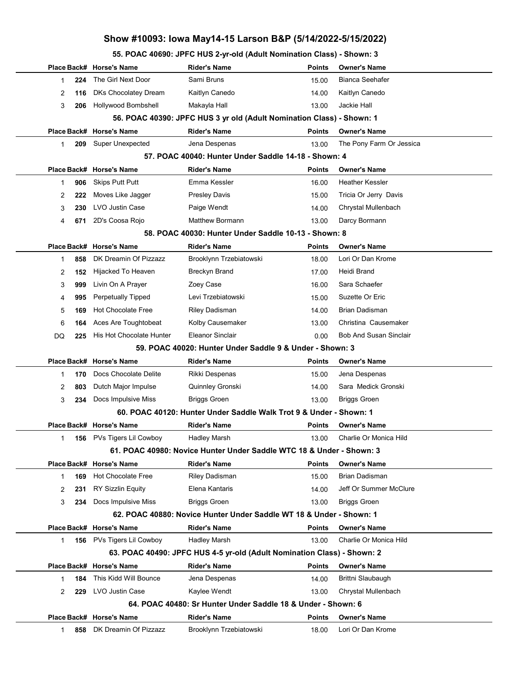55. POAC 40690: JPFC HUS 2-yr-old (Adult Nomination Class) - Shown: 3

|                                                                    |                                                                       | Place Back# Horse's Name  | Rider's Name                                                            | <b>Points</b> | Owner's Name                  |  |  |  |  |
|--------------------------------------------------------------------|-----------------------------------------------------------------------|---------------------------|-------------------------------------------------------------------------|---------------|-------------------------------|--|--|--|--|
| $\mathbf{1}$                                                       | 224                                                                   | The Girl Next Door        | Sami Bruns                                                              | 15.00         | Bianca Seehafer               |  |  |  |  |
| 2                                                                  | 116                                                                   | DKs Chocolatey Dream      | Kaitlyn Canedo                                                          | 14.00         | Kaitlyn Canedo                |  |  |  |  |
| 3                                                                  | 206                                                                   | Hollywood Bombshell       | Makayla Hall                                                            | 13.00         | Jackie Hall                   |  |  |  |  |
|                                                                    | 56. POAC 40390: JPFC HUS 3 yr old (Adult Nomination Class) - Shown: 1 |                           |                                                                         |               |                               |  |  |  |  |
|                                                                    |                                                                       | Place Back# Horse's Name  | <b>Rider's Name</b>                                                     | <b>Points</b> | <b>Owner's Name</b>           |  |  |  |  |
| 1                                                                  | 209                                                                   | <b>Super Unexpected</b>   | Jena Despenas                                                           | 13.00         | The Pony Farm Or Jessica      |  |  |  |  |
|                                                                    |                                                                       |                           | 57. POAC 40040: Hunter Under Saddle 14-18 - Shown: 4                    |               |                               |  |  |  |  |
|                                                                    |                                                                       | Place Back# Horse's Name  | <b>Rider's Name</b>                                                     | <b>Points</b> | <b>Owner's Name</b>           |  |  |  |  |
| 1                                                                  | 906                                                                   | <b>Skips Putt Putt</b>    | Emma Kessler                                                            | 16.00         | Heather Kessler               |  |  |  |  |
| 2                                                                  | 222                                                                   | Moves Like Jagger         | <b>Presley Davis</b>                                                    | 15.00         | Tricia Or Jerry Davis         |  |  |  |  |
| 3                                                                  | 230                                                                   | <b>LVO Justin Case</b>    | Paige Wendt                                                             | 14.00         | Chrystal Mullenbach           |  |  |  |  |
| 4                                                                  | 671                                                                   | 2D's Coosa Rojo           | <b>Matthew Bormann</b>                                                  | 13.00         | Darcy Bormann                 |  |  |  |  |
|                                                                    |                                                                       |                           | 58. POAC 40030: Hunter Under Saddle 10-13 - Shown: 8                    |               |                               |  |  |  |  |
|                                                                    |                                                                       | Place Back# Horse's Name  | <b>Rider's Name</b>                                                     | <b>Points</b> | <b>Owner's Name</b>           |  |  |  |  |
| $\mathbf 1$                                                        | 858                                                                   | DK Dreamin Of Pizzazz     | Brooklynn Trzebiatowski                                                 | 18.00         | Lori Or Dan Krome             |  |  |  |  |
| 2                                                                  | 152                                                                   | Hijacked To Heaven        | <b>Breckyn Brand</b>                                                    | 17.00         | Heidi Brand                   |  |  |  |  |
| 3                                                                  | 999                                                                   | Livin On A Prayer         | Zoey Case                                                               | 16.00         | Sara Schaefer                 |  |  |  |  |
| 4                                                                  | 995                                                                   | <b>Perpetually Tipped</b> | Levi Trzebiatowski                                                      | 15.00         | Suzette Or Eric               |  |  |  |  |
| 5                                                                  | 169                                                                   | <b>Hot Chocolate Free</b> | Riley Dadisman                                                          | 14.00         | Brian Dadisman                |  |  |  |  |
| 6                                                                  | 164                                                                   | Aces Are Toughtobeat      | Kolby Causemaker                                                        | 13.00         | Christina Causemaker          |  |  |  |  |
| DQ                                                                 | 225                                                                   | His Hot Chocolate Hunter  | <b>Eleanor Sinclair</b>                                                 | 0.00          | <b>Bob And Susan Sinclair</b> |  |  |  |  |
|                                                                    | 59. POAC 40020: Hunter Under Saddle 9 & Under - Shown: 3              |                           |                                                                         |               |                               |  |  |  |  |
|                                                                    |                                                                       | Place Back# Horse's Name  | <b>Rider's Name</b>                                                     | <b>Points</b> | <b>Owner's Name</b>           |  |  |  |  |
| $\mathbf{1}$                                                       | 170                                                                   | Docs Chocolate Delite     | Rikki Despenas                                                          | 15.00         | Jena Despenas                 |  |  |  |  |
| 2                                                                  | 803                                                                   | Dutch Major Impulse       | Quinnley Gronski                                                        | 14.00         | Sara Medick Gronski           |  |  |  |  |
|                                                                    | 234                                                                   | Docs Impulsive Miss       | <b>Briggs Groen</b>                                                     | 13.00         | <b>Briggs Groen</b>           |  |  |  |  |
| 60. POAC 40120: Hunter Under Saddle Walk Trot 9 & Under - Shown: 1 |                                                                       |                           |                                                                         |               |                               |  |  |  |  |
| 3                                                                  |                                                                       |                           |                                                                         |               |                               |  |  |  |  |
|                                                                    |                                                                       | Place Back# Horse's Name  | <b>Rider's Name</b>                                                     | <b>Points</b> | <b>Owner's Name</b>           |  |  |  |  |
|                                                                    |                                                                       | 156 PVs Tigers Lil Cowboy | Hadley Marsh                                                            | 13.00         | Charlie Or Monica Hild        |  |  |  |  |
|                                                                    |                                                                       |                           | 61. POAC 40980: Novice Hunter Under Saddle WTC 18 & Under - Shown: 3    |               |                               |  |  |  |  |
|                                                                    |                                                                       | Place Back# Horse's Name  | <b>Rider's Name</b>                                                     | <b>Points</b> | <b>Owner's Name</b>           |  |  |  |  |
| $\mathbf 1$                                                        | 169                                                                   | <b>Hot Chocolate Free</b> | Riley Dadisman                                                          | 15.00         | Brian Dadisman                |  |  |  |  |
| 2                                                                  | 231                                                                   | <b>RY Sizzlin Equity</b>  | Elena Kantaris                                                          | 14.00         | Jeff Or Summer McClure        |  |  |  |  |
| 3                                                                  | 234                                                                   | Docs Impulsive Miss       | <b>Briggs Groen</b>                                                     | 13.00         | <b>Briggs Groen</b>           |  |  |  |  |
|                                                                    |                                                                       |                           | 62. POAC 40880: Novice Hunter Under Saddle WT 18 & Under - Shown: 1     |               |                               |  |  |  |  |
|                                                                    |                                                                       | Place Back# Horse's Name  | <b>Rider's Name</b>                                                     | <b>Points</b> | <b>Owner's Name</b>           |  |  |  |  |
| $\mathbf{1}$                                                       |                                                                       | 156 PVs Tigers Lil Cowboy | <b>Hadley Marsh</b>                                                     | 13.00         | Charlie Or Monica Hild        |  |  |  |  |
|                                                                    |                                                                       |                           | 63. POAC 40490: JPFC HUS 4-5 yr-old (Adult Nomination Class) - Shown: 2 |               |                               |  |  |  |  |
|                                                                    |                                                                       | Place Back# Horse's Name  | <b>Rider's Name</b>                                                     | <b>Points</b> | <b>Owner's Name</b>           |  |  |  |  |
| 1                                                                  | 184                                                                   | This Kidd Will Bounce     | Jena Despenas                                                           | 14.00         | Brittni Slaubaugh             |  |  |  |  |
| 2                                                                  | 229                                                                   | LVO Justin Case           | Kaylee Wendt                                                            | 13.00         | Chrystal Mullenbach           |  |  |  |  |
|                                                                    |                                                                       |                           | 64. POAC 40480: Sr Hunter Under Saddle 18 & Under - Shown: 6            |               |                               |  |  |  |  |
|                                                                    |                                                                       | Place Back# Horse's Name  | <b>Rider's Name</b>                                                     | <b>Points</b> | <b>Owner's Name</b>           |  |  |  |  |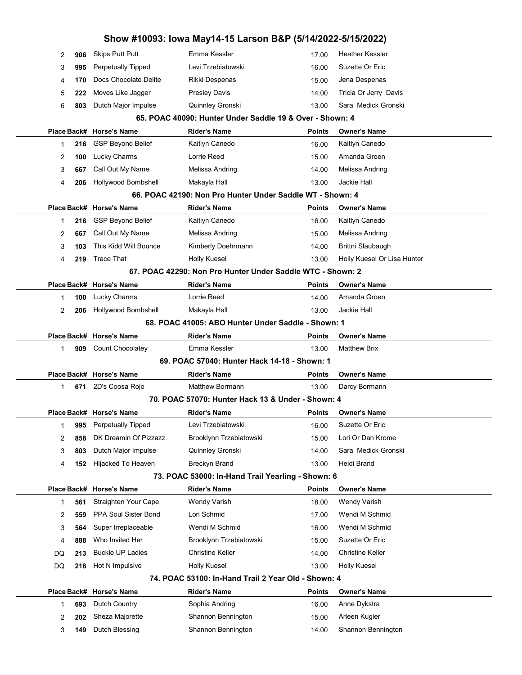|                                                    |                     |                                                | Show #10093: Iowa May14-15 Larson B&P (5/14/2022-5/15/2022)                 |                 |                                        |  |  |  |
|----------------------------------------------------|---------------------|------------------------------------------------|-----------------------------------------------------------------------------|-----------------|----------------------------------------|--|--|--|
|                                                    | 906<br>2            | <b>Skips Putt Putt</b>                         | Emma Kessler                                                                | 17.00           | <b>Heather Kessler</b>                 |  |  |  |
|                                                    | 3<br>995            | <b>Perpetually Tipped</b>                      | Levi Trzebiatowski                                                          | 16.00           | Suzette Or Eric                        |  |  |  |
|                                                    | 4<br>170            | Docs Chocolate Delite                          | Rikki Despenas                                                              | 15.00           | Jena Despenas                          |  |  |  |
|                                                    | 5<br>222            | Moves Like Jagger                              | <b>Presley Davis</b>                                                        | 14.00           | Tricia Or Jerry Davis                  |  |  |  |
|                                                    | 6<br>803            | Dutch Major Impulse                            | Quinnley Gronski                                                            | 13.00           | Sara Medick Gronski                    |  |  |  |
|                                                    |                     |                                                | 65. POAC 40090: Hunter Under Saddle 19 & Over - Shown: 4                    |                 |                                        |  |  |  |
|                                                    | Place Back#         | <b>Horse's Name</b>                            | <b>Rider's Name</b>                                                         | <b>Points</b>   | <b>Owner's Name</b>                    |  |  |  |
|                                                    | $\mathbf{1}$<br>216 | <b>GSP Beyond Belief</b>                       | Kaitlyn Canedo                                                              | 16.00           | Kaitlyn Canedo                         |  |  |  |
|                                                    | 2<br>100            | Lucky Charms                                   | Lorrie Reed                                                                 | 15.00           | Amanda Groen                           |  |  |  |
|                                                    | 3<br>667            | Call Out My Name                               | Melissa Andring                                                             | 14.00           | Melissa Andring                        |  |  |  |
|                                                    | 4<br>206            | Hollywood Bombshell                            | Makayla Hall                                                                | 13.00           | Jackie Hall                            |  |  |  |
|                                                    |                     |                                                | 66. POAC 42190: Non Pro Hunter Under Saddle WT - Shown: 4                   |                 |                                        |  |  |  |
|                                                    |                     | Place Back# Horse's Name                       | <b>Rider's Name</b>                                                         | <b>Points</b>   | <b>Owner's Name</b>                    |  |  |  |
|                                                    | 1<br>216            | <b>GSP Beyond Belief</b>                       | Kaitlyn Canedo                                                              | 16.00           | Kaitlyn Canedo                         |  |  |  |
|                                                    | 667<br>2            | Call Out My Name                               | Melissa Andring                                                             | 15.00           | Melissa Andring                        |  |  |  |
|                                                    | 3<br>103            | This Kidd Will Bounce                          | Kimberly Doehrmann                                                          | 14.00           | Brittni Slaubaugh                      |  |  |  |
|                                                    | 4<br>219            | <b>Trace That</b>                              | Holly Kuesel                                                                | 13.00           | Holly Kuesel Or Lisa Hunter            |  |  |  |
|                                                    |                     |                                                | 67. POAC 42290: Non Pro Hunter Under Saddle WTC - Shown: 2                  |                 |                                        |  |  |  |
|                                                    |                     | Place Back# Horse's Name                       | <b>Rider's Name</b>                                                         | <b>Points</b>   | <b>Owner's Name</b>                    |  |  |  |
|                                                    | $\mathbf{1}$<br>100 | Lucky Charms                                   | Lorrie Reed                                                                 | 14.00           | Amanda Groen                           |  |  |  |
|                                                    | 2<br>206            | Hollywood Bombshell                            | Makayla Hall                                                                | 13.00           | Jackie Hall                            |  |  |  |
| 68. POAC 41005: ABO Hunter Under Saddle - Shown: 1 |                     |                                                |                                                                             |                 |                                        |  |  |  |
|                                                    |                     | Place Back# Horse's Name                       | <b>Rider's Name</b>                                                         | <b>Points</b>   | <b>Owner's Name</b>                    |  |  |  |
|                                                    | $\mathbf{1}$<br>909 | <b>Count Chocolatey</b>                        | Emma Kessler                                                                | 13.00           | <b>Matthew Brix</b>                    |  |  |  |
|                                                    |                     |                                                | 69. POAC 57040: Hunter Hack 14-18 - Shown: 1                                |                 |                                        |  |  |  |
|                                                    |                     | Place Back# Horse's Name                       | <b>Rider's Name</b>                                                         | <b>Points</b>   | <b>Owner's Name</b>                    |  |  |  |
|                                                    | 671<br>1            | 2D's Coosa Rojo                                | <b>Matthew Bormann</b><br>70. POAC 57070: Hunter Hack 13 & Under - Shown: 4 | 13.00           | Darcy Bormann                          |  |  |  |
|                                                    |                     |                                                |                                                                             |                 |                                        |  |  |  |
|                                                    | 1<br>995            | Place Back# Horse's Name<br>Perpetually Tipped | <b>Rider's Name</b><br>Levi Trzebiatowski                                   | Points<br>16.00 | <b>Owner's Name</b><br>Suzette Or Eric |  |  |  |
|                                                    | 2<br>858            | DK Dreamin Of Pizzazz                          | Brooklynn Trzebiatowski                                                     | 15.00           | Lori Or Dan Krome                      |  |  |  |
|                                                    |                     | Dutch Major Impulse                            | Quinnley Gronski                                                            | 14.00           | Sara Medick Gronski                    |  |  |  |
|                                                    | 3<br>803            | Hijacked To Heaven                             | <b>Breckyn Brand</b>                                                        | 13.00           | Heidi Brand                            |  |  |  |
|                                                    | 4<br>152            |                                                | 73. POAC 53000: In-Hand Trail Yearling - Shown: 6                           |                 |                                        |  |  |  |
|                                                    | Place Back#         | <b>Horse's Name</b>                            | <b>Rider's Name</b>                                                         | <b>Points</b>   | <b>Owner's Name</b>                    |  |  |  |
|                                                    | 1<br>561            | Straighten Your Cape                           | Wendy Varish                                                                | 18.00           | <b>Wendy Varish</b>                    |  |  |  |
|                                                    | 2<br>559            | PPA Soul Sister Bond                           | Lori Schmid                                                                 | 17.00           | Wendi M Schmid                         |  |  |  |
|                                                    | 3<br>564            | Super Irreplaceable                            | Wendi M Schmid                                                              | 16.00           | Wendi M Schmid                         |  |  |  |
|                                                    | 888<br>4            | Who Invited Her                                | Brooklynn Trzebiatowski                                                     | 15.00           | Suzette Or Eric                        |  |  |  |
| DQ                                                 | 213                 | <b>Buckle UP Ladies</b>                        | <b>Christine Keller</b>                                                     | 14.00           | <b>Christine Keller</b>                |  |  |  |
| DQ                                                 | 218                 | Hot N Impulsive                                | Holly Kuesel                                                                | 13.00           | Holly Kuesel                           |  |  |  |
|                                                    |                     |                                                | 74. POAC 53100: In-Hand Trail 2 Year Old - Shown: 4                         |                 |                                        |  |  |  |
|                                                    | Place Back#         | <b>Horse's Name</b>                            | <b>Rider's Name</b>                                                         | <b>Points</b>   | <b>Owner's Name</b>                    |  |  |  |
|                                                    | $\mathbf{1}$<br>693 | Dutch Country                                  | Sophia Andring                                                              | 16.00           | Anne Dykstra                           |  |  |  |
|                                                    | 202<br>2            | Sheza Majorette                                | Shannon Bennington                                                          | 15.00           | Arleen Kugler                          |  |  |  |
|                                                    | 3<br>149            | Dutch Blessing                                 | Shannon Bennington                                                          | 14.00           | Shannon Bennington                     |  |  |  |
|                                                    |                     |                                                |                                                                             |                 |                                        |  |  |  |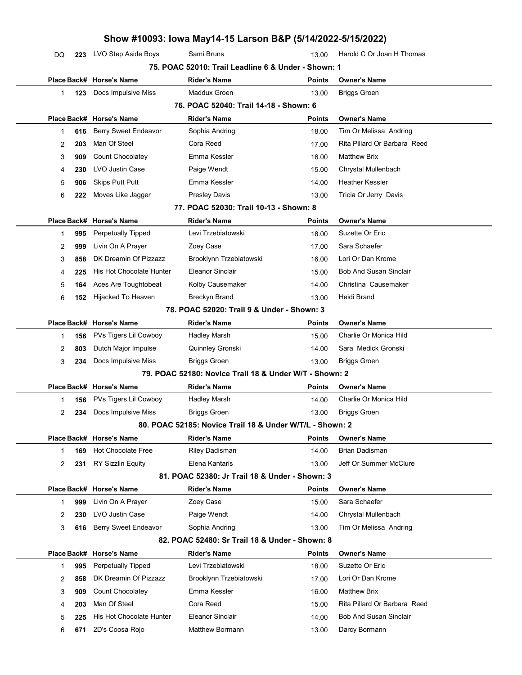## Show #10093: Iowa May14-15 Larson B&P (5/14/2022-5/15/2022) DQ 223 LVO Step Aside Boys Sami Bruns Harold C Or Joan H Thomas 13.00 Harold C Or Joan H Thomas 75. POAC 52010: Trail Leadline 6 & Under - Shown: 1 Place Back# Horse's Name **Rider's Name Communist Communist Communist** Points Owner's Name 1 **123** Docs Impulsive Miss Maddux Groen **Briggs Groen** 13.00 Briggs Groen 76. POAC 52040: Trail 14-18 - Shown: 6 Place Back# Horse's Name **Rider's Name Communist Communist Communist** Points Owner's Name 1 616 Berry Sweet Endeavor Sophia Andring 18.00 Tim Or Melissa Andring 2 203 Man Of Steel **Cora Reed Cora Reed 17.00** Rita Pillard Or Barbara Reed 3 909 Count Chocolatey **Emma Kessler** Matthew Brix 16.00 Matthew Brix 4 230 LVO Justin Case **Paige Wendt** Chrystal Mullenbach 15.00 Chrystal Mullenbach 5 906 Skips Putt Putt **Emma Kessler** Heather Kessler 14.00 Heather Kessler 6 222 Moves Like Jagger Presley Davis Presley Davis 13.00 Tricia Or Jerry Davis 77. POAC 52030: Trail 10-13 - Shown: 8 Place Back# Horse's Name **Rider's Name Communist Communist Communist** Points Owner's Name 1 995 Perpetually Tipped Levi Trzebiatowski 18.00 Suzette Or Eric 2 999 Livin On A Prayer 20ey Case 17.00 Sara Schaefer 3 858 DK Dreamin Of Pizzazz Brooklynn Trzebiatowski 16.00 Lori Or Dan Krome 4 225 His Hot Chocolate Hunter Eleanor Sinclair **Bob And Susan Sinclair** 15.00 Bob And Susan Sinclair 5 **164** Aces Are Toughtobeat Kolby Causemaker Christina Causemaker Christina Causemaker 6 152 Hijacked To Heaven Breckyn Brand 13.00 Heidi Brand 78. POAC 52020: Trail 9 & Under - Shown: 3 Place Back# Horse's Name **Rider's Name Communist Communist Communist** Points Owner's Name 1 **156** PVs Tigers Lil Cowboy Hadley Marsh Charlie Or Monica Hild 15.00 Charlie Or Monica Hild 2 803 Dutch Major Impulse Quinnley Gronski 14.00 Sara Medick Gronski 3 234 Docs Impulsive Miss Briggs Groen 13.00 Briggs Groen 79. POAC 52180: Novice Trail 18 & Under W/T - Shown: 2 Place Back# Horse's Name **Rider's Name Points** Dwner's Name 1 156 PVs Tigers Lil Cowboy Hadley Marsh Charlie Or Monica Hild 14.00 Charlie Or Monica Hild 2 234 Docs Impulsive Miss Briggs Groen 13.00 Briggs Groen 80. POAC 52185: Novice Trail 18 & Under W/T/L - Shown: 2 Place Back# Horse's Name **Rider's Name Communist Communist Communist** Points Owner's Name 1 169 Hot Chocolate Free Riley Dadisman 14.00 Brian Dadisman 2 231 RY Sizzlin Equity **Elena Kantaris** 13.00 Jeff Or Summer McClure 81. POAC 52380: Jr Trail 18 & Under - Shown: 3 Place Back# Horse's Name **Rider's Name Communist Communist Communist** Points Owner's Name 1 999 Livin On A Prayer 20ey Case 15.00 Sara Schaefer 2 230 LVO Justin Case **Paige Wendt** Chrystal Mullenbach 14.00 Chrystal Mullenbach 3 **616** Berry Sweet Endeavor Sophia Andring Tim Or Melissa Andring 13.00 Tim Or Melissa Andring 82. POAC 52480: Sr Trail 18 & Under - Shown: 8 Place Back# Horse's Name **Rider's Name Communist Communist Communist** Points Owner's Name 1 **995** Perpetually Tipped Levi Trzebiatowski 18.00 Suzette Or Eric 2 858 DK Dreamin Of Pizzazz Brooklynn Trzebiatowski 17.00 Lori Or Dan Krome 3 909 Count Chocolatey **Emma Kessler** Matthew Brix 16.00 Matthew Brix 4 203 Man Of Steel Cora Reed Cora Reed 15.00 Rita Pillard Or Barbara Reed 5 225 His Hot Chocolate Hunter Eleanor Sinclair **Bob And Susan Sinclair** 14.00 Bob And Susan Sinclair 6 671 2D's Coosa Rojo **Matthew Bormann** 13.00 Darcy Bormann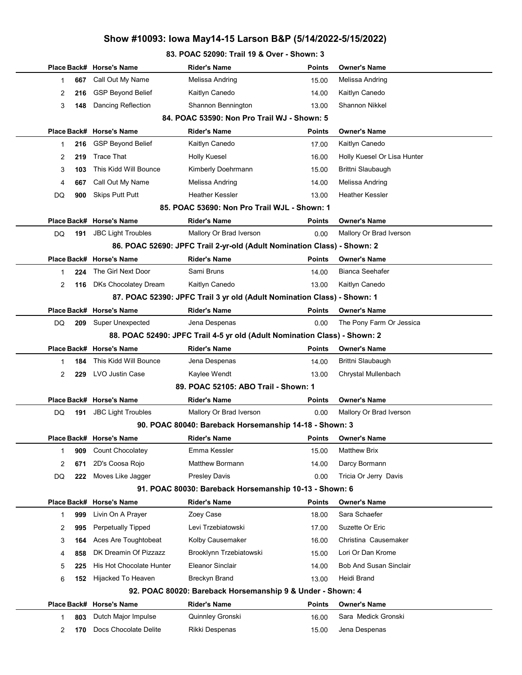#### 83. POAC 52090: Trail 19 & Over - Shown: 3

|                                                                           |          | Place Back# Horse's Name  | <b>Rider's Name</b>                                                     | <b>Points</b> | <b>Owner's Name</b>         |  |  |
|---------------------------------------------------------------------------|----------|---------------------------|-------------------------------------------------------------------------|---------------|-----------------------------|--|--|
|                                                                           | 667<br>1 | Call Out My Name          | Melissa Andring                                                         | 15.00         | Melissa Andring             |  |  |
|                                                                           | 2<br>216 | <b>GSP Beyond Belief</b>  | Kaitlyn Canedo                                                          | 14.00         | Kaitlyn Canedo              |  |  |
|                                                                           | 3<br>148 | <b>Dancing Reflection</b> | Shannon Bennington                                                      | 13.00         | <b>Shannon Nikkel</b>       |  |  |
|                                                                           |          |                           | 84. POAC 53590: Non Pro Trail WJ - Shown: 5                             |               |                             |  |  |
|                                                                           |          | Place Back# Horse's Name  | <b>Rider's Name</b>                                                     | <b>Points</b> | <b>Owner's Name</b>         |  |  |
|                                                                           | 216<br>1 | <b>GSP Beyond Belief</b>  | Kaitlyn Canedo                                                          | 17.00         | Kaitlyn Canedo              |  |  |
|                                                                           | 2<br>219 | <b>Trace That</b>         | Holly Kuesel                                                            | 16.00         | Holly Kuesel Or Lisa Hunter |  |  |
|                                                                           | 3<br>103 | This Kidd Will Bounce     | Kimberly Doehrmann                                                      | 15.00         | Brittni Slaubaugh           |  |  |
|                                                                           | 4<br>667 | Call Out My Name          | Melissa Andring                                                         | 14.00         | Melissa Andring             |  |  |
| DQ                                                                        | 900      | <b>Skips Putt Putt</b>    | <b>Heather Kessler</b>                                                  | 13.00         | Heather Kessler             |  |  |
|                                                                           |          |                           | 85. POAC 53690: Non Pro Trail WJL - Shown: 1                            |               |                             |  |  |
|                                                                           |          | Place Back# Horse's Name  | <b>Rider's Name</b>                                                     | <b>Points</b> | Owner's Name                |  |  |
| DQ                                                                        | 191      | <b>JBC Light Troubles</b> | Mallory Or Brad Iverson                                                 | 0.00          | Mallory Or Brad Iverson     |  |  |
|                                                                           |          |                           | 86. POAC 52690: JPFC Trail 2-yr-old (Adult Nomination Class) - Shown: 2 |               |                             |  |  |
|                                                                           |          | Place Back# Horse's Name  | <b>Rider's Name</b>                                                     | <b>Points</b> | <b>Owner's Name</b>         |  |  |
|                                                                           | 224<br>1 | The Girl Next Door        | Sami Bruns                                                              | 14.00         | <b>Bianca Seehafer</b>      |  |  |
|                                                                           | 2<br>116 | DKs Chocolatey Dream      | Kaitlyn Canedo                                                          | 13.00         | Kaitlyn Canedo              |  |  |
| 87. POAC 52390: JPFC Trail 3 yr old (Adult Nomination Class) - Shown: 1   |          |                           |                                                                         |               |                             |  |  |
|                                                                           |          | Place Back# Horse's Name  | <b>Rider's Name</b>                                                     | <b>Points</b> | <b>Owner's Name</b>         |  |  |
| DQ                                                                        | 209      | <b>Super Unexpected</b>   | Jena Despenas                                                           | 0.00          | The Pony Farm Or Jessica    |  |  |
| 88. POAC 52490: JPFC Trail 4-5 yr old (Adult Nomination Class) - Shown: 2 |          |                           |                                                                         |               |                             |  |  |
|                                                                           |          | Place Back# Horse's Name  | <b>Rider's Name</b>                                                     | <b>Points</b> | <b>Owner's Name</b>         |  |  |
|                                                                           | 1<br>184 | This Kidd Will Bounce     | Jena Despenas                                                           | 14.00         | Brittni Slaubaugh           |  |  |
|                                                                           | 2<br>229 | LVO Justin Case           | Kaylee Wendt                                                            | 13.00         | Chrystal Mullenbach         |  |  |
|                                                                           |          |                           | 89. POAC 52105: ABO Trail - Shown: 1                                    |               |                             |  |  |
|                                                                           |          | Place Back# Horse's Name  | <b>Rider's Name</b>                                                     | <b>Points</b> | <b>Owner's Name</b>         |  |  |
| DQ                                                                        | 191      | <b>JBC Light Troubles</b> | Mallory Or Brad Iverson                                                 | 0.00          | Mallory Or Brad Iverson     |  |  |
|                                                                           |          |                           | 90. POAC 80040: Bareback Horsemanship 14-18 - Shown: 3                  |               |                             |  |  |
|                                                                           |          | Place Back# Horse's Name  | <b>Rider's Name</b>                                                     |               | Points Owner's Name         |  |  |
|                                                                           | 1<br>909 | Count Chocolatey          | Emma Kessler                                                            | 15.00         | <b>Matthew Brix</b>         |  |  |
|                                                                           | 2<br>671 | 2D's Coosa Rojo           | Matthew Bormann                                                         | 14.00         | Darcy Bormann               |  |  |
| DQ                                                                        | 222      | Moves Like Jagger         | <b>Presley Davis</b>                                                    | 0.00          | Tricia Or Jerry Davis       |  |  |
|                                                                           |          |                           | 91. POAC 80030: Bareback Horsemanship 10-13 - Shown: 6                  |               |                             |  |  |
|                                                                           |          | Place Back# Horse's Name  | <b>Rider's Name</b>                                                     | <b>Points</b> | <b>Owner's Name</b>         |  |  |
|                                                                           | 999<br>1 | Livin On A Prayer         | Zoey Case                                                               | 18.00         | Sara Schaefer               |  |  |
|                                                                           | 995<br>2 | <b>Perpetually Tipped</b> | Levi Trzebiatowski                                                      | 17.00         | Suzette Or Eric             |  |  |
|                                                                           | 3<br>164 | Aces Are Toughtobeat      | Kolby Causemaker                                                        | 16.00         | Christina Causemaker        |  |  |
|                                                                           | 858<br>4 | DK Dreamin Of Pizzazz     | Brooklynn Trzebiatowski                                                 | 15.00         | Lori Or Dan Krome           |  |  |
|                                                                           | 5<br>225 | His Hot Chocolate Hunter  | <b>Eleanor Sinclair</b>                                                 | 14.00         | Bob And Susan Sinclair      |  |  |
|                                                                           | 6<br>152 | Hijacked To Heaven        | <b>Breckyn Brand</b>                                                    | 13.00         | Heidi Brand                 |  |  |
|                                                                           |          |                           | 92. POAC 80020: Bareback Horsemanship 9 & Under - Shown: 4              |               |                             |  |  |
|                                                                           |          | Place Back# Horse's Name  | Rider's Name                                                            | <b>Points</b> | <b>Owner's Name</b>         |  |  |
|                                                                           | 803<br>1 | Dutch Major Impulse       | Quinnley Gronski                                                        | 16.00         | Sara Medick Gronski         |  |  |
|                                                                           | 2<br>170 | Docs Chocolate Delite     | Rikki Despenas                                                          | 15.00         | Jena Despenas               |  |  |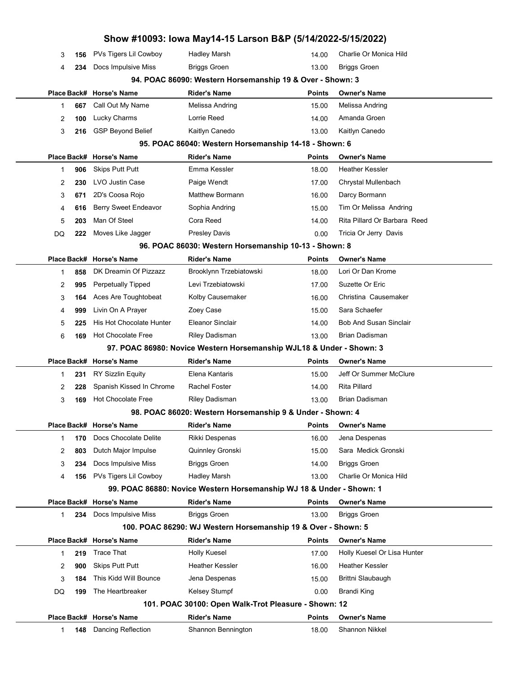| 1      | 148        | Dancing Reflection                                | Shannon Bennington                                                   | 18.00                  | <b>Shannon Nikkel</b>                    |
|--------|------------|---------------------------------------------------|----------------------------------------------------------------------|------------------------|------------------------------------------|
|        |            | Place Back# Horse's Name                          | <b>Rider's Name</b>                                                  | <b>Points</b>          | <b>Owner's Name</b>                      |
|        |            |                                                   | 101. POAC 30100: Open Walk-Trot Pleasure - Shown: 12                 |                        |                                          |
| DQ     | 199        | The Heartbreaker                                  | Kelsey Stumpf                                                        | 0.00                   | <b>Brandi King</b>                       |
| 3      | 184        |                                                   | Jena Despenas                                                        | 15.00                  |                                          |
|        |            | This Kidd Will Bounce                             |                                                                      |                        | Brittni Slaubaugh                        |
| 2      | 900        | <b>Skips Putt Putt</b>                            | <b>Heather Kessler</b>                                               | 16.00                  | Heather Kessler                          |
| 1      | 219        | <b>Trace That</b>                                 | <b>Holly Kuesel</b>                                                  | 17.00                  | Holly Kuesel Or Lisa Hunter              |
|        |            | Place Back# Horse's Name                          | <b>Rider's Name</b>                                                  | <b>Points</b>          | <b>Owner's Name</b>                      |
|        |            |                                                   | 100. POAC 86290: WJ Western Horsemanship 19 & Over - Shown: 5        |                        |                                          |
| 1      | 234        | Docs Impulsive Miss                               | <b>Briggs Groen</b>                                                  | 13.00                  | <b>Briggs Groen</b>                      |
|        |            | Place Back# Horse's Name                          | <b>Rider's Name</b>                                                  | Points                 | <b>Owner's Name</b>                      |
|        |            |                                                   | 99. POAC 86880: Novice Western Horsemanship WJ 18 & Under - Shown: 1 |                        |                                          |
| 4      | 156        | PVs Tigers Lil Cowboy                             | Hadley Marsh                                                         | 13.00                  | Charlie Or Monica Hild                   |
| 3      | 234        | Docs Impulsive Miss                               | <b>Briggs Groen</b>                                                  | 14.00                  | <b>Briggs Groen</b>                      |
| 2      | 803        | Dutch Major Impulse                               | Quinnley Gronski                                                     | 15.00                  | Sara Medick Gronski                      |
| 1      | 170        | Docs Chocolate Delite                             | Rikki Despenas                                                       | 16.00                  | Jena Despenas                            |
|        |            | Place Back# Horse's Name                          | <b>Rider's Name</b>                                                  | Points                 | <b>Owner's Name</b>                      |
|        |            |                                                   | 98. POAC 86020: Western Horsemanship 9 & Under - Shown: 4            |                        |                                          |
| 2<br>3 | 228<br>169 | <b>Hot Chocolate Free</b>                         | <b>Riley Dadisman</b>                                                | 14.00<br>13.00         | Brian Dadisman                           |
| 1      | 231        | Spanish Kissed In Chrome                          | <b>Rachel Foster</b>                                                 |                        | <b>Rita Pillard</b>                      |
|        |            | <b>RY Sizzlin Equity</b>                          | Elena Kantaris                                                       | <b>Points</b><br>15.00 | Jeff Or Summer McClure                   |
|        |            | Place Back# Horse's Name                          | <b>Rider's Name</b>                                                  |                        | <b>Owner's Name</b>                      |
|        |            |                                                   | 97. POAC 86980: Novice Western Horsemanship WJL18 & Under - Shown: 3 |                        |                                          |
| 6      | 169        | <b>Hot Chocolate Free</b>                         | Riley Dadisman                                                       | 13.00                  | Brian Dadisman                           |
| 5      | 225        | His Hot Chocolate Hunter                          | Eleanor Sinclair                                                     | 14.00                  | <b>Bob And Susan Sinclair</b>            |
| 3<br>4 | 999        | Livin On A Prayer                                 | Zoey Case                                                            | 15.00                  | Sara Schaefer                            |
| 2      | 995<br>164 | Aces Are Toughtobeat                              | Kolby Causemaker                                                     | 17.00<br>16.00         | Christina Causemaker                     |
| 1      | 858        | <b>Perpetually Tipped</b>                         | Brooklynn Trzebiatowski<br>Levi Trzebiatowski                        | 18.00                  | Suzette Or Eric                          |
|        |            | Place Back# Horse's Name<br>DK Dreamin Of Pizzazz | <b>Rider's Name</b>                                                  | <b>Points</b>          | <b>Owner's Name</b><br>Lori Or Dan Krome |
|        |            |                                                   | 96. POAC 86030: Western Horsemanship 10-13 - Shown: 8                |                        |                                          |
| DQ     | 222        | Moves Like Jagger                                 | <b>Presley Davis</b>                                                 | 0.00                   | Tricia Or Jerry Davis                    |
| 5      | 203        |                                                   |                                                                      | 14.00                  |                                          |
| 4      | 616        | Berry Sweet Endeavor<br>Man Of Steel              | Sophia Andring<br>Cora Reed                                          | 15.00                  | Rita Pillard Or Barbara Reed             |
| 3      | 671        | 2D's Coosa Rojo                                   |                                                                      | 16.00                  | Darcy Bormann<br>Tim Or Melissa Andring  |
| 2      | 230        | <b>LVO Justin Case</b>                            | Paige Wendt<br><b>Matthew Bormann</b>                                | 17.00                  | Chrystal Mullenbach                      |
| 1      | 906        | <b>Skips Putt Putt</b>                            | Emma Kessler                                                         | 18.00                  | <b>Heather Kessler</b>                   |
|        |            | Place Back# Horse's Name                          | <b>Rider's Name</b>                                                  | Points                 | <b>Owner's Name</b>                      |
|        |            |                                                   | 95. POAC 86040: Western Horsemanship 14-18 - Shown: 6                |                        |                                          |
| 3      | 216        | <b>GSP Beyond Belief</b>                          | Kaitlyn Canedo                                                       | 13.00                  | Kaitlyn Canedo                           |
| 2      | 100        | <b>Lucky Charms</b>                               | Lorrie Reed                                                          | 14.00                  | Amanda Groen                             |
| 1      | 667        | Call Out My Name                                  | Melissa Andring                                                      | 15.00                  | Melissa Andring                          |
|        |            | Place Back# Horse's Name                          | <b>Rider's Name</b>                                                  | Points                 | <b>Owner's Name</b>                      |
|        |            |                                                   | 94. POAC 86090: Western Horsemanship 19 & Over - Shown: 3            |                        |                                          |
| 4      | 234        | Docs Impulsive Miss                               | <b>Briggs Groen</b>                                                  | 13.00                  | <b>Briggs Groen</b>                      |
| 3      | 156        | PVs Tigers Lil Cowboy                             | <b>Hadley Marsh</b>                                                  | 14.00                  | Charlie Or Monica Hild                   |
|        |            |                                                   |                                                                      |                        |                                          |
|        |            |                                                   | Show #10093: Iowa May14-15 Larson B&P (5/14/2022-5/15/2022)          |                        |                                          |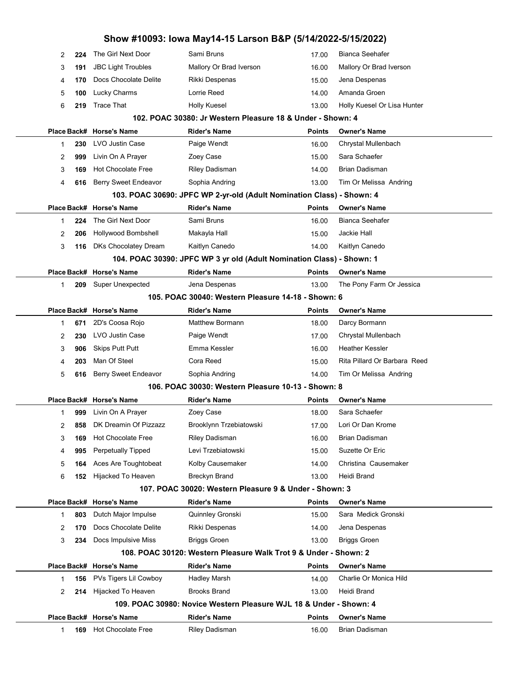|                                                    |     |                           | Show #10093: Iowa May14-15 Larson B&P (5/14/2022-5/15/2022)           |               |                              |  |  |  |
|----------------------------------------------------|-----|---------------------------|-----------------------------------------------------------------------|---------------|------------------------------|--|--|--|
| 2                                                  | 224 | The Girl Next Door        | Sami Bruns                                                            | 17.00         | <b>Bianca Seehafer</b>       |  |  |  |
| 3                                                  | 191 | <b>JBC Light Troubles</b> | Mallory Or Brad Iverson                                               | 16.00         | Mallory Or Brad Iverson      |  |  |  |
| 4                                                  | 170 | Docs Chocolate Delite     | Rikki Despenas                                                        | 15.00         | Jena Despenas                |  |  |  |
| 5                                                  | 100 | Lucky Charms              | Lorrie Reed                                                           | 14.00         | Amanda Groen                 |  |  |  |
| 6                                                  | 219 | <b>Trace That</b>         | <b>Holly Kuesel</b>                                                   | 13.00         | Holly Kuesel Or Lisa Hunter  |  |  |  |
|                                                    |     |                           | 102. POAC 30380: Jr Western Pleasure 18 & Under - Shown: 4            |               |                              |  |  |  |
|                                                    |     | Place Back# Horse's Name  | <b>Rider's Name</b>                                                   | Points        | <b>Owner's Name</b>          |  |  |  |
| 1                                                  | 230 | LVO Justin Case           | Paige Wendt                                                           | 16.00         | Chrystal Mullenbach          |  |  |  |
| 2                                                  | 999 | Livin On A Prayer         | Zoey Case                                                             | 15.00         | Sara Schaefer                |  |  |  |
| 3                                                  | 169 | <b>Hot Chocolate Free</b> | Riley Dadisman                                                        | 14.00         | <b>Brian Dadisman</b>        |  |  |  |
| 4                                                  | 616 | Berry Sweet Endeavor      | Sophia Andring                                                        | 13.00         | Tim Or Melissa Andring       |  |  |  |
|                                                    |     |                           | 103. POAC 30690: JPFC WP 2-yr-old (Adult Nomination Class) - Shown: 4 |               |                              |  |  |  |
|                                                    |     | Place Back# Horse's Name  | <b>Rider's Name</b>                                                   | Points        | <b>Owner's Name</b>          |  |  |  |
| 1                                                  | 224 | The Girl Next Door        | Sami Bruns                                                            | 16.00         | Bianca Seehafer              |  |  |  |
| 2                                                  | 206 | Hollywood Bombshell       | Makayla Hall                                                          | 15.00         | Jackie Hall                  |  |  |  |
| 3                                                  | 116 | DKs Chocolatey Dream      | Kaitlyn Canedo                                                        | 14.00         | Kaitlyn Canedo               |  |  |  |
|                                                    |     |                           | 104. POAC 30390: JPFC WP 3 yr old (Adult Nomination Class) - Shown: 1 |               |                              |  |  |  |
|                                                    |     | Place Back# Horse's Name  | <b>Rider's Name</b>                                                   | <b>Points</b> | <b>Owner's Name</b>          |  |  |  |
| 1                                                  | 209 | <b>Super Unexpected</b>   | Jena Despenas                                                         | 13.00         | The Pony Farm Or Jessica     |  |  |  |
| 105. POAC 30040: Western Pleasure 14-18 - Shown: 6 |     |                           |                                                                       |               |                              |  |  |  |
|                                                    |     | Place Back# Horse's Name  | <b>Rider's Name</b>                                                   | <b>Points</b> | <b>Owner's Name</b>          |  |  |  |
| 1                                                  | 671 | 2D's Coosa Rojo           | <b>Matthew Bormann</b>                                                | 18.00         | Darcy Bormann                |  |  |  |
| 2                                                  | 230 | LVO Justin Case           | Paige Wendt                                                           | 17.00         | Chrystal Mullenbach          |  |  |  |
| 3                                                  | 906 | <b>Skips Putt Putt</b>    | Emma Kessler                                                          | 16.00         | <b>Heather Kessler</b>       |  |  |  |
| 4                                                  | 203 | Man Of Steel              | Cora Reed                                                             | 15.00         | Rita Pillard Or Barbara Reed |  |  |  |
| 5                                                  | 616 | Berry Sweet Endeavor      | Sophia Andring                                                        | 14.00         | Tim Or Melissa Andring       |  |  |  |
|                                                    |     |                           | 106. POAC 30030: Western Pleasure 10-13 - Shown: 8                    |               |                              |  |  |  |
|                                                    |     | Place Back# Horse's Name  | <b>Rider's Name</b>                                                   | <b>Points</b> | <b>Owner's Name</b>          |  |  |  |
|                                                    |     | 999 Livin On A Prayer     | Zoey Case                                                             | 18.00         | Sara Schaefer                |  |  |  |
| 2                                                  | 858 | DK Dreamin Of Pizzazz     | Brooklynn Trzebiatowski                                               | 17.00         | Lori Or Dan Krome            |  |  |  |
| 3                                                  | 169 | <b>Hot Chocolate Free</b> | Riley Dadisman                                                        | 16.00         | <b>Brian Dadisman</b>        |  |  |  |
| 4                                                  | 995 | <b>Perpetually Tipped</b> | Levi Trzebiatowski                                                    | 15.00         | Suzette Or Eric              |  |  |  |
| 5                                                  | 164 | Aces Are Toughtobeat      | Kolby Causemaker                                                      | 14.00         | Christina Causemaker         |  |  |  |
| 6                                                  | 152 | Hijacked To Heaven        | <b>Breckyn Brand</b>                                                  | 13.00         | Heidi Brand                  |  |  |  |
|                                                    |     |                           | 107. POAC 30020: Western Pleasure 9 & Under - Shown: 3                |               |                              |  |  |  |
|                                                    |     | Place Back# Horse's Name  | <b>Rider's Name</b>                                                   | <b>Points</b> | <b>Owner's Name</b>          |  |  |  |
| 1                                                  | 803 | Dutch Major Impulse       | Quinnley Gronski                                                      | 15.00         | Sara Medick Gronski          |  |  |  |
| 2                                                  | 170 | Docs Chocolate Delite     | Rikki Despenas                                                        | 14.00         | Jena Despenas                |  |  |  |
| 3                                                  | 234 | Docs Impulsive Miss       | <b>Briggs Groen</b>                                                   | 13.00         | <b>Briggs Groen</b>          |  |  |  |
|                                                    |     |                           | 108. POAC 30120: Western Pleasure Walk Trot 9 & Under - Shown: 2      |               |                              |  |  |  |
|                                                    |     | Place Back# Horse's Name  | <b>Rider's Name</b>                                                   | <b>Points</b> | <b>Owner's Name</b>          |  |  |  |
| 1                                                  | 156 | PVs Tigers Lil Cowboy     | <b>Hadley Marsh</b>                                                   | 14.00         | Charlie Or Monica Hild       |  |  |  |
| 2                                                  | 214 | Hijacked To Heaven        | <b>Brooks Brand</b>                                                   | 13.00         | Heidi Brand                  |  |  |  |
|                                                    |     |                           | 109. POAC 30980: Novice Western Pleasure WJL 18 & Under - Shown: 4    |               |                              |  |  |  |
|                                                    |     | Place Back# Horse's Name  | <b>Rider's Name</b>                                                   | Points        | <b>Owner's Name</b>          |  |  |  |
| 1                                                  | 169 | <b>Hot Chocolate Free</b> | Riley Dadisman                                                        | 16.00         | Brian Dadisman               |  |  |  |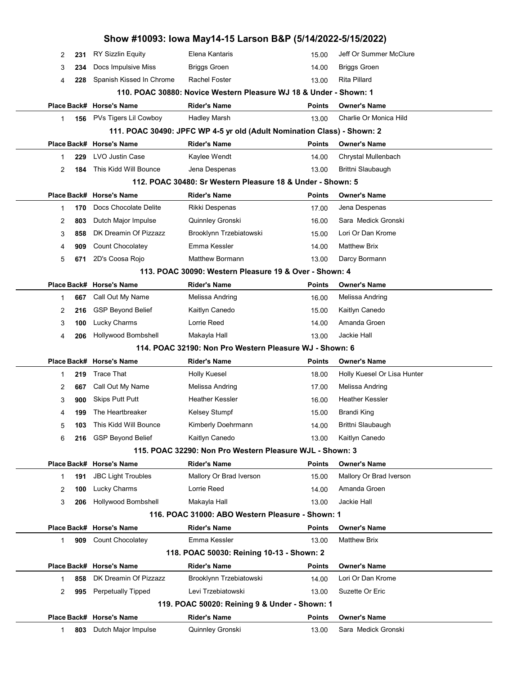|                                                         |     |                           | Show #10093: Iowa May14-15 Larson B&P (5/14/2022-5/15/2022)             |               |                             |  |  |  |
|---------------------------------------------------------|-----|---------------------------|-------------------------------------------------------------------------|---------------|-----------------------------|--|--|--|
| 2                                                       | 231 | <b>RY Sizzlin Equity</b>  | Elena Kantaris                                                          | 15.00         | Jeff Or Summer McClure      |  |  |  |
| 3                                                       | 234 | Docs Impulsive Miss       | <b>Briggs Groen</b>                                                     | 14.00         | <b>Briggs Groen</b>         |  |  |  |
| 4                                                       | 228 | Spanish Kissed In Chrome  | <b>Rachel Foster</b>                                                    | 13.00         | <b>Rita Pillard</b>         |  |  |  |
|                                                         |     |                           | 110. POAC 30880: Novice Western Pleasure WJ 18 & Under - Shown: 1       |               |                             |  |  |  |
|                                                         |     | Place Back# Horse's Name  | <b>Rider's Name</b>                                                     | Points        | <b>Owner's Name</b>         |  |  |  |
| $\mathbf{1}$                                            | 156 | PVs Tigers Lil Cowboy     | <b>Hadley Marsh</b>                                                     | 13.00         | Charlie Or Monica Hild      |  |  |  |
|                                                         |     |                           | 111. POAC 30490: JPFC WP 4-5 yr old (Adult Nomination Class) - Shown: 2 |               |                             |  |  |  |
|                                                         |     | Place Back# Horse's Name  | <b>Rider's Name</b>                                                     | <b>Points</b> | <b>Owner's Name</b>         |  |  |  |
| 1                                                       | 229 | <b>LVO Justin Case</b>    | Kaylee Wendt                                                            | 14.00         | Chrystal Mullenbach         |  |  |  |
| 2                                                       | 184 | This Kidd Will Bounce     | Jena Despenas                                                           | 13.00         | Brittni Slaubaugh           |  |  |  |
|                                                         |     |                           | 112. POAC 30480: Sr Western Pleasure 18 & Under - Shown: 5              |               |                             |  |  |  |
|                                                         |     | Place Back# Horse's Name  | <b>Rider's Name</b>                                                     | <b>Points</b> | <b>Owner's Name</b>         |  |  |  |
| 1                                                       | 170 | Docs Chocolate Delite     | Rikki Despenas                                                          | 17.00         | Jena Despenas               |  |  |  |
| 2                                                       | 803 | Dutch Major Impulse       | Quinnley Gronski                                                        | 16.00         | Sara Medick Gronski         |  |  |  |
| 3                                                       | 858 | DK Dreamin Of Pizzazz     | Brooklynn Trzebiatowski                                                 | 15.00         | Lori Or Dan Krome           |  |  |  |
| 4                                                       | 909 | Count Chocolatey          | Emma Kessler                                                            | 14.00         | <b>Matthew Brix</b>         |  |  |  |
| 5                                                       | 671 | 2D's Coosa Rojo           | <b>Matthew Bormann</b>                                                  | 13.00         | Darcy Bormann               |  |  |  |
| 113. POAC 30090: Western Pleasure 19 & Over - Shown: 4  |     |                           |                                                                         |               |                             |  |  |  |
|                                                         |     | Place Back# Horse's Name  | <b>Rider's Name</b>                                                     | Points        | <b>Owner's Name</b>         |  |  |  |
| 1                                                       | 667 | Call Out My Name          | Melissa Andring                                                         | 16.00         | Melissa Andring             |  |  |  |
| 2                                                       | 216 | <b>GSP Beyond Belief</b>  | Kaitlyn Canedo                                                          | 15.00         | Kaitlyn Canedo              |  |  |  |
| 3                                                       | 100 | Lucky Charms              | Lorrie Reed                                                             | 14.00         | Amanda Groen                |  |  |  |
| 4                                                       | 206 | Hollywood Bombshell       | Makayla Hall                                                            | 13.00         | Jackie Hall                 |  |  |  |
| 114, POAC 32190: Non Pro Western Pleasure WJ - Shown: 6 |     |                           |                                                                         |               |                             |  |  |  |
|                                                         |     | Place Back# Horse's Name  | <b>Rider's Name</b>                                                     | <b>Points</b> | <b>Owner's Name</b>         |  |  |  |
| $\mathbf{1}$                                            | 219 | <b>Trace That</b>         | <b>Holly Kuesel</b>                                                     | 18.00         | Holly Kuesel Or Lisa Hunter |  |  |  |
| 2                                                       | 667 | Call Out My Name          | Melissa Andring                                                         | 17.00         | Melissa Andring             |  |  |  |
| 3                                                       | 900 | <b>Skips Putt Putt</b>    | <b>Heather Kessler</b>                                                  | 16.00         | <b>Heather Kessler</b>      |  |  |  |
| 4                                                       | 199 | The Heartbreaker          | <b>Kelsey Stumpf</b>                                                    | 15.00         | Brandi King                 |  |  |  |
| 5                                                       | 103 | This Kidd Will Bounce     | Kimberly Doehrmann                                                      | 14.00         | Brittni Slaubaugh           |  |  |  |
| 6                                                       | 216 | <b>GSP Beyond Belief</b>  | Kaitlyn Canedo                                                          | 13.00         | Kaitlyn Canedo              |  |  |  |
|                                                         |     |                           | 115. POAC 32290: Non Pro Western Pleasure WJL - Shown: 3                |               |                             |  |  |  |
|                                                         |     | Place Back# Horse's Name  | <b>Rider's Name</b>                                                     | <b>Points</b> | <b>Owner's Name</b>         |  |  |  |
| $\mathbf{1}$                                            | 191 | <b>JBC Light Troubles</b> | Mallory Or Brad Iverson                                                 | 15.00         | Mallory Or Brad Iverson     |  |  |  |
| 2                                                       | 100 | Lucky Charms              | Lorrie Reed                                                             | 14.00         | Amanda Groen                |  |  |  |
| 3                                                       | 206 | Hollywood Bombshell       | Makayla Hall                                                            | 13.00         | Jackie Hall                 |  |  |  |
|                                                         |     |                           | 116. POAC 31000: ABO Western Pleasure - Shown: 1                        |               |                             |  |  |  |
|                                                         |     | Place Back# Horse's Name  | <b>Rider's Name</b>                                                     | <b>Points</b> | <b>Owner's Name</b>         |  |  |  |
| 1                                                       | 909 | Count Chocolatey          | Emma Kessler                                                            | 13.00         | <b>Matthew Brix</b>         |  |  |  |
|                                                         |     |                           | 118. POAC 50030: Reining 10-13 - Shown: 2                               |               |                             |  |  |  |
|                                                         |     | Place Back# Horse's Name  | <b>Rider's Name</b>                                                     | <b>Points</b> | <b>Owner's Name</b>         |  |  |  |
| $\mathbf{1}$                                            | 858 | DK Dreamin Of Pizzazz     | Brooklynn Trzebiatowski                                                 | 14.00         | Lori Or Dan Krome           |  |  |  |
| 2                                                       | 995 | <b>Perpetually Tipped</b> | Levi Trzebiatowski                                                      | 13.00         | Suzette Or Eric             |  |  |  |
|                                                         |     |                           | 119. POAC 50020: Reining 9 & Under - Shown: 1                           |               |                             |  |  |  |
|                                                         |     | Place Back# Horse's Name  | <b>Rider's Name</b>                                                     | <b>Points</b> | <b>Owner's Name</b>         |  |  |  |
| $\mathbf 1$                                             | 803 | Dutch Major Impulse       | Quinnley Gronski                                                        | 13.00         | Sara Medick Gronski         |  |  |  |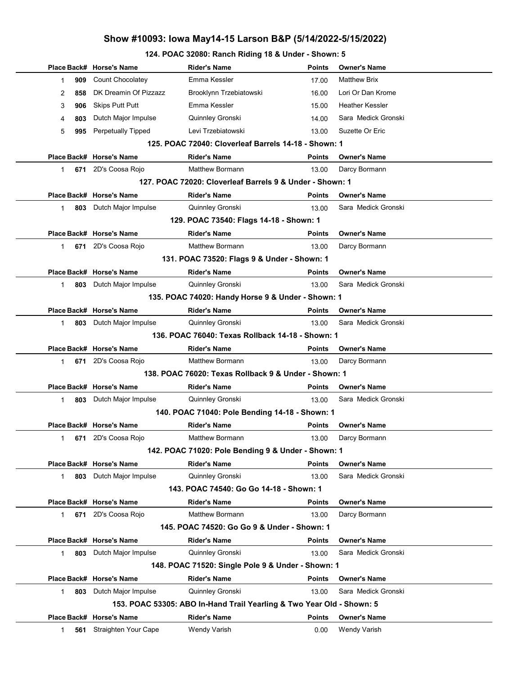#### 124. POAC 32080: Ranch Riding 18 & Under - Shown: 5

|                                                  |                                                          | Place Back# Horse's Name | <b>Rider's Name</b>                                                   | Points        | <b>Owner's Name</b> |  |  |  |  |
|--------------------------------------------------|----------------------------------------------------------|--------------------------|-----------------------------------------------------------------------|---------------|---------------------|--|--|--|--|
|                                                  | 909<br>1                                                 | Count Chocolatey         | Emma Kessler                                                          | 17.00         | <b>Matthew Brix</b> |  |  |  |  |
|                                                  | 858<br>2                                                 | DK Dreamin Of Pizzazz    | Brooklynn Trzebiatowski                                               | 16.00         | Lori Or Dan Krome   |  |  |  |  |
|                                                  | 3<br>906                                                 | <b>Skips Putt Putt</b>   | Emma Kessler                                                          | 15.00         | Heather Kessler     |  |  |  |  |
|                                                  | 4<br>803                                                 | Dutch Major Impulse      | Quinnley Gronski                                                      | 14.00         | Sara Medick Gronski |  |  |  |  |
|                                                  | 5<br>995                                                 | Perpetually Tipped       | Levi Trzebiatowski                                                    | 13.00         | Suzette Or Eric     |  |  |  |  |
|                                                  | 125. POAC 72040: Cloverleaf Barrels 14-18 - Shown: 1     |                          |                                                                       |               |                     |  |  |  |  |
|                                                  |                                                          | Place Back# Horse's Name | <b>Rider's Name</b>                                                   | Points        | <b>Owner's Name</b> |  |  |  |  |
|                                                  | $\mathbf{1}$                                             | 671 2D's Coosa Rojo      | <b>Matthew Bormann</b>                                                | 13.00         | Darcy Bormann       |  |  |  |  |
|                                                  | 127. POAC 72020: Cloverleaf Barrels 9 & Under - Shown: 1 |                          |                                                                       |               |                     |  |  |  |  |
|                                                  |                                                          | Place Back# Horse's Name | <b>Rider's Name</b>                                                   | <b>Points</b> | <b>Owner's Name</b> |  |  |  |  |
|                                                  | $\mathbf 1$                                              | 803 Dutch Major Impulse  | Quinnley Gronski                                                      | 13.00         | Sara Medick Gronski |  |  |  |  |
|                                                  |                                                          |                          | 129. POAC 73540: Flags 14-18 - Shown: 1                               |               |                     |  |  |  |  |
|                                                  |                                                          | Place Back# Horse's Name | <b>Rider's Name</b>                                                   | Points        | <b>Owner's Name</b> |  |  |  |  |
|                                                  | $\mathbf 1$                                              | 671 2D's Coosa Rojo      | <b>Matthew Bormann</b>                                                | 13.00         | Darcy Bormann       |  |  |  |  |
|                                                  |                                                          |                          | 131. POAC 73520: Flags 9 & Under - Shown: 1                           |               |                     |  |  |  |  |
|                                                  |                                                          | Place Back# Horse's Name | <b>Rider's Name</b>                                                   | Points        | <b>Owner's Name</b> |  |  |  |  |
|                                                  | 803<br>$\mathbf{1}$                                      | Dutch Major Impulse      | Quinnley Gronski                                                      | 13.00         | Sara Medick Gronski |  |  |  |  |
|                                                  | 135. POAC 74020: Handy Horse 9 & Under - Shown: 1        |                          |                                                                       |               |                     |  |  |  |  |
|                                                  |                                                          | Place Back# Horse's Name | <b>Rider's Name</b>                                                   | Points        | <b>Owner's Name</b> |  |  |  |  |
|                                                  | $\mathbf 1$                                              | 803 Dutch Major Impulse  | Quinnley Gronski                                                      | 13.00         | Sara Medick Gronski |  |  |  |  |
| 136. POAC 76040: Texas Rollback 14-18 - Shown: 1 |                                                          |                          |                                                                       |               |                     |  |  |  |  |
|                                                  |                                                          | Place Back# Horse's Name | <b>Rider's Name</b>                                                   | <b>Points</b> | <b>Owner's Name</b> |  |  |  |  |
|                                                  | $\mathbf 1$                                              | 671 2D's Coosa Rojo      | Matthew Bormann                                                       | 13.00         | Darcy Bormann       |  |  |  |  |
|                                                  |                                                          |                          | 138. POAC 76020: Texas Rollback 9 & Under - Shown: 1                  |               |                     |  |  |  |  |
|                                                  |                                                          | Place Back# Horse's Name | <b>Rider's Name</b>                                                   | Points        | <b>Owner's Name</b> |  |  |  |  |
|                                                  | $\mathbf 1$                                              | 803 Dutch Major Impulse  | Quinnley Gronski                                                      | 13.00         | Sara Medick Gronski |  |  |  |  |
|                                                  |                                                          |                          | 140. POAC 71040: Pole Bending 14-18 - Shown: 1                        |               |                     |  |  |  |  |
|                                                  |                                                          | Place Back# Horse's Name | <b>Rider's Name</b>                                                   | <b>Points</b> | <b>Owner's Name</b> |  |  |  |  |
|                                                  | 1<br>671                                                 | 2D's Coosa Rojo          | Matthew Bormann                                                       | 13.00         | Darcy Bormann       |  |  |  |  |
|                                                  |                                                          |                          | 142. POAC 71020: Pole Bending 9 & Under - Shown: 1                    |               |                     |  |  |  |  |
|                                                  |                                                          | Place Back# Horse's Name | <b>Rider's Name</b>                                                   | Points        | <b>Owner's Name</b> |  |  |  |  |
|                                                  | 803<br>$\mathbf{1}$                                      | Dutch Major Impulse      | Quinnley Gronski                                                      | 13.00         | Sara Medick Gronski |  |  |  |  |
|                                                  |                                                          |                          | 143. POAC 74540: Go Go 14-18 - Shown: 1                               |               |                     |  |  |  |  |
|                                                  |                                                          | Place Back# Horse's Name | <b>Rider's Name</b>                                                   | Points        | <b>Owner's Name</b> |  |  |  |  |
|                                                  | 671<br>$\mathbf 1$                                       | 2D's Coosa Rojo          | <b>Matthew Bormann</b>                                                | 13.00         | Darcy Bormann       |  |  |  |  |
|                                                  |                                                          |                          | 145. POAC 74520: Go Go 9 & Under - Shown: 1                           |               |                     |  |  |  |  |
|                                                  |                                                          | Place Back# Horse's Name | <b>Rider's Name</b>                                                   | Points        | <b>Owner's Name</b> |  |  |  |  |
|                                                  | $\mathbf{1}$<br>803                                      | Dutch Major Impulse      | Quinnley Gronski                                                      | 13.00         | Sara Medick Gronski |  |  |  |  |
|                                                  |                                                          |                          | 148. POAC 71520: Single Pole 9 & Under - Shown: 1                     |               |                     |  |  |  |  |
|                                                  |                                                          | Place Back# Horse's Name | <b>Rider's Name</b>                                                   | Points        | <b>Owner's Name</b> |  |  |  |  |
|                                                  | 803<br>$\mathbf 1$                                       | Dutch Major Impulse      | Quinnley Gronski                                                      | 13.00         | Sara Medick Gronski |  |  |  |  |
|                                                  |                                                          |                          | 153. POAC 53305: ABO In-Hand Trail Yearling & Two Year Old - Shown: 5 |               |                     |  |  |  |  |
|                                                  |                                                          | Place Back# Horse's Name | <b>Rider's Name</b>                                                   | Points        | <b>Owner's Name</b> |  |  |  |  |
|                                                  | 1<br>561                                                 | Straighten Your Cape     | <b>Wendy Varish</b>                                                   | 0.00          | Wendy Varish        |  |  |  |  |
|                                                  |                                                          |                          |                                                                       |               |                     |  |  |  |  |